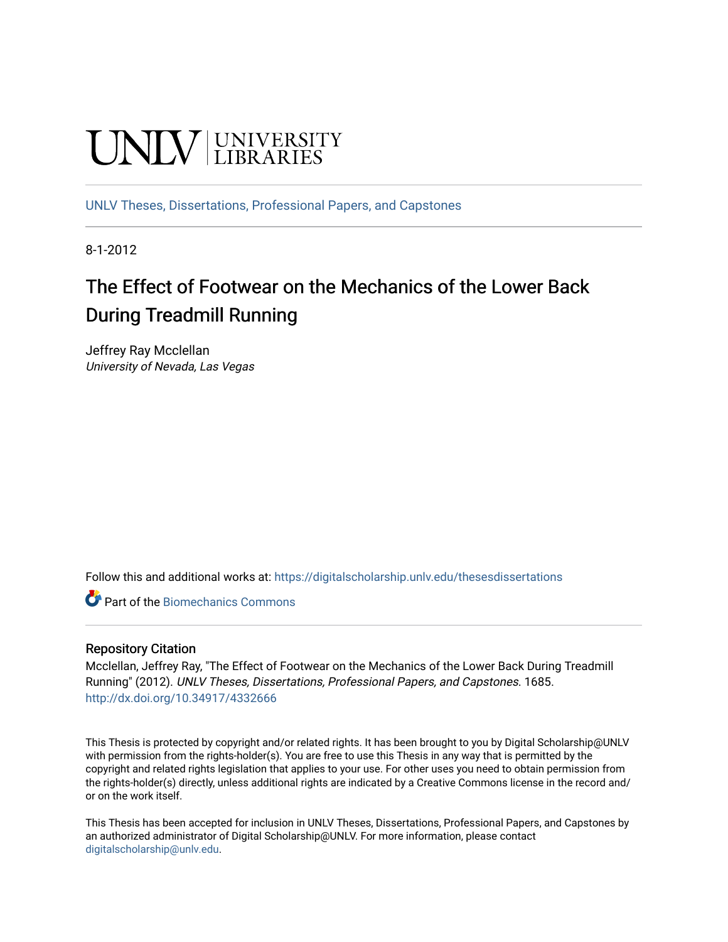# UNIV UNIVERSITY

[UNLV Theses, Dissertations, Professional Papers, and Capstones](https://digitalscholarship.unlv.edu/thesesdissertations)

8-1-2012

# The Effect of Footwear on the Mechanics of the Lower Back During Treadmill Running

Jeffrey Ray Mcclellan University of Nevada, Las Vegas

Follow this and additional works at: [https://digitalscholarship.unlv.edu/thesesdissertations](https://digitalscholarship.unlv.edu/thesesdissertations?utm_source=digitalscholarship.unlv.edu%2Fthesesdissertations%2F1685&utm_medium=PDF&utm_campaign=PDFCoverPages)

Part of the [Biomechanics Commons](http://network.bepress.com/hgg/discipline/43?utm_source=digitalscholarship.unlv.edu%2Fthesesdissertations%2F1685&utm_medium=PDF&utm_campaign=PDFCoverPages) 

#### Repository Citation

Mcclellan, Jeffrey Ray, "The Effect of Footwear on the Mechanics of the Lower Back During Treadmill Running" (2012). UNLV Theses, Dissertations, Professional Papers, and Capstones. 1685. <http://dx.doi.org/10.34917/4332666>

This Thesis is protected by copyright and/or related rights. It has been brought to you by Digital Scholarship@UNLV with permission from the rights-holder(s). You are free to use this Thesis in any way that is permitted by the copyright and related rights legislation that applies to your use. For other uses you need to obtain permission from the rights-holder(s) directly, unless additional rights are indicated by a Creative Commons license in the record and/ or on the work itself.

This Thesis has been accepted for inclusion in UNLV Theses, Dissertations, Professional Papers, and Capstones by an authorized administrator of Digital Scholarship@UNLV. For more information, please contact [digitalscholarship@unlv.edu](mailto:digitalscholarship@unlv.edu).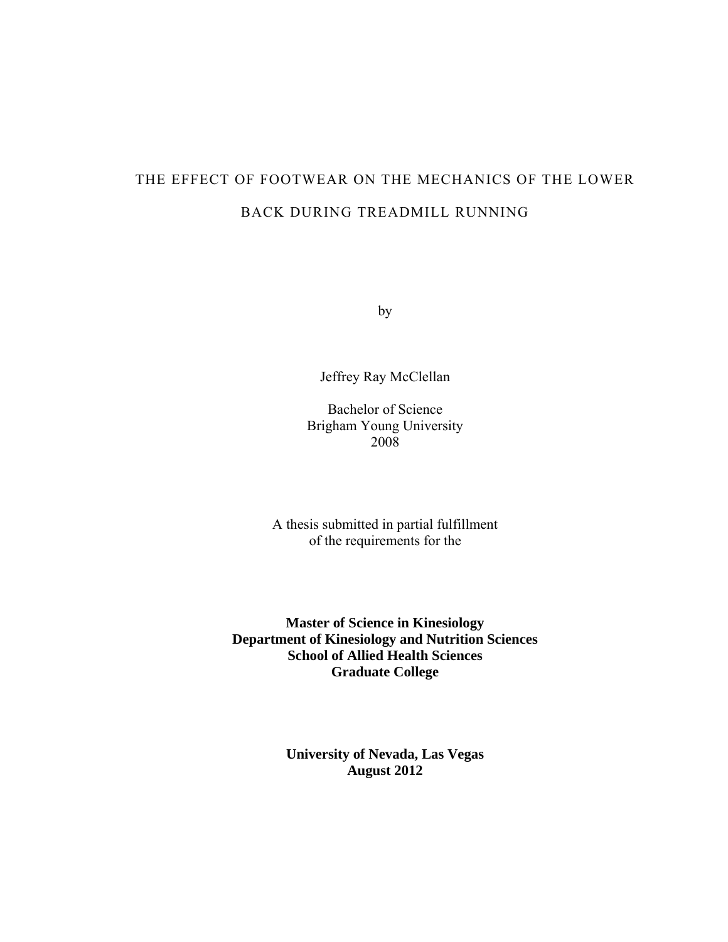# THE EFFECT OF FOOTWEAR ON THE MECHANICS OF THE LOWER BACK DURING TREADMILL RUNNING

by

Jeffrey Ray McClellan

Bachelor of Science Brigham Young University 2008

A thesis submitted in partial fulfillment of the requirements for the

**Master of Science in Kinesiology Department of Kinesiology and Nutrition Sciences School of Allied Health Sciences Graduate College** 

> **University of Nevada, Las Vegas August 2012**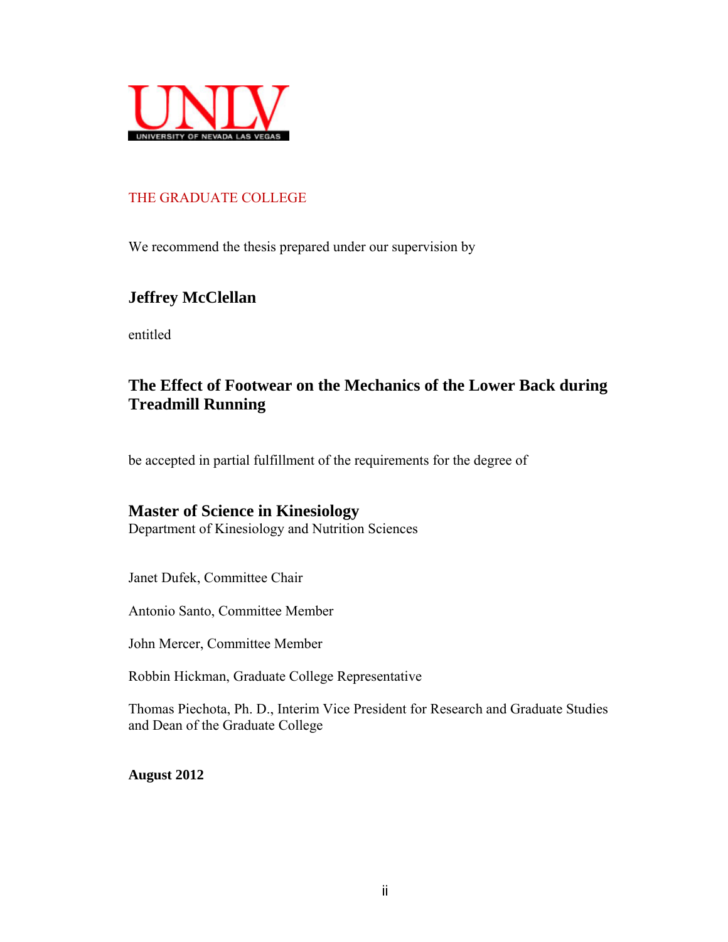

## THE GRADUATE COLLEGE

We recommend the thesis prepared under our supervision by

# **Jeffrey McClellan**

entitled

# **The Effect of Footwear on the Mechanics of the Lower Back during Treadmill Running**

be accepted in partial fulfillment of the requirements for the degree of

## **Master of Science in Kinesiology**

Department of Kinesiology and Nutrition Sciences

Janet Dufek, Committee Chair

Antonio Santo, Committee Member

John Mercer, Committee Member

Robbin Hickman, Graduate College Representative

Thomas Piechota, Ph. D., Interim Vice President for Research and Graduate Studies and Dean of the Graduate College

**August 2012**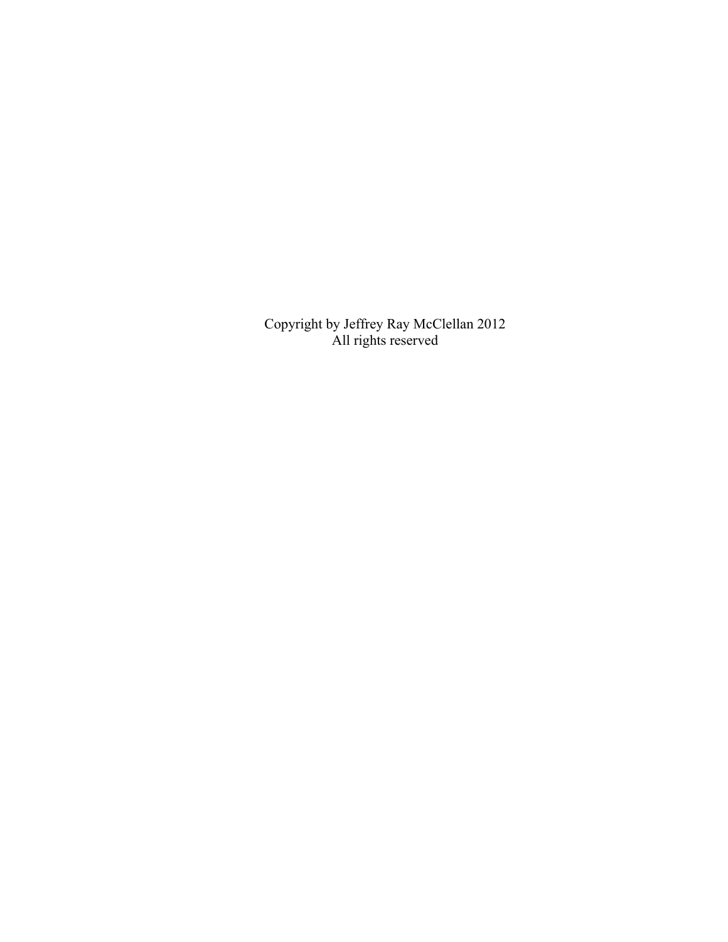Copyright by Jeffrey Ray McClellan 2012 All rights reserved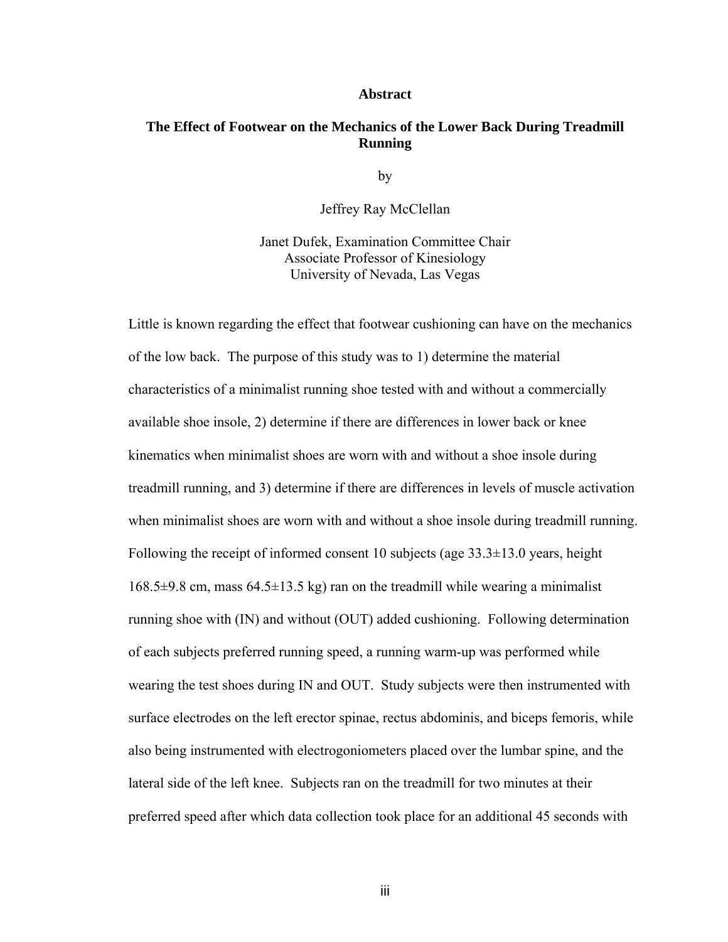#### **Abstract**

#### **The Effect of Footwear on the Mechanics of the Lower Back During Treadmill Running**

by

Jeffrey Ray McClellan

Janet Dufek, Examination Committee Chair Associate Professor of Kinesiology University of Nevada, Las Vegas

Little is known regarding the effect that footwear cushioning can have on the mechanics of the low back. The purpose of this study was to 1) determine the material characteristics of a minimalist running shoe tested with and without a commercially available shoe insole, 2) determine if there are differences in lower back or knee kinematics when minimalist shoes are worn with and without a shoe insole during treadmill running, and 3) determine if there are differences in levels of muscle activation when minimalist shoes are worn with and without a shoe insole during treadmill running. Following the receipt of informed consent 10 subjects (age 33.3±13.0 years, height  $168.5\pm9.8$  cm, mass  $64.5\pm13.5$  kg) ran on the treadmill while wearing a minimalist running shoe with (IN) and without (OUT) added cushioning. Following determination of each subjects preferred running speed, a running warm-up was performed while wearing the test shoes during IN and OUT. Study subjects were then instrumented with surface electrodes on the left erector spinae, rectus abdominis, and biceps femoris, while also being instrumented with electrogoniometers placed over the lumbar spine, and the lateral side of the left knee. Subjects ran on the treadmill for two minutes at their preferred speed after which data collection took place for an additional 45 seconds with

iii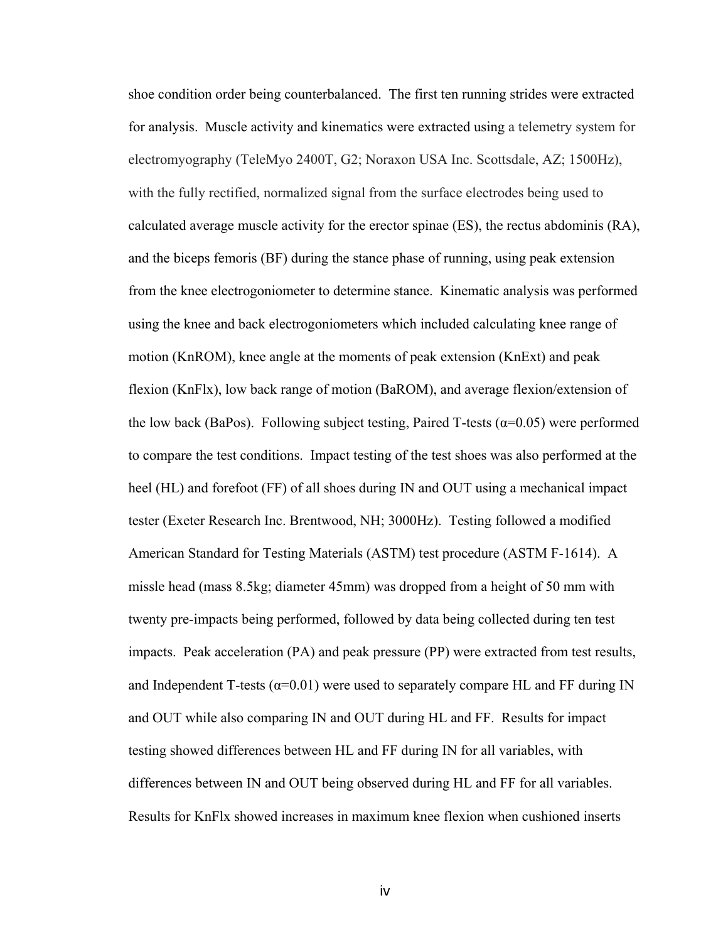shoe condition order being counterbalanced. The first ten running strides were extracted for analysis. Muscle activity and kinematics were extracted using a telemetry system for electromyography (TeleMyo 2400T, G2; Noraxon USA Inc. Scottsdale, AZ; 1500Hz), with the fully rectified, normalized signal from the surface electrodes being used to calculated average muscle activity for the erector spinae (ES), the rectus abdominis (RA), and the biceps femoris (BF) during the stance phase of running, using peak extension from the knee electrogoniometer to determine stance. Kinematic analysis was performed using the knee and back electrogoniometers which included calculating knee range of motion (KnROM), knee angle at the moments of peak extension (KnExt) and peak flexion (KnFlx), low back range of motion (BaROM), and average flexion/extension of the low back (BaPos). Following subject testing, Paired T-tests ( $\alpha$ =0.05) were performed to compare the test conditions. Impact testing of the test shoes was also performed at the heel (HL) and forefoot (FF) of all shoes during IN and OUT using a mechanical impact tester (Exeter Research Inc. Brentwood, NH; 3000Hz). Testing followed a modified American Standard for Testing Materials (ASTM) test procedure (ASTM F-1614). A missle head (mass 8.5kg; diameter 45mm) was dropped from a height of 50 mm with twenty pre-impacts being performed, followed by data being collected during ten test impacts. Peak acceleration (PA) and peak pressure (PP) were extracted from test results, and Independent T-tests ( $\alpha$ =0.01) were used to separately compare HL and FF during IN and OUT while also comparing IN and OUT during HL and FF. Results for impact testing showed differences between HL and FF during IN for all variables, with differences between IN and OUT being observed during HL and FF for all variables. Results for KnFlx showed increases in maximum knee flexion when cushioned inserts

iversity of the control of the control of the control of the control of the control of the control of the control of the control of the control of the control of the control of the control of the control of the control of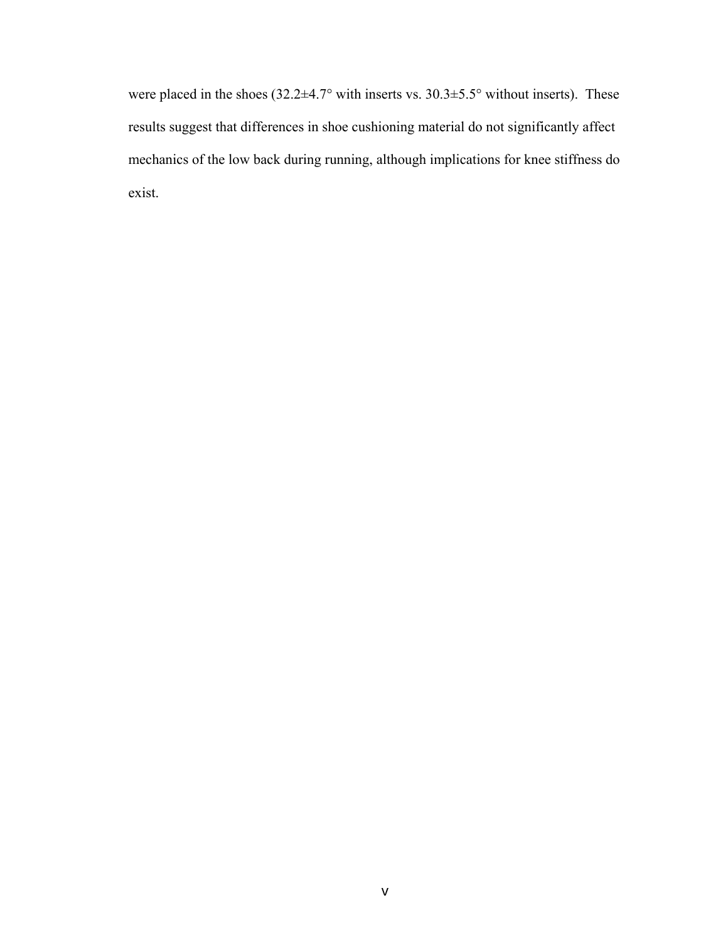were placed in the shoes  $(32.2\pm4.7^{\circ}$  with inserts vs.  $30.3\pm5.5^{\circ}$  without inserts). These results suggest that differences in shoe cushioning material do not significantly affect mechanics of the low back during running, although implications for knee stiffness do exist.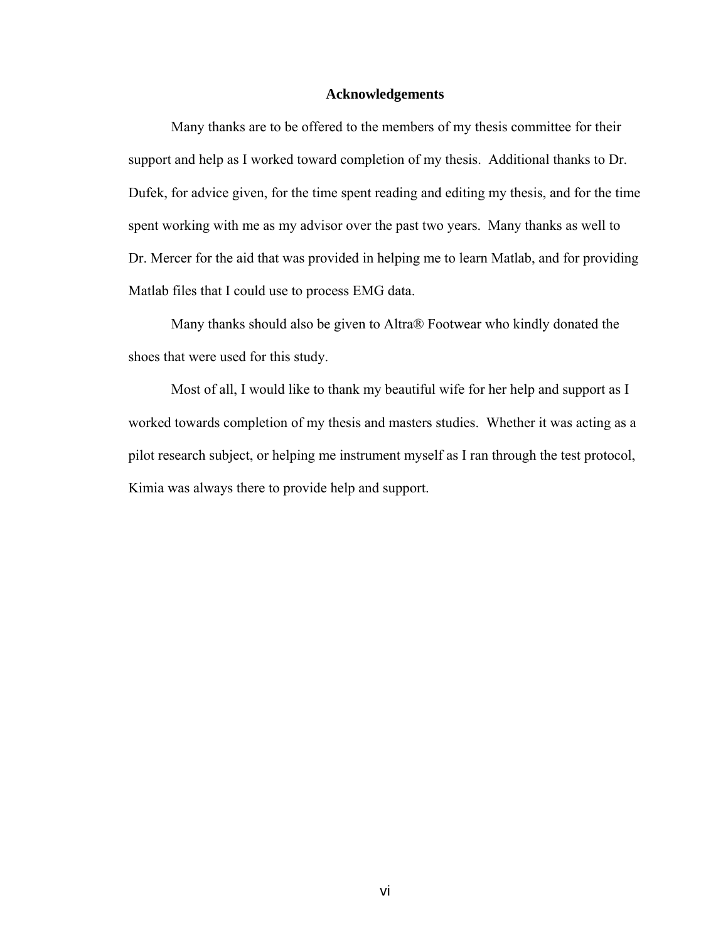#### **Acknowledgements**

Many thanks are to be offered to the members of my thesis committee for their support and help as I worked toward completion of my thesis. Additional thanks to Dr. Dufek, for advice given, for the time spent reading and editing my thesis, and for the time spent working with me as my advisor over the past two years. Many thanks as well to Dr. Mercer for the aid that was provided in helping me to learn Matlab, and for providing Matlab files that I could use to process EMG data.

Many thanks should also be given to Altra® Footwear who kindly donated the shoes that were used for this study.

 Most of all, I would like to thank my beautiful wife for her help and support as I worked towards completion of my thesis and masters studies. Whether it was acting as a pilot research subject, or helping me instrument myself as I ran through the test protocol, Kimia was always there to provide help and support.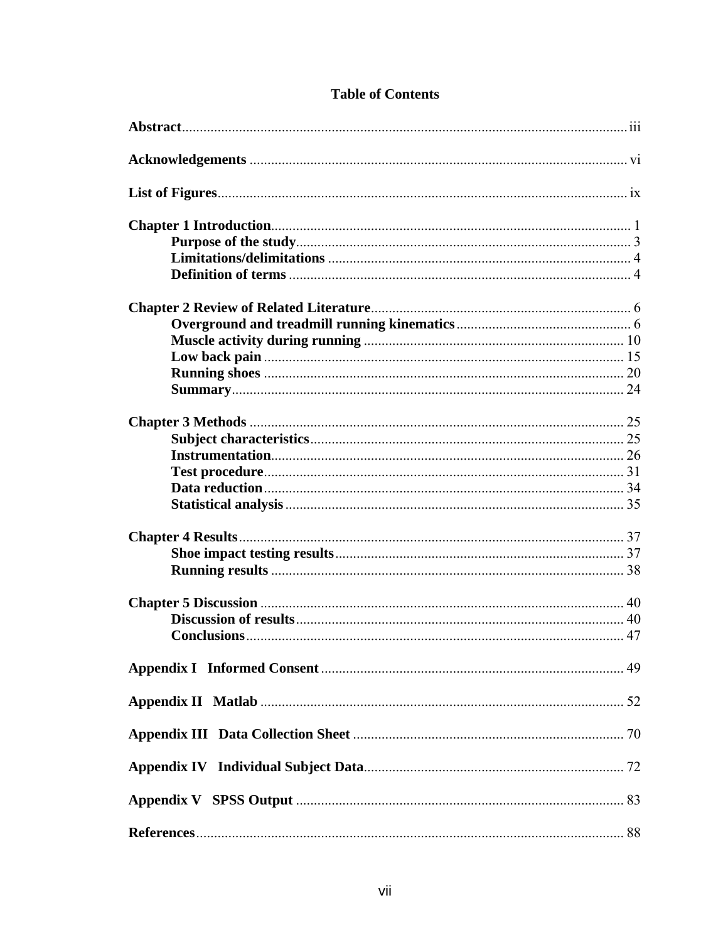# **Table of Contents**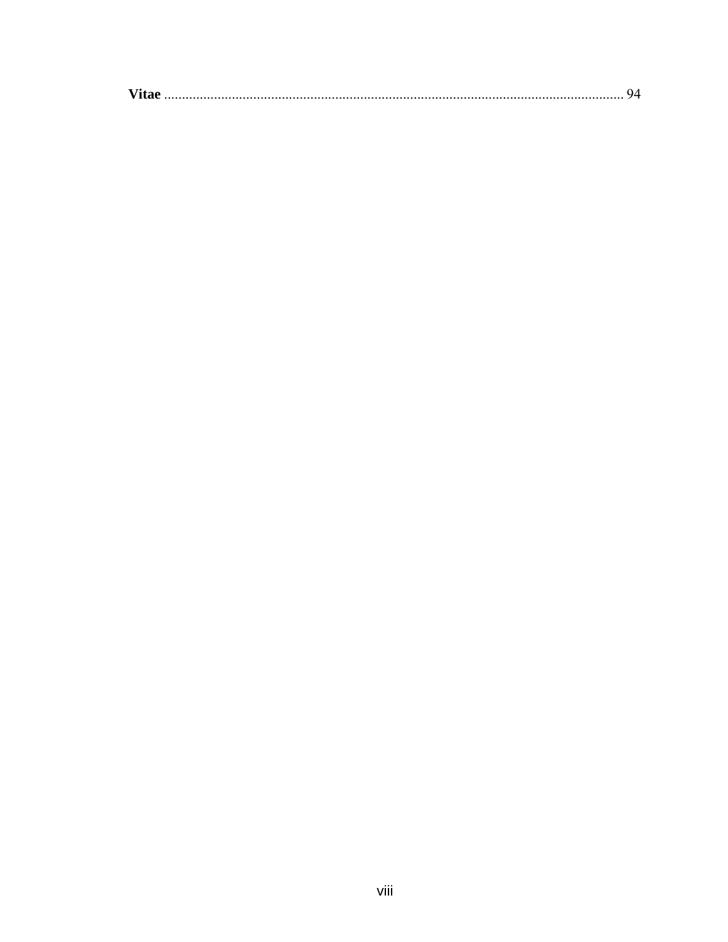| - 70 |  |
|------|--|
|      |  |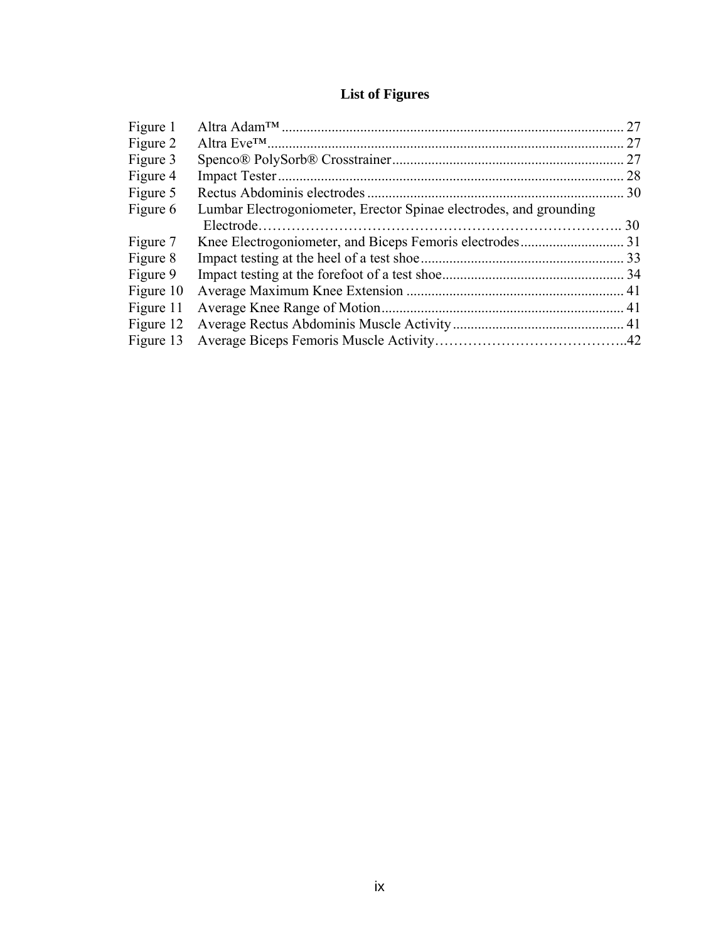# **List of Figures**

|                                                                    | 27 |
|--------------------------------------------------------------------|----|
|                                                                    | 27 |
|                                                                    | 27 |
|                                                                    | 28 |
|                                                                    |    |
| Lumbar Electrogoniometer, Erector Spinae electrodes, and grounding |    |
|                                                                    | 30 |
|                                                                    |    |
|                                                                    |    |
|                                                                    |    |
|                                                                    |    |
|                                                                    |    |
|                                                                    |    |
|                                                                    |    |
|                                                                    |    |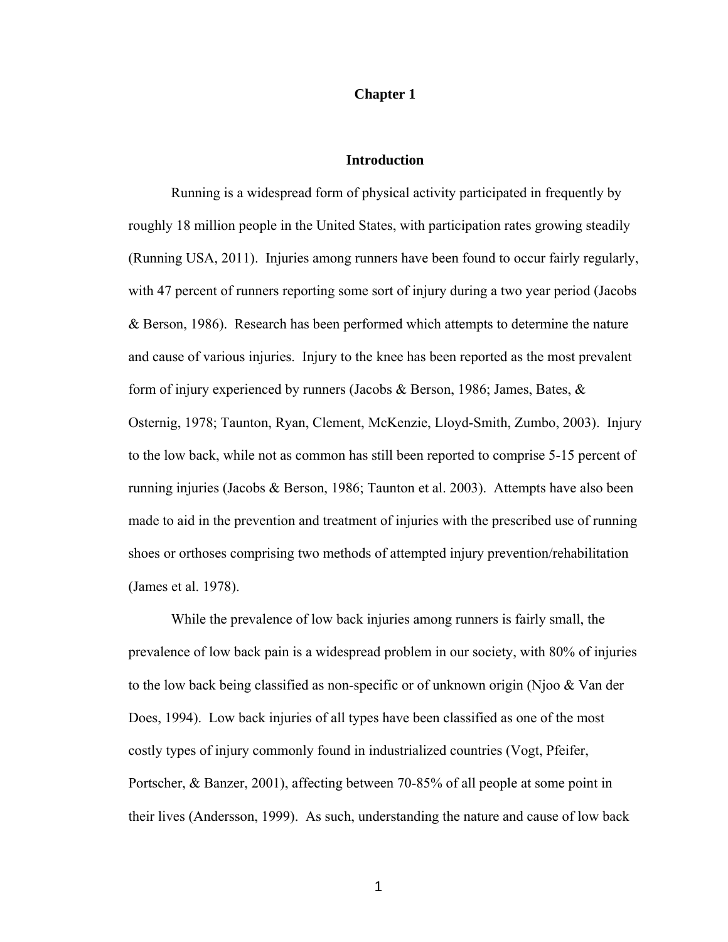#### **Chapter 1**

#### **Introduction**

 Running is a widespread form of physical activity participated in frequently by roughly 18 million people in the United States, with participation rates growing steadily (Running USA, 2011). Injuries among runners have been found to occur fairly regularly, with 47 percent of runners reporting some sort of injury during a two year period (Jacobs & Berson, 1986). Research has been performed which attempts to determine the nature and cause of various injuries. Injury to the knee has been reported as the most prevalent form of injury experienced by runners (Jacobs & Berson, 1986; James, Bates, & Osternig, 1978; Taunton, Ryan, Clement, McKenzie, Lloyd-Smith, Zumbo, 2003). Injury to the low back, while not as common has still been reported to comprise 5-15 percent of running injuries (Jacobs & Berson, 1986; Taunton et al. 2003). Attempts have also been made to aid in the prevention and treatment of injuries with the prescribed use of running shoes or orthoses comprising two methods of attempted injury prevention/rehabilitation (James et al. 1978).

While the prevalence of low back injuries among runners is fairly small, the prevalence of low back pain is a widespread problem in our society, with 80% of injuries to the low back being classified as non-specific or of unknown origin (Njoo & Van der Does, 1994). Low back injuries of all types have been classified as one of the most costly types of injury commonly found in industrialized countries (Vogt, Pfeifer, Portscher, & Banzer, 2001), affecting between 70-85% of all people at some point in their lives (Andersson, 1999). As such, understanding the nature and cause of low back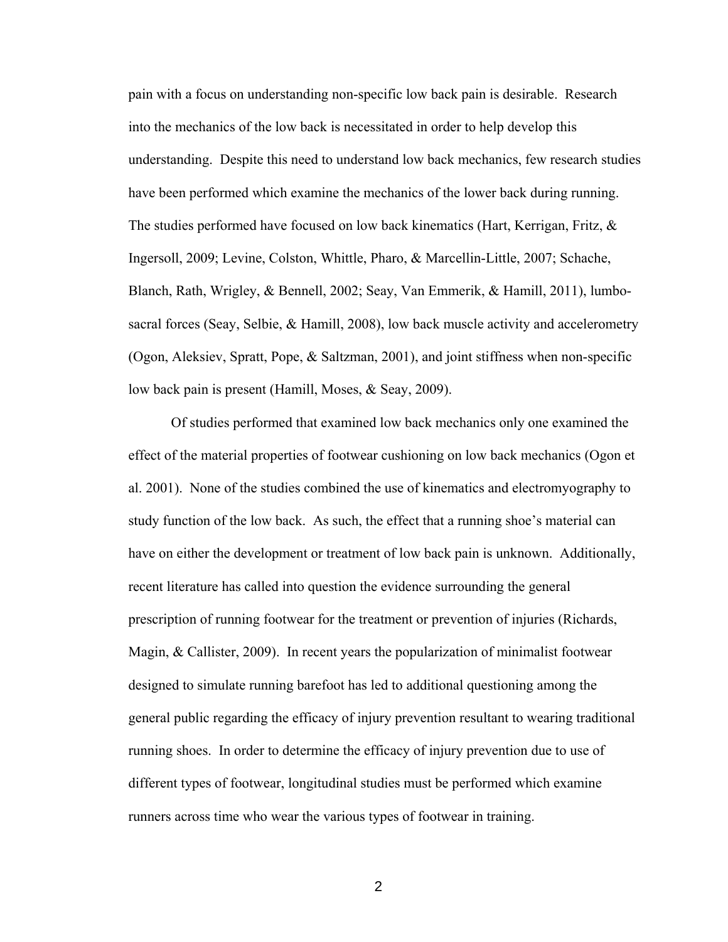pain with a focus on understanding non-specific low back pain is desirable. Research into the mechanics of the low back is necessitated in order to help develop this understanding. Despite this need to understand low back mechanics, few research studies have been performed which examine the mechanics of the lower back during running. The studies performed have focused on low back kinematics (Hart, Kerrigan, Fritz, & Ingersoll, 2009; Levine, Colston, Whittle, Pharo, & Marcellin-Little, 2007; Schache, Blanch, Rath, Wrigley, & Bennell, 2002; Seay, Van Emmerik, & Hamill, 2011), lumbosacral forces (Seay, Selbie, & Hamill, 2008), low back muscle activity and accelerometry (Ogon, Aleksiev, Spratt, Pope, & Saltzman, 2001), and joint stiffness when non-specific low back pain is present (Hamill, Moses, & Seay, 2009).

Of studies performed that examined low back mechanics only one examined the effect of the material properties of footwear cushioning on low back mechanics (Ogon et al. 2001). None of the studies combined the use of kinematics and electromyography to study function of the low back. As such, the effect that a running shoe's material can have on either the development or treatment of low back pain is unknown. Additionally, recent literature has called into question the evidence surrounding the general prescription of running footwear for the treatment or prevention of injuries (Richards, Magin, & Callister, 2009). In recent years the popularization of minimalist footwear designed to simulate running barefoot has led to additional questioning among the general public regarding the efficacy of injury prevention resultant to wearing traditional running shoes. In order to determine the efficacy of injury prevention due to use of different types of footwear, longitudinal studies must be performed which examine runners across time who wear the various types of footwear in training.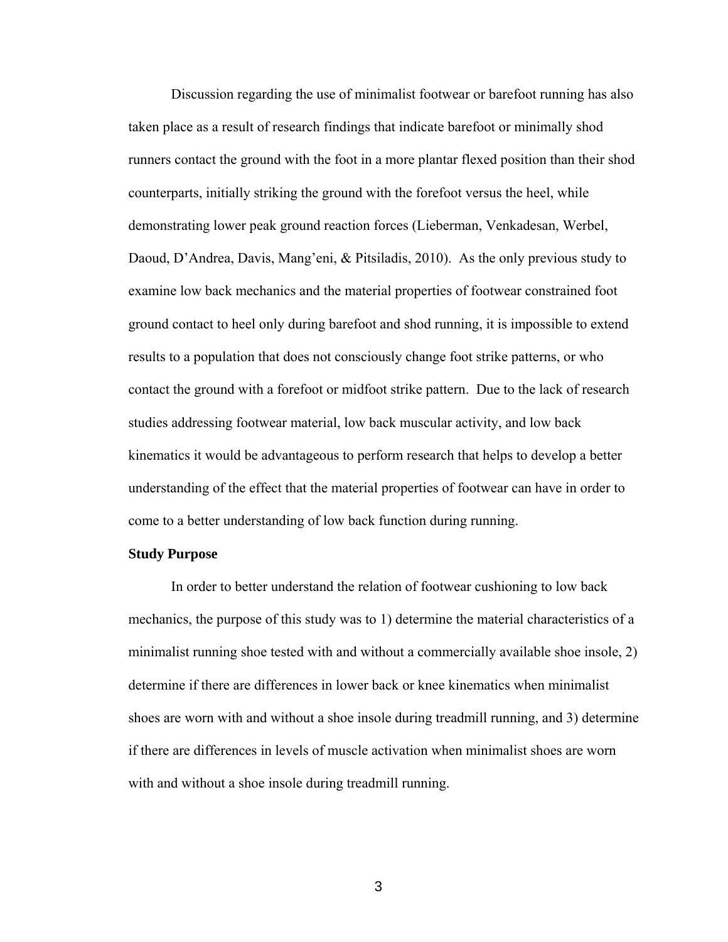Discussion regarding the use of minimalist footwear or barefoot running has also taken place as a result of research findings that indicate barefoot or minimally shod runners contact the ground with the foot in a more plantar flexed position than their shod counterparts, initially striking the ground with the forefoot versus the heel, while demonstrating lower peak ground reaction forces (Lieberman, Venkadesan, Werbel, Daoud, D'Andrea, Davis, Mang'eni, & Pitsiladis, 2010). As the only previous study to examine low back mechanics and the material properties of footwear constrained foot ground contact to heel only during barefoot and shod running, it is impossible to extend results to a population that does not consciously change foot strike patterns, or who contact the ground with a forefoot or midfoot strike pattern. Due to the lack of research studies addressing footwear material, low back muscular activity, and low back kinematics it would be advantageous to perform research that helps to develop a better understanding of the effect that the material properties of footwear can have in order to come to a better understanding of low back function during running.

#### **Study Purpose**

In order to better understand the relation of footwear cushioning to low back mechanics, the purpose of this study was to 1) determine the material characteristics of a minimalist running shoe tested with and without a commercially available shoe insole, 2) determine if there are differences in lower back or knee kinematics when minimalist shoes are worn with and without a shoe insole during treadmill running, and 3) determine if there are differences in levels of muscle activation when minimalist shoes are worn with and without a shoe insole during treadmill running.

<u>3</u>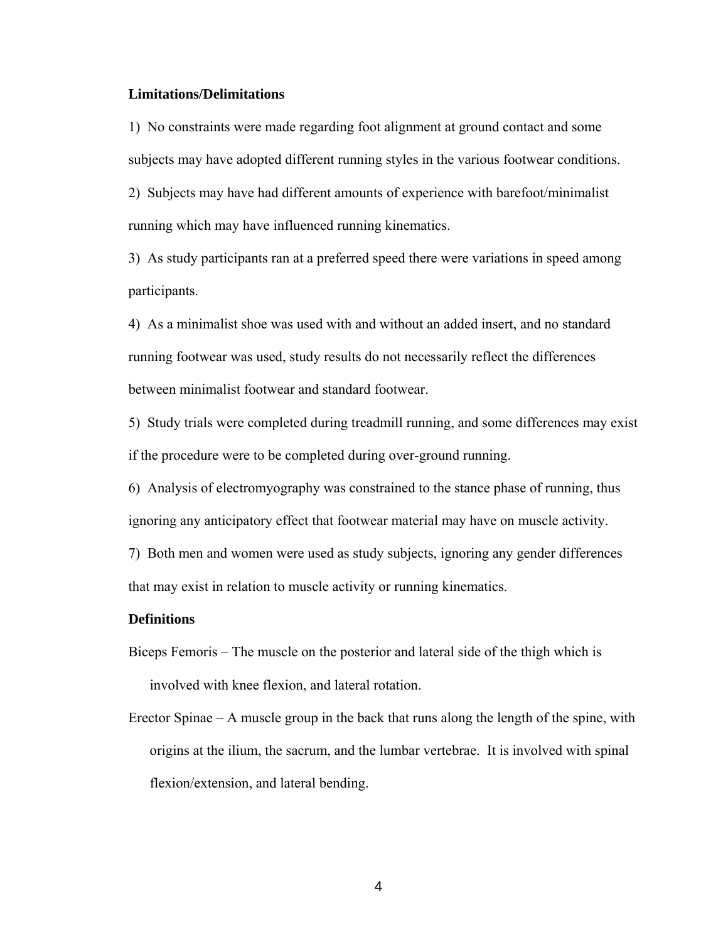#### **Limitations/Delimitations**

1) No constraints were made regarding foot alignment at ground contact and some subjects may have adopted different running styles in the various footwear conditions.

2) Subjects may have had different amounts of experience with barefoot/minimalist running which may have influenced running kinematics.

3) As study participants ran at a preferred speed there were variations in speed among participants.

4) As a minimalist shoe was used with and without an added insert, and no standard running footwear was used, study results do not necessarily reflect the differences between minimalist footwear and standard footwear.

5) Study trials were completed during treadmill running, and some differences may exist if the procedure were to be completed during over-ground running.

6) Analysis of electromyography was constrained to the stance phase of running, thus ignoring any anticipatory effect that footwear material may have on muscle activity.

7) Both men and women were used as study subjects, ignoring any gender differences that may exist in relation to muscle activity or running kinematics.

#### **Definitions**

- Biceps Femoris The muscle on the posterior and lateral side of the thigh which is involved with knee flexion, and lateral rotation.
- Erector Spinae A muscle group in the back that runs along the length of the spine, with origins at the ilium, the sacrum, and the lumbar vertebrae. It is involved with spinal flexion/extension, and lateral bending.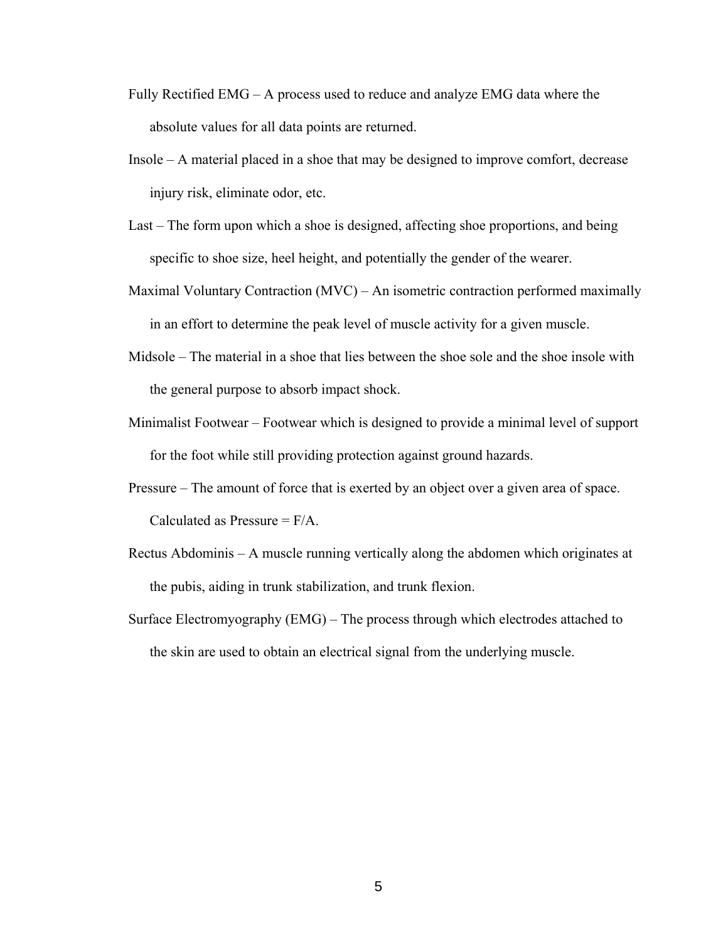- Fully Rectified EMG A process used to reduce and analyze EMG data where the absolute values for all data points are returned.
- Insole A material placed in a shoe that may be designed to improve comfort, decrease injury risk, eliminate odor, etc.
- Last The form upon which a shoe is designed, affecting shoe proportions, and being specific to shoe size, heel height, and potentially the gender of the wearer.
- Maximal Voluntary Contraction (MVC) An isometric contraction performed maximally in an effort to determine the peak level of muscle activity for a given muscle.
- Midsole The material in a shoe that lies between the shoe sole and the shoe insole with the general purpose to absorb impact shock.
- Minimalist Footwear Footwear which is designed to provide a minimal level of support for the foot while still providing protection against ground hazards.
- Pressure The amount of force that is exerted by an object over a given area of space. Calculated as Pressure  $=$  F/A.
- Rectus Abdominis A muscle running vertically along the abdomen which originates at the pubis, aiding in trunk stabilization, and trunk flexion.
- Surface Electromyography (EMG) The process through which electrodes attached to the skin are used to obtain an electrical signal from the underlying muscle.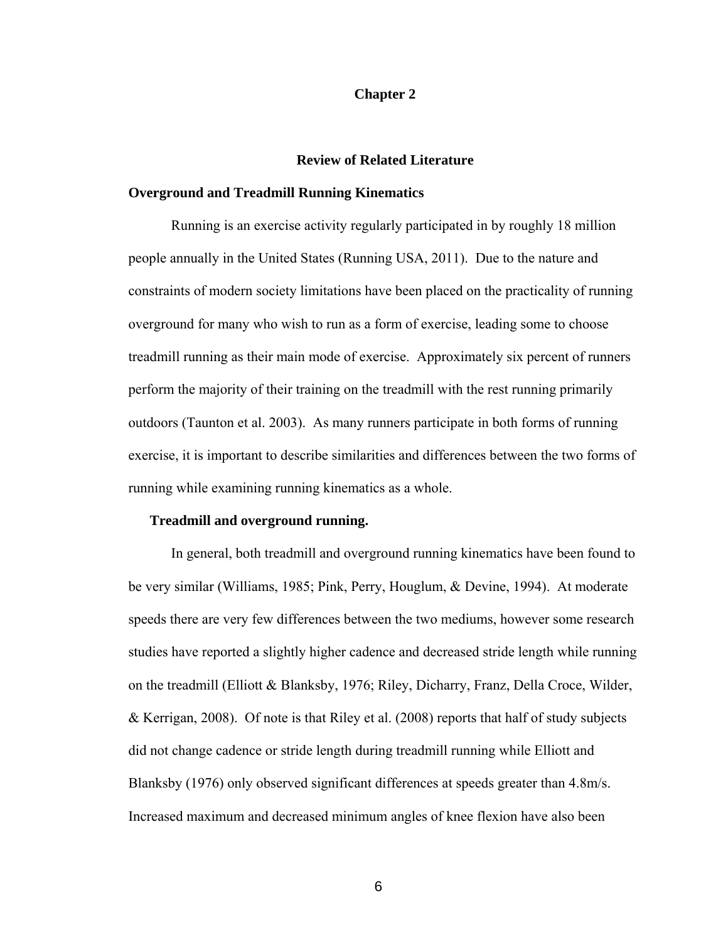#### **Chapter 2**

## **Review of Related Literature**

#### **Overground and Treadmill Running Kinematics**

 Running is an exercise activity regularly participated in by roughly 18 million people annually in the United States (Running USA, 2011). Due to the nature and constraints of modern society limitations have been placed on the practicality of running overground for many who wish to run as a form of exercise, leading some to choose treadmill running as their main mode of exercise. Approximately six percent of runners perform the majority of their training on the treadmill with the rest running primarily outdoors (Taunton et al. 2003). As many runners participate in both forms of running exercise, it is important to describe similarities and differences between the two forms of running while examining running kinematics as a whole.

#### **Treadmill and overground running.**

In general, both treadmill and overground running kinematics have been found to be very similar (Williams, 1985; Pink, Perry, Houglum, & Devine, 1994). At moderate speeds there are very few differences between the two mediums, however some research studies have reported a slightly higher cadence and decreased stride length while running on the treadmill (Elliott & Blanksby, 1976; Riley, Dicharry, Franz, Della Croce, Wilder, & Kerrigan, 2008). Of note is that Riley et al. (2008) reports that half of study subjects did not change cadence or stride length during treadmill running while Elliott and Blanksby (1976) only observed significant differences at speeds greater than 4.8m/s. Increased maximum and decreased minimum angles of knee flexion have also been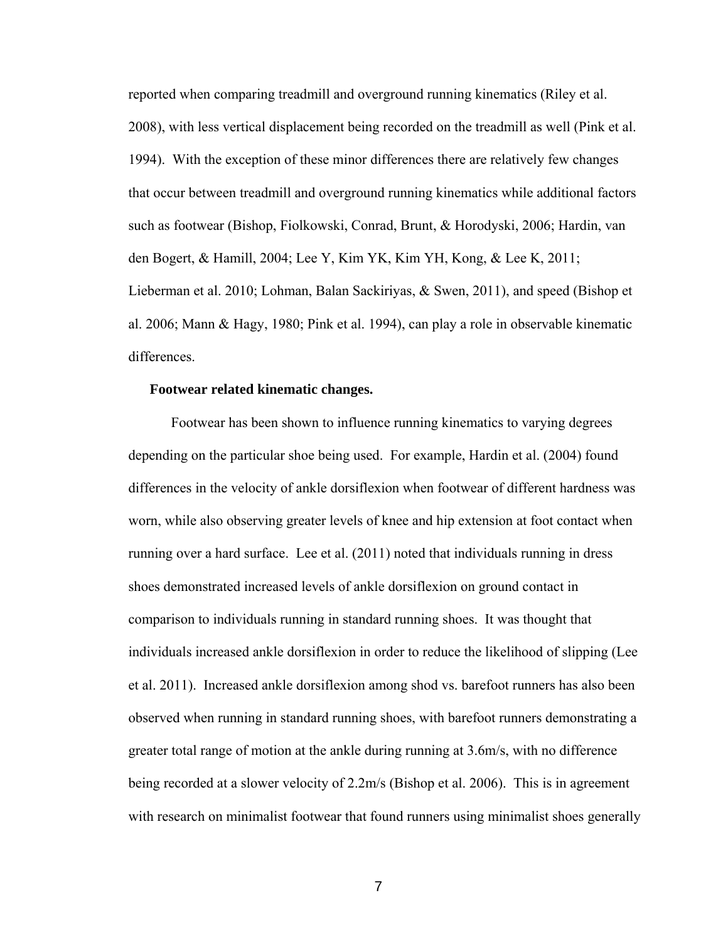reported when comparing treadmill and overground running kinematics (Riley et al. 2008), with less vertical displacement being recorded on the treadmill as well (Pink et al. 1994). With the exception of these minor differences there are relatively few changes that occur between treadmill and overground running kinematics while additional factors such as footwear (Bishop, Fiolkowski, Conrad, Brunt, & Horodyski, 2006; Hardin, van den Bogert, & Hamill, 2004; Lee Y, Kim YK, Kim YH, Kong, & Lee K, 2011; Lieberman et al. 2010; Lohman, Balan Sackiriyas, & Swen, 2011), and speed (Bishop et al. 2006; Mann & Hagy, 1980; Pink et al. 1994), can play a role in observable kinematic differences.

#### **Footwear related kinematic changes.**

 Footwear has been shown to influence running kinematics to varying degrees depending on the particular shoe being used. For example, Hardin et al. (2004) found differences in the velocity of ankle dorsiflexion when footwear of different hardness was worn, while also observing greater levels of knee and hip extension at foot contact when running over a hard surface. Lee et al. (2011) noted that individuals running in dress shoes demonstrated increased levels of ankle dorsiflexion on ground contact in comparison to individuals running in standard running shoes. It was thought that individuals increased ankle dorsiflexion in order to reduce the likelihood of slipping (Lee et al. 2011). Increased ankle dorsiflexion among shod vs. barefoot runners has also been observed when running in standard running shoes, with barefoot runners demonstrating a greater total range of motion at the ankle during running at 3.6m/s, with no difference being recorded at a slower velocity of 2.2m/s (Bishop et al. 2006). This is in agreement with research on minimalist footwear that found runners using minimalist shoes generally

<u>7</u>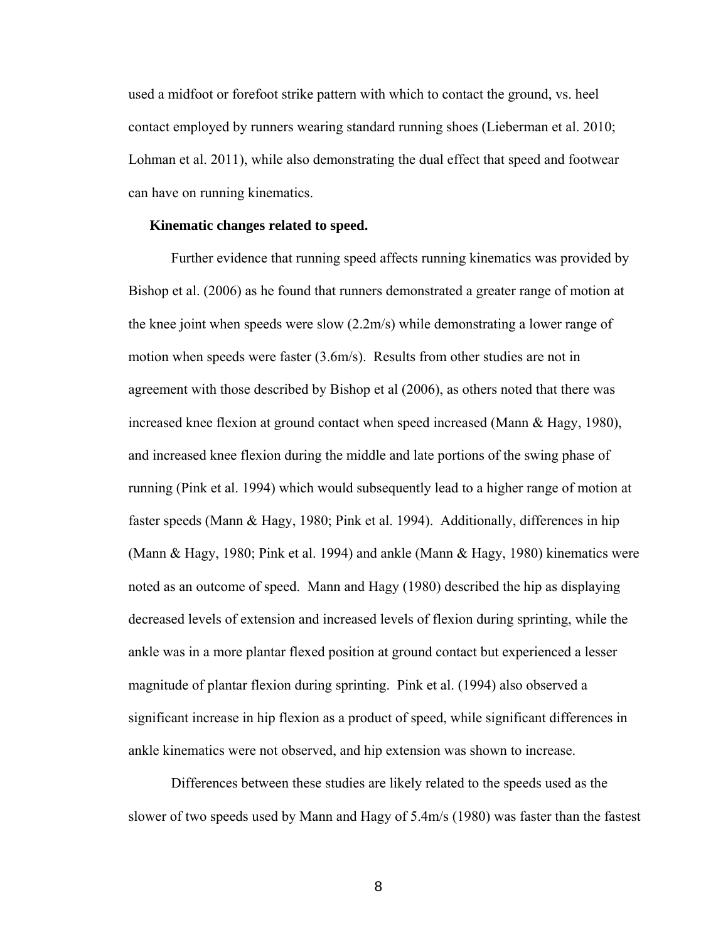used a midfoot or forefoot strike pattern with which to contact the ground, vs. heel contact employed by runners wearing standard running shoes (Lieberman et al. 2010; Lohman et al. 2011), while also demonstrating the dual effect that speed and footwear can have on running kinematics.

#### **Kinematic changes related to speed.**

 Further evidence that running speed affects running kinematics was provided by Bishop et al. (2006) as he found that runners demonstrated a greater range of motion at the knee joint when speeds were slow (2.2m/s) while demonstrating a lower range of motion when speeds were faster (3.6m/s). Results from other studies are not in agreement with those described by Bishop et al (2006), as others noted that there was increased knee flexion at ground contact when speed increased (Mann & Hagy, 1980), and increased knee flexion during the middle and late portions of the swing phase of running (Pink et al. 1994) which would subsequently lead to a higher range of motion at faster speeds (Mann & Hagy, 1980; Pink et al. 1994). Additionally, differences in hip (Mann & Hagy, 1980; Pink et al. 1994) and ankle (Mann & Hagy, 1980) kinematics were noted as an outcome of speed. Mann and Hagy (1980) described the hip as displaying decreased levels of extension and increased levels of flexion during sprinting, while the ankle was in a more plantar flexed position at ground contact but experienced a lesser magnitude of plantar flexion during sprinting. Pink et al. (1994) also observed a significant increase in hip flexion as a product of speed, while significant differences in ankle kinematics were not observed, and hip extension was shown to increase.

Differences between these studies are likely related to the speeds used as the slower of two speeds used by Mann and Hagy of 5.4m/s (1980) was faster than the fastest

<u>8</u> and the second second second second second second second second second second second second second second second second second second second second second second second second second second second second second second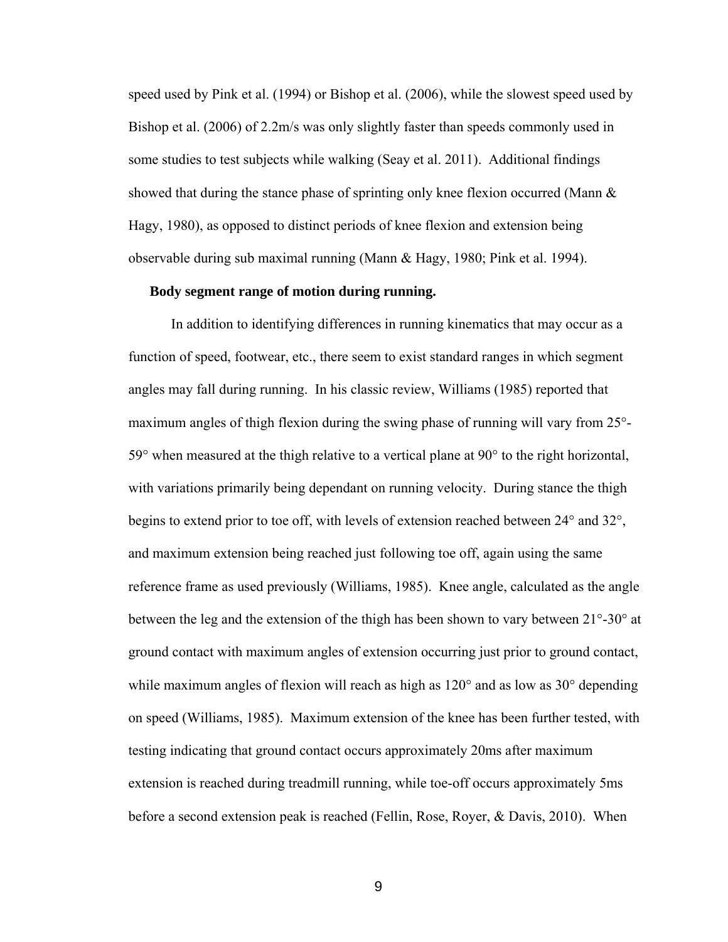speed used by Pink et al. (1994) or Bishop et al. (2006), while the slowest speed used by Bishop et al. (2006) of 2.2m/s was only slightly faster than speeds commonly used in some studies to test subjects while walking (Seay et al. 2011). Additional findings showed that during the stance phase of sprinting only knee flexion occurred (Mann  $\&$ Hagy, 1980), as opposed to distinct periods of knee flexion and extension being observable during sub maximal running (Mann & Hagy, 1980; Pink et al. 1994).

#### **Body segment range of motion during running.**

 In addition to identifying differences in running kinematics that may occur as a function of speed, footwear, etc., there seem to exist standard ranges in which segment angles may fall during running. In his classic review, Williams (1985) reported that maximum angles of thigh flexion during the swing phase of running will vary from 25°- 59° when measured at the thigh relative to a vertical plane at 90° to the right horizontal, with variations primarily being dependant on running velocity. During stance the thigh begins to extend prior to toe off, with levels of extension reached between 24° and 32°, and maximum extension being reached just following toe off, again using the same reference frame as used previously (Williams, 1985). Knee angle, calculated as the angle between the leg and the extension of the thigh has been shown to vary between 21°-30° at ground contact with maximum angles of extension occurring just prior to ground contact, while maximum angles of flexion will reach as high as  $120^{\circ}$  and as low as  $30^{\circ}$  depending on speed (Williams, 1985). Maximum extension of the knee has been further tested, with testing indicating that ground contact occurs approximately 20ms after maximum extension is reached during treadmill running, while toe-off occurs approximately 5ms before a second extension peak is reached (Fellin, Rose, Royer, & Davis, 2010). When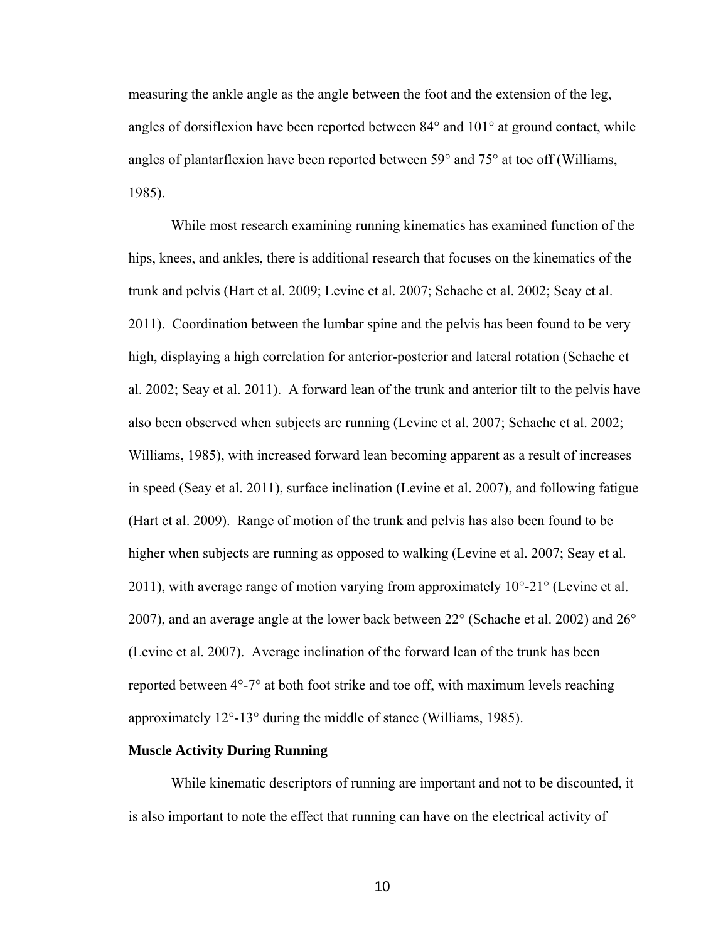measuring the ankle angle as the angle between the foot and the extension of the leg, angles of dorsiflexion have been reported between 84° and 101° at ground contact, while angles of plantarflexion have been reported between  $59^{\circ}$  and  $75^{\circ}$  at toe off (Williams, 1985).

While most research examining running kinematics has examined function of the hips, knees, and ankles, there is additional research that focuses on the kinematics of the trunk and pelvis (Hart et al. 2009; Levine et al. 2007; Schache et al. 2002; Seay et al. 2011). Coordination between the lumbar spine and the pelvis has been found to be very high, displaying a high correlation for anterior-posterior and lateral rotation (Schache et al. 2002; Seay et al. 2011). A forward lean of the trunk and anterior tilt to the pelvis have also been observed when subjects are running (Levine et al. 2007; Schache et al. 2002; Williams, 1985), with increased forward lean becoming apparent as a result of increases in speed (Seay et al. 2011), surface inclination (Levine et al. 2007), and following fatigue (Hart et al. 2009). Range of motion of the trunk and pelvis has also been found to be higher when subjects are running as opposed to walking (Levine et al. 2007; Seay et al. 2011), with average range of motion varying from approximately 10°-21° (Levine et al. 2007), and an average angle at the lower back between 22° (Schache et al. 2002) and 26° (Levine et al. 2007). Average inclination of the forward lean of the trunk has been reported between 4°-7° at both foot strike and toe off, with maximum levels reaching approximately 12°-13° during the middle of stance (Williams, 1985).

#### **Muscle Activity During Running**

 While kinematic descriptors of running are important and not to be discounted, it is also important to note the effect that running can have on the electrical activity of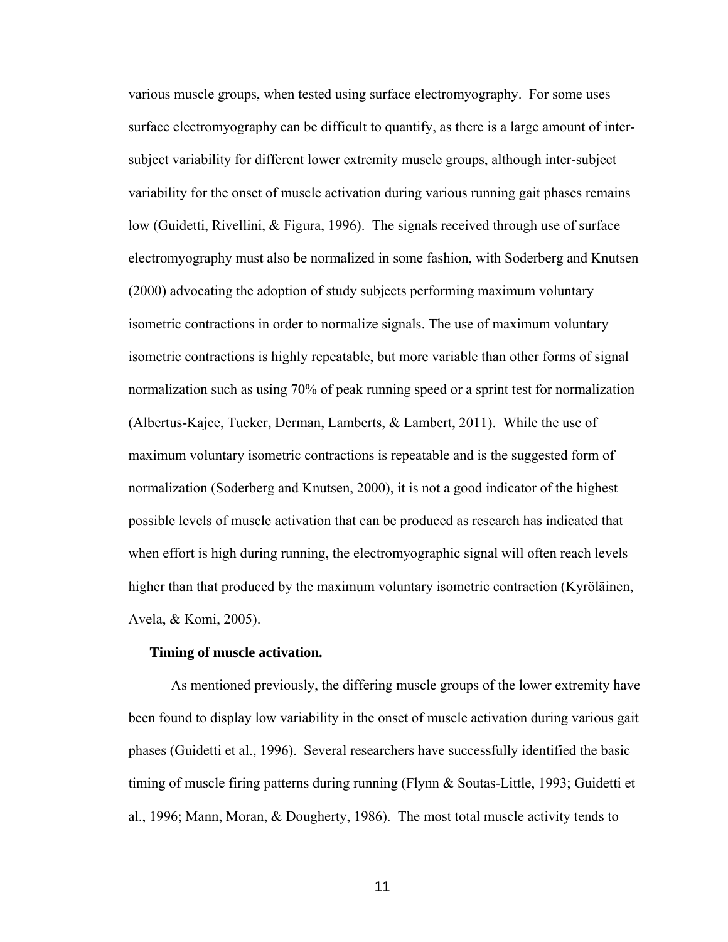various muscle groups, when tested using surface electromyography. For some uses surface electromyography can be difficult to quantify, as there is a large amount of intersubject variability for different lower extremity muscle groups, although inter-subject variability for the onset of muscle activation during various running gait phases remains low (Guidetti, Rivellini, & Figura, 1996). The signals received through use of surface electromyography must also be normalized in some fashion, with Soderberg and Knutsen (2000) advocating the adoption of study subjects performing maximum voluntary isometric contractions in order to normalize signals. The use of maximum voluntary isometric contractions is highly repeatable, but more variable than other forms of signal normalization such as using 70% of peak running speed or a sprint test for normalization (Albertus-Kajee, Tucker, Derman, Lamberts, & Lambert, 2011). While the use of maximum voluntary isometric contractions is repeatable and is the suggested form of normalization (Soderberg and Knutsen, 2000), it is not a good indicator of the highest possible levels of muscle activation that can be produced as research has indicated that when effort is high during running, the electromyographic signal will often reach levels higher than that produced by the maximum voluntary isometric contraction (Kyröläinen, Avela, & Komi, 2005).

#### **Timing of muscle activation.**

As mentioned previously, the differing muscle groups of the lower extremity have been found to display low variability in the onset of muscle activation during various gait phases (Guidetti et al., 1996). Several researchers have successfully identified the basic timing of muscle firing patterns during running (Flynn & Soutas-Little, 1993; Guidetti et al., 1996; Mann, Moran, & Dougherty, 1986). The most total muscle activity tends to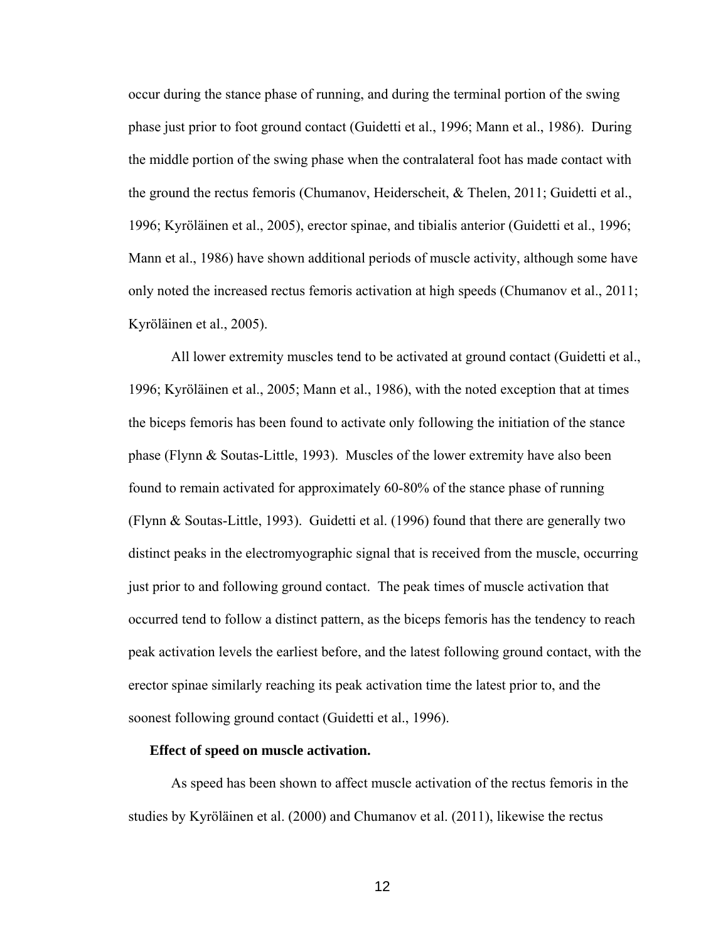occur during the stance phase of running, and during the terminal portion of the swing phase just prior to foot ground contact (Guidetti et al., 1996; Mann et al., 1986). During the middle portion of the swing phase when the contralateral foot has made contact with the ground the rectus femoris (Chumanov, Heiderscheit, & Thelen, 2011; Guidetti et al., 1996; Kyröläinen et al., 2005), erector spinae, and tibialis anterior (Guidetti et al., 1996; Mann et al., 1986) have shown additional periods of muscle activity, although some have only noted the increased rectus femoris activation at high speeds (Chumanov et al., 2011; Kyröläinen et al., 2005).

All lower extremity muscles tend to be activated at ground contact (Guidetti et al., 1996; Kyröläinen et al., 2005; Mann et al., 1986), with the noted exception that at times the biceps femoris has been found to activate only following the initiation of the stance phase (Flynn & Soutas-Little, 1993). Muscles of the lower extremity have also been found to remain activated for approximately 60-80% of the stance phase of running (Flynn & Soutas-Little, 1993). Guidetti et al. (1996) found that there are generally two distinct peaks in the electromyographic signal that is received from the muscle, occurring just prior to and following ground contact. The peak times of muscle activation that occurred tend to follow a distinct pattern, as the biceps femoris has the tendency to reach peak activation levels the earliest before, and the latest following ground contact, with the erector spinae similarly reaching its peak activation time the latest prior to, and the soonest following ground contact (Guidetti et al., 1996).

#### **Effect of speed on muscle activation.**

As speed has been shown to affect muscle activation of the rectus femoris in the studies by Kyröläinen et al. (2000) and Chumanov et al. (2011), likewise the rectus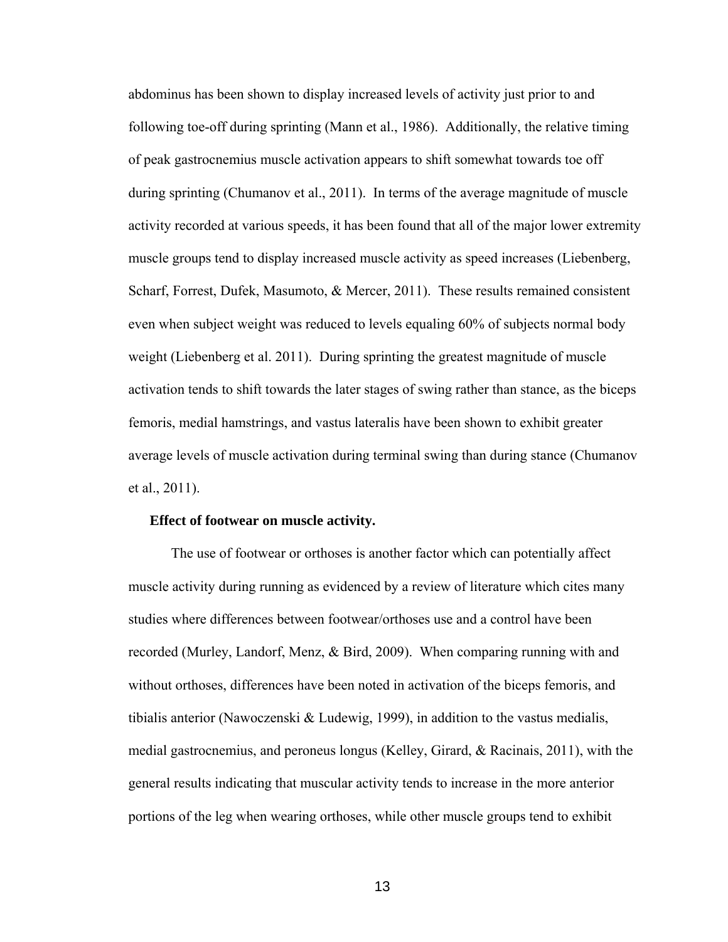abdominus has been shown to display increased levels of activity just prior to and following toe-off during sprinting (Mann et al., 1986). Additionally, the relative timing of peak gastrocnemius muscle activation appears to shift somewhat towards toe off during sprinting (Chumanov et al., 2011). In terms of the average magnitude of muscle activity recorded at various speeds, it has been found that all of the major lower extremity muscle groups tend to display increased muscle activity as speed increases (Liebenberg, Scharf, Forrest, Dufek, Masumoto, & Mercer, 2011). These results remained consistent even when subject weight was reduced to levels equaling 60% of subjects normal body weight (Liebenberg et al. 2011). During sprinting the greatest magnitude of muscle activation tends to shift towards the later stages of swing rather than stance, as the biceps femoris, medial hamstrings, and vastus lateralis have been shown to exhibit greater average levels of muscle activation during terminal swing than during stance (Chumanov et al., 2011).

#### **Effect of footwear on muscle activity.**

The use of footwear or orthoses is another factor which can potentially affect muscle activity during running as evidenced by a review of literature which cites many studies where differences between footwear/orthoses use and a control have been recorded (Murley, Landorf, Menz, & Bird, 2009). When comparing running with and without orthoses, differences have been noted in activation of the biceps femoris, and tibialis anterior (Nawoczenski & Ludewig, 1999), in addition to the vastus medialis, medial gastrocnemius, and peroneus longus (Kelley, Girard, & Racinais, 2011), with the general results indicating that muscular activity tends to increase in the more anterior portions of the leg when wearing orthoses, while other muscle groups tend to exhibit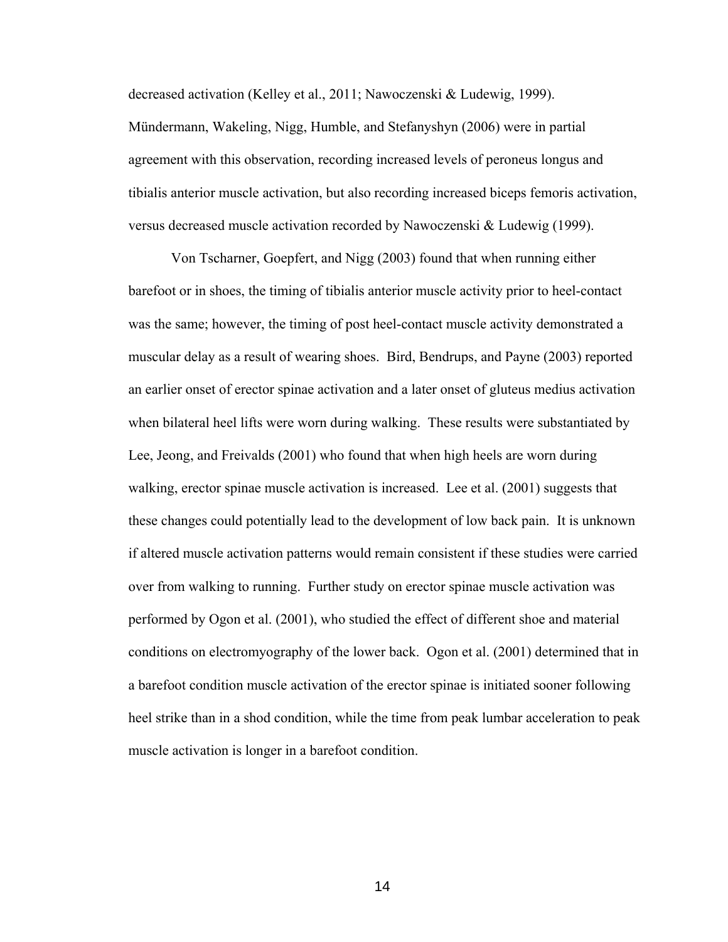decreased activation (Kelley et al., 2011; Nawoczenski & Ludewig, 1999). Mündermann, Wakeling, Nigg, Humble, and Stefanyshyn (2006) were in partial agreement with this observation, recording increased levels of peroneus longus and tibialis anterior muscle activation, but also recording increased biceps femoris activation, versus decreased muscle activation recorded by Nawoczenski & Ludewig (1999).

Von Tscharner, Goepfert, and Nigg (2003) found that when running either barefoot or in shoes, the timing of tibialis anterior muscle activity prior to heel-contact was the same; however, the timing of post heel-contact muscle activity demonstrated a muscular delay as a result of wearing shoes. Bird, Bendrups, and Payne (2003) reported an earlier onset of erector spinae activation and a later onset of gluteus medius activation when bilateral heel lifts were worn during walking. These results were substantiated by Lee, Jeong, and Freivalds (2001) who found that when high heels are worn during walking, erector spinae muscle activation is increased. Lee et al. (2001) suggests that these changes could potentially lead to the development of low back pain. It is unknown if altered muscle activation patterns would remain consistent if these studies were carried over from walking to running. Further study on erector spinae muscle activation was performed by Ogon et al. (2001), who studied the effect of different shoe and material conditions on electromyography of the lower back. Ogon et al. (2001) determined that in a barefoot condition muscle activation of the erector spinae is initiated sooner following heel strike than in a shod condition, while the time from peak lumbar acceleration to peak muscle activation is longer in a barefoot condition.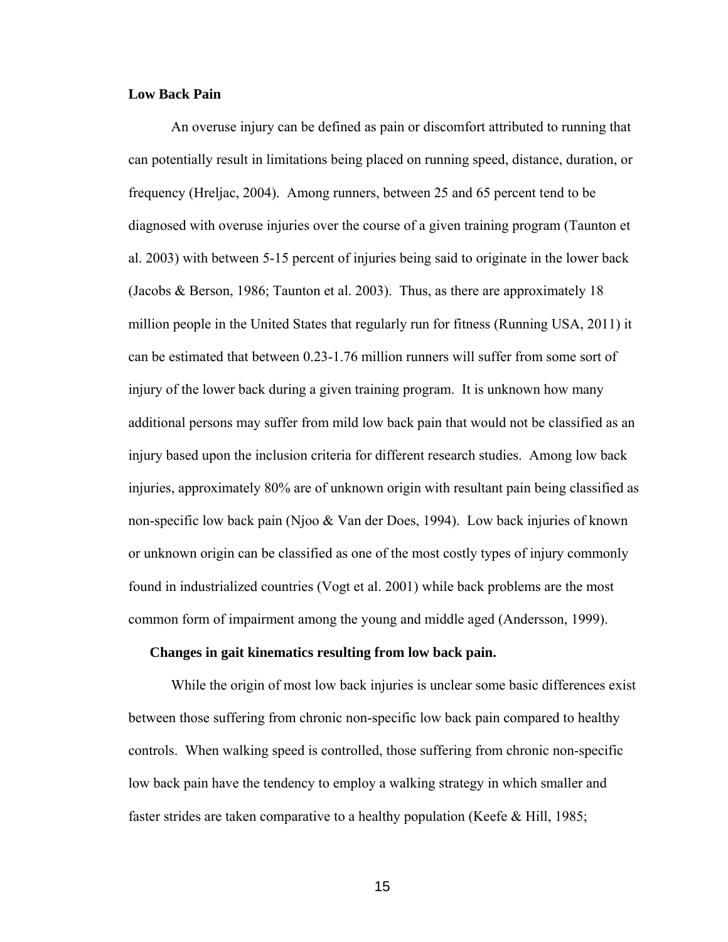#### **Low Back Pain**

 An overuse injury can be defined as pain or discomfort attributed to running that can potentially result in limitations being placed on running speed, distance, duration, or frequency (Hreljac, 2004). Among runners, between 25 and 65 percent tend to be diagnosed with overuse injuries over the course of a given training program (Taunton et al. 2003) with between 5-15 percent of injuries being said to originate in the lower back (Jacobs & Berson, 1986; Taunton et al. 2003). Thus, as there are approximately 18 million people in the United States that regularly run for fitness (Running USA, 2011) it can be estimated that between 0.23-1.76 million runners will suffer from some sort of injury of the lower back during a given training program. It is unknown how many additional persons may suffer from mild low back pain that would not be classified as an injury based upon the inclusion criteria for different research studies. Among low back injuries, approximately 80% are of unknown origin with resultant pain being classified as non-specific low back pain (Njoo & Van der Does, 1994). Low back injuries of known or unknown origin can be classified as one of the most costly types of injury commonly found in industrialized countries (Vogt et al. 2001) while back problems are the most common form of impairment among the young and middle aged (Andersson, 1999).

#### **Changes in gait kinematics resulting from low back pain.**

 While the origin of most low back injuries is unclear some basic differences exist between those suffering from chronic non-specific low back pain compared to healthy controls. When walking speed is controlled, those suffering from chronic non-specific low back pain have the tendency to employ a walking strategy in which smaller and faster strides are taken comparative to a healthy population (Keefe & Hill, 1985;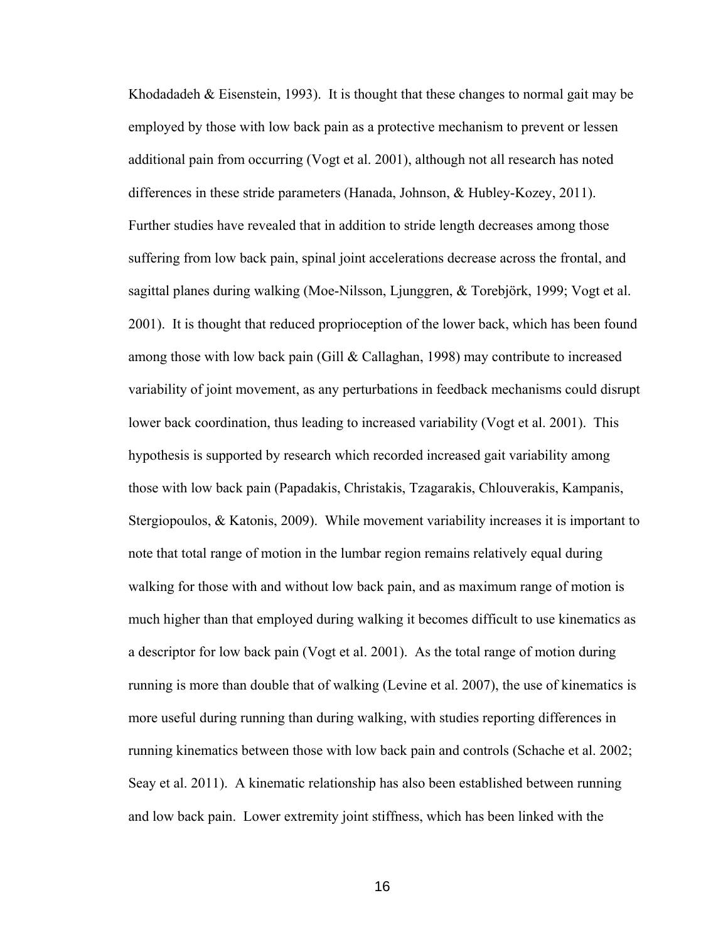Khodadadeh & Eisenstein, 1993). It is thought that these changes to normal gait may be employed by those with low back pain as a protective mechanism to prevent or lessen additional pain from occurring (Vogt et al. 2001), although not all research has noted differences in these stride parameters (Hanada, Johnson, & Hubley-Kozey, 2011). Further studies have revealed that in addition to stride length decreases among those suffering from low back pain, spinal joint accelerations decrease across the frontal, and sagittal planes during walking (Moe-Nilsson, Ljunggren, & Torebjörk, 1999; Vogt et al. 2001). It is thought that reduced proprioception of the lower back, which has been found among those with low back pain (Gill & Callaghan, 1998) may contribute to increased variability of joint movement, as any perturbations in feedback mechanisms could disrupt lower back coordination, thus leading to increased variability (Vogt et al. 2001). This hypothesis is supported by research which recorded increased gait variability among those with low back pain (Papadakis, Christakis, Tzagarakis, Chlouverakis, Kampanis, Stergiopoulos, & Katonis, 2009). While movement variability increases it is important to note that total range of motion in the lumbar region remains relatively equal during walking for those with and without low back pain, and as maximum range of motion is much higher than that employed during walking it becomes difficult to use kinematics as a descriptor for low back pain (Vogt et al. 2001). As the total range of motion during running is more than double that of walking (Levine et al. 2007), the use of kinematics is more useful during running than during walking, with studies reporting differences in running kinematics between those with low back pain and controls (Schache et al. 2002; Seay et al. 2011). A kinematic relationship has also been established between running and low back pain. Lower extremity joint stiffness, which has been linked with the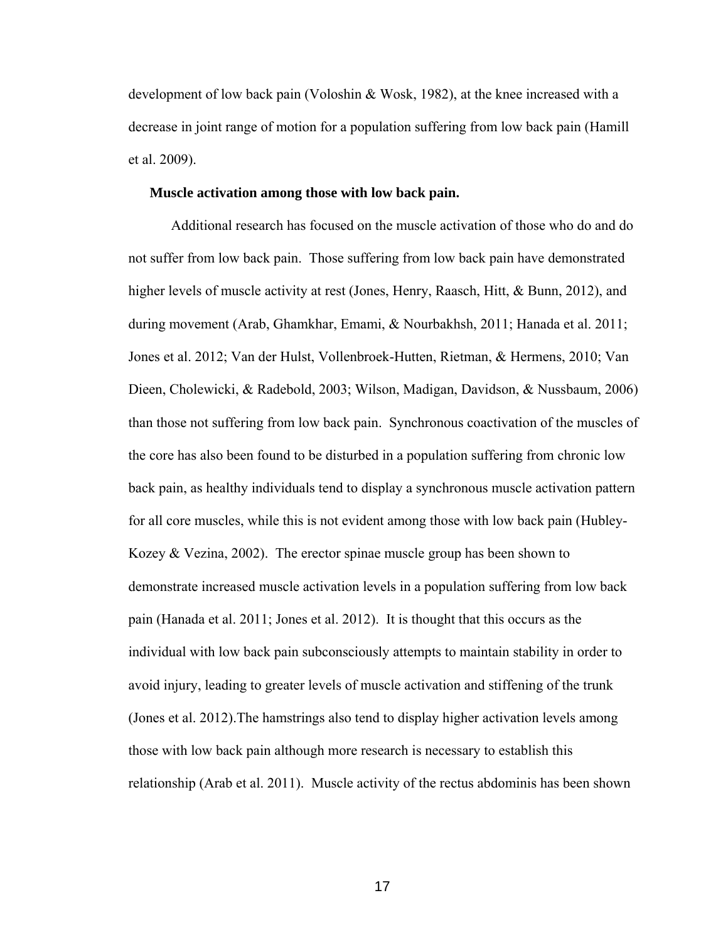development of low back pain (Voloshin & Wosk, 1982), at the knee increased with a decrease in joint range of motion for a population suffering from low back pain (Hamill et al. 2009).

#### **Muscle activation among those with low back pain.**

Additional research has focused on the muscle activation of those who do and do not suffer from low back pain. Those suffering from low back pain have demonstrated higher levels of muscle activity at rest (Jones, Henry, Raasch, Hitt, & Bunn, 2012), and during movement (Arab, Ghamkhar, Emami, & Nourbakhsh, 2011; Hanada et al. 2011; Jones et al. 2012; Van der Hulst, Vollenbroek-Hutten, Rietman, & Hermens, 2010; Van Dieen, Cholewicki, & Radebold, 2003; Wilson, Madigan, Davidson, & Nussbaum, 2006) than those not suffering from low back pain. Synchronous coactivation of the muscles of the core has also been found to be disturbed in a population suffering from chronic low back pain, as healthy individuals tend to display a synchronous muscle activation pattern for all core muscles, while this is not evident among those with low back pain (Hubley-Kozey  $& Vezina, 2002$ . The erector spinae muscle group has been shown to demonstrate increased muscle activation levels in a population suffering from low back pain (Hanada et al. 2011; Jones et al. 2012). It is thought that this occurs as the individual with low back pain subconsciously attempts to maintain stability in order to avoid injury, leading to greater levels of muscle activation and stiffening of the trunk (Jones et al. 2012).The hamstrings also tend to display higher activation levels among those with low back pain although more research is necessary to establish this relationship (Arab et al. 2011). Muscle activity of the rectus abdominis has been shown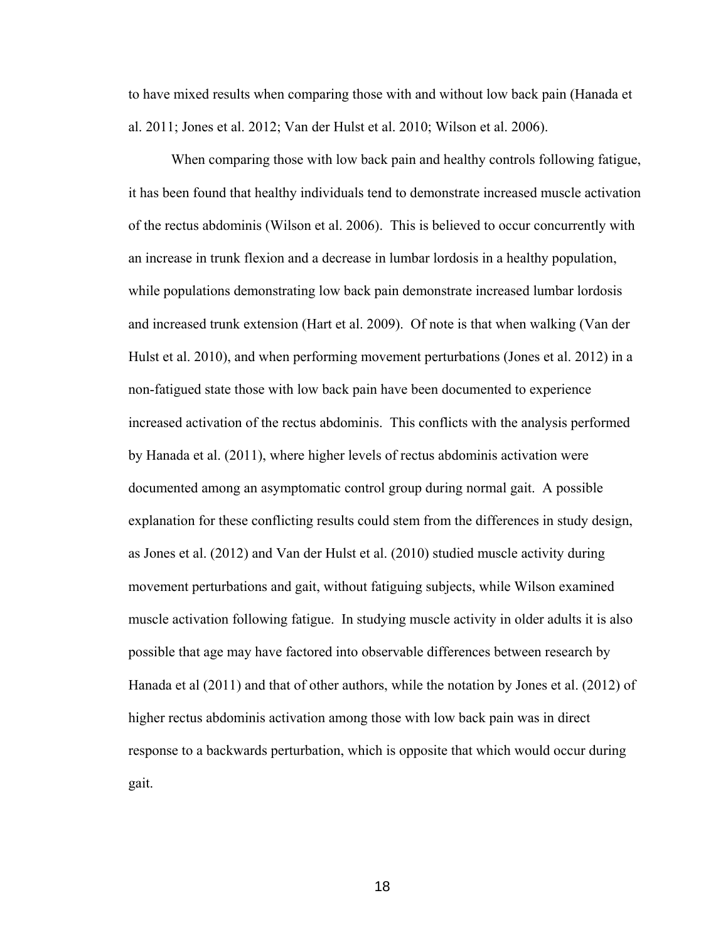to have mixed results when comparing those with and without low back pain (Hanada et al. 2011; Jones et al. 2012; Van der Hulst et al. 2010; Wilson et al. 2006).

When comparing those with low back pain and healthy controls following fatigue, it has been found that healthy individuals tend to demonstrate increased muscle activation of the rectus abdominis (Wilson et al. 2006). This is believed to occur concurrently with an increase in trunk flexion and a decrease in lumbar lordosis in a healthy population, while populations demonstrating low back pain demonstrate increased lumbar lordosis and increased trunk extension (Hart et al. 2009). Of note is that when walking (Van der Hulst et al. 2010), and when performing movement perturbations (Jones et al. 2012) in a non-fatigued state those with low back pain have been documented to experience increased activation of the rectus abdominis. This conflicts with the analysis performed by Hanada et al. (2011), where higher levels of rectus abdominis activation were documented among an asymptomatic control group during normal gait. A possible explanation for these conflicting results could stem from the differences in study design, as Jones et al. (2012) and Van der Hulst et al. (2010) studied muscle activity during movement perturbations and gait, without fatiguing subjects, while Wilson examined muscle activation following fatigue. In studying muscle activity in older adults it is also possible that age may have factored into observable differences between research by Hanada et al (2011) and that of other authors, while the notation by Jones et al. (2012) of higher rectus abdominis activation among those with low back pain was in direct response to a backwards perturbation, which is opposite that which would occur during gait.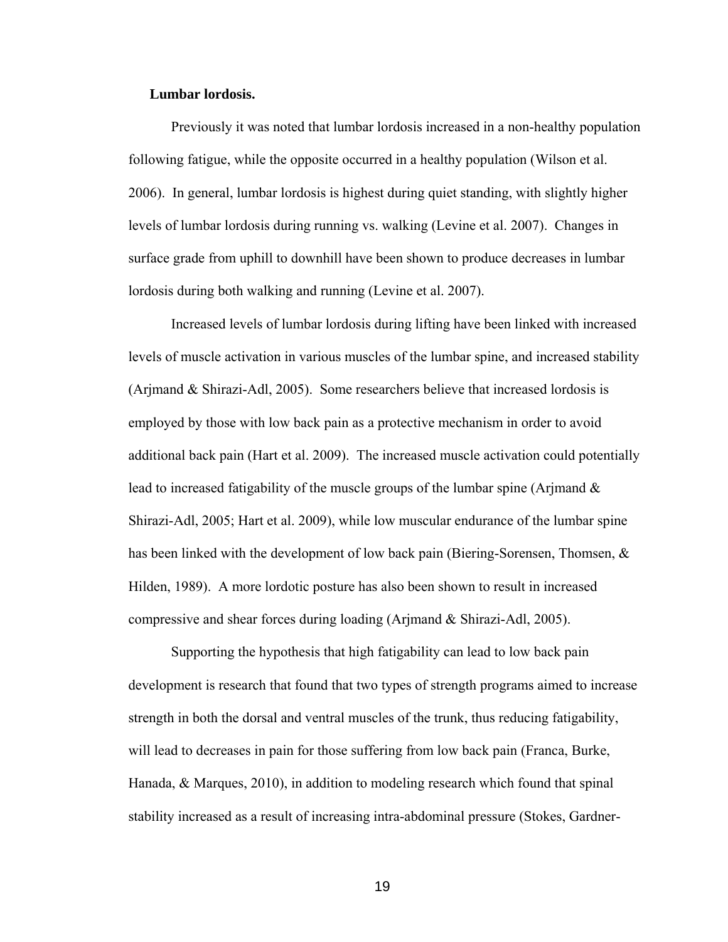#### **Lumbar lordosis.**

Previously it was noted that lumbar lordosis increased in a non-healthy population following fatigue, while the opposite occurred in a healthy population (Wilson et al. 2006). In general, lumbar lordosis is highest during quiet standing, with slightly higher levels of lumbar lordosis during running vs. walking (Levine et al. 2007). Changes in surface grade from uphill to downhill have been shown to produce decreases in lumbar lordosis during both walking and running (Levine et al. 2007).

Increased levels of lumbar lordosis during lifting have been linked with increased levels of muscle activation in various muscles of the lumbar spine, and increased stability (Arjmand & Shirazi-Adl, 2005). Some researchers believe that increased lordosis is employed by those with low back pain as a protective mechanism in order to avoid additional back pain (Hart et al. 2009). The increased muscle activation could potentially lead to increased fatigability of the muscle groups of the lumbar spine (Arjmand & Shirazi-Adl, 2005; Hart et al. 2009), while low muscular endurance of the lumbar spine has been linked with the development of low back pain (Biering-Sorensen, Thomsen,  $\&$ Hilden, 1989). A more lordotic posture has also been shown to result in increased compressive and shear forces during loading (Arjmand & Shirazi-Adl, 2005).

Supporting the hypothesis that high fatigability can lead to low back pain development is research that found that two types of strength programs aimed to increase strength in both the dorsal and ventral muscles of the trunk, thus reducing fatigability, will lead to decreases in pain for those suffering from low back pain (Franca, Burke, Hanada, & Marques, 2010), in addition to modeling research which found that spinal stability increased as a result of increasing intra-abdominal pressure (Stokes, Gardner-

the contract of the contract of the contract of the contract of the contract of the contract of the contract o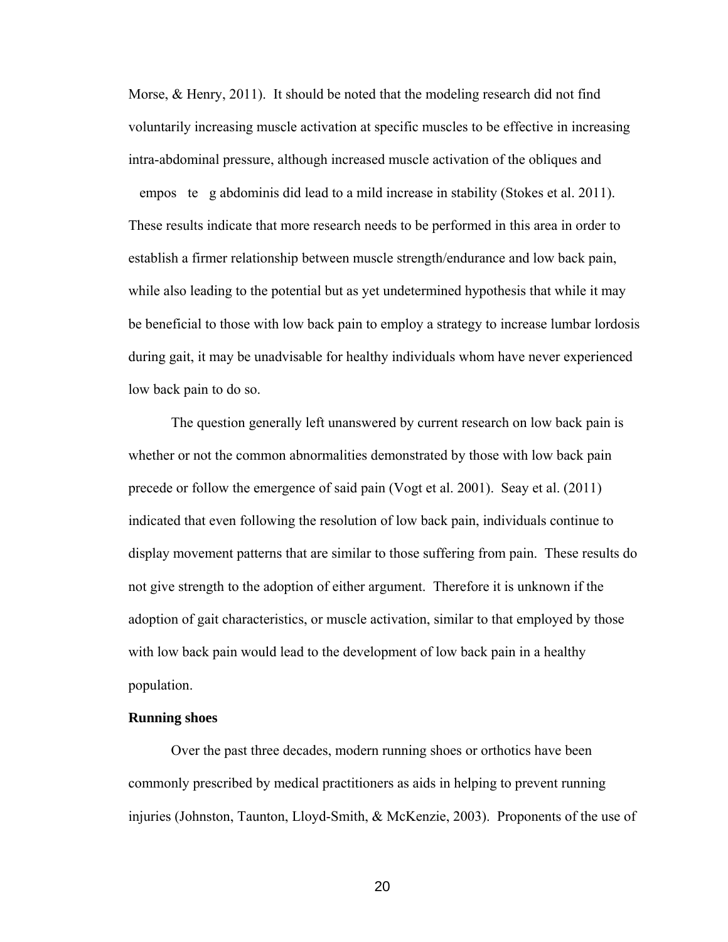Morse, & Henry, 2011). It should be noted that the modeling research did not find voluntarily increasing muscle activation at specific muscles to be effective in increasing intra-abdominal pressure, although increased muscle activation of the obliques and empos te g abdominis did lead to a mild increase in stability (Stokes et al. 2011). These results indicate that more research needs to be performed in this area in order to establish a firmer relationship between muscle strength/endurance and low back pain, while also leading to the potential but as yet undetermined hypothesis that while it may be beneficial to those with low back pain to employ a strategy to increase lumbar lordosis during gait, it may be unadvisable for healthy individuals whom have never experienced low back pain to do so.

 The question generally left unanswered by current research on low back pain is whether or not the common abnormalities demonstrated by those with low back pain precede or follow the emergence of said pain (Vogt et al. 2001). Seay et al. (2011) indicated that even following the resolution of low back pain, individuals continue to display movement patterns that are similar to those suffering from pain. These results do not give strength to the adoption of either argument. Therefore it is unknown if the adoption of gait characteristics, or muscle activation, similar to that employed by those with low back pain would lead to the development of low back pain in a healthy population.

#### **Running shoes**

 Over the past three decades, modern running shoes or orthotics have been commonly prescribed by medical practitioners as aids in helping to prevent running injuries (Johnston, Taunton, Lloyd-Smith, & McKenzie, 2003). Proponents of the use of

<u>20</u>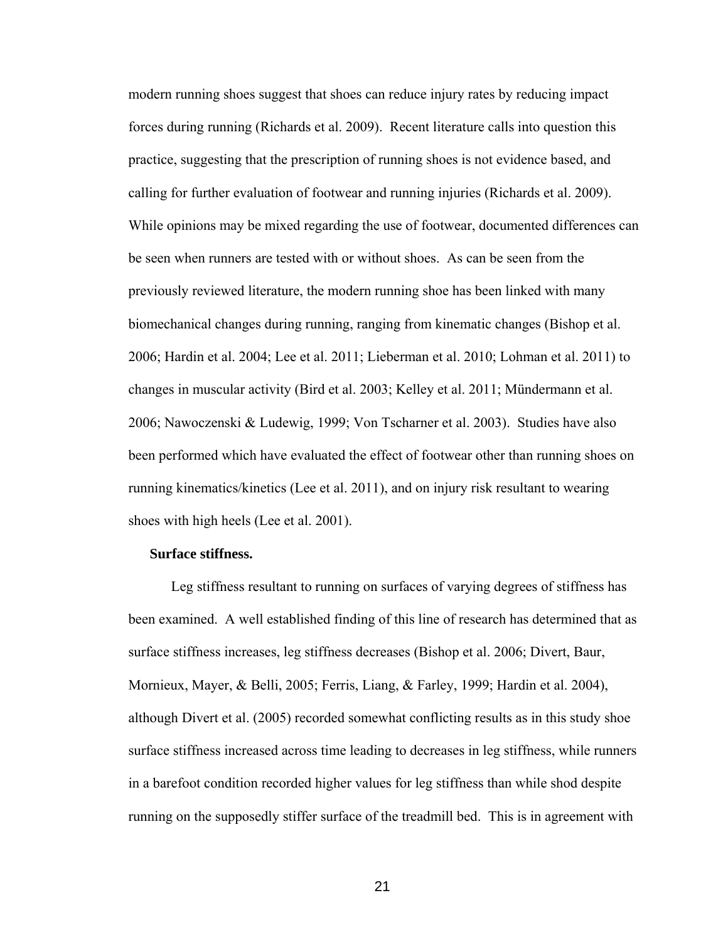modern running shoes suggest that shoes can reduce injury rates by reducing impact forces during running (Richards et al. 2009). Recent literature calls into question this practice, suggesting that the prescription of running shoes is not evidence based, and calling for further evaluation of footwear and running injuries (Richards et al. 2009). While opinions may be mixed regarding the use of footwear, documented differences can be seen when runners are tested with or without shoes. As can be seen from the previously reviewed literature, the modern running shoe has been linked with many biomechanical changes during running, ranging from kinematic changes (Bishop et al. 2006; Hardin et al. 2004; Lee et al. 2011; Lieberman et al. 2010; Lohman et al. 2011) to changes in muscular activity (Bird et al. 2003; Kelley et al. 2011; Mündermann et al. 2006; Nawoczenski & Ludewig, 1999; Von Tscharner et al. 2003). Studies have also been performed which have evaluated the effect of footwear other than running shoes on running kinematics/kinetics (Lee et al. 2011), and on injury risk resultant to wearing shoes with high heels (Lee et al. 2001).

#### **Surface stiffness.**

 Leg stiffness resultant to running on surfaces of varying degrees of stiffness has been examined. A well established finding of this line of research has determined that as surface stiffness increases, leg stiffness decreases (Bishop et al. 2006; Divert, Baur, Mornieux, Mayer, & Belli, 2005; Ferris, Liang, & Farley, 1999; Hardin et al. 2004), although Divert et al. (2005) recorded somewhat conflicting results as in this study shoe surface stiffness increased across time leading to decreases in leg stiffness, while runners in a barefoot condition recorded higher values for leg stiffness than while shod despite running on the supposedly stiffer surface of the treadmill bed. This is in agreement with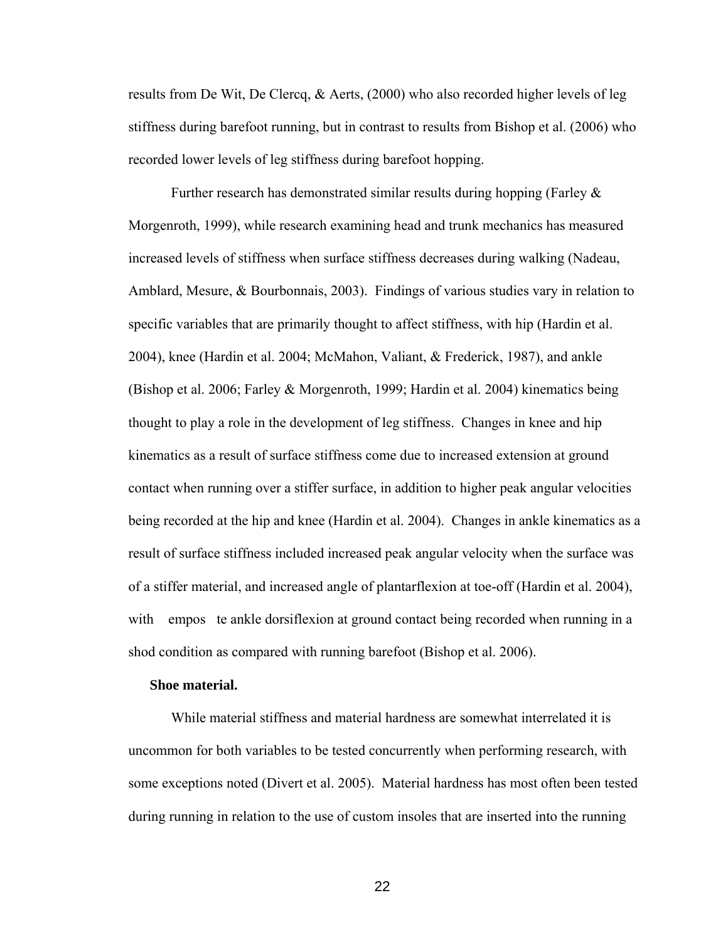results from De Wit, De Clercq, & Aerts, (2000) who also recorded higher levels of leg stiffness during barefoot running, but in contrast to results from Bishop et al. (2006) who recorded lower levels of leg stiffness during barefoot hopping.

Further research has demonstrated similar results during hopping (Farley & Morgenroth, 1999), while research examining head and trunk mechanics has measured increased levels of stiffness when surface stiffness decreases during walking (Nadeau, Amblard, Mesure, & Bourbonnais, 2003). Findings of various studies vary in relation to specific variables that are primarily thought to affect stiffness, with hip (Hardin et al. 2004), knee (Hardin et al. 2004; McMahon, Valiant, & Frederick, 1987), and ankle (Bishop et al. 2006; Farley & Morgenroth, 1999; Hardin et al. 2004) kinematics being thought to play a role in the development of leg stiffness. Changes in knee and hip kinematics as a result of surface stiffness come due to increased extension at ground contact when running over a stiffer surface, in addition to higher peak angular velocities being recorded at the hip and knee (Hardin et al. 2004). Changes in ankle kinematics as a result of surface stiffness included increased peak angular velocity when the surface was of a stiffer material, and increased angle of plantarflexion at toe-off (Hardin et al. 2004), with empos te ankle dorsiflexion at ground contact being recorded when running in a shod condition as compared with running barefoot (Bishop et al. 2006).

#### **Shoe material.**

 While material stiffness and material hardness are somewhat interrelated it is uncommon for both variables to be tested concurrently when performing research, with some exceptions noted (Divert et al. 2005). Material hardness has most often been tested during running in relation to the use of custom insoles that are inserted into the running

<u>22</u>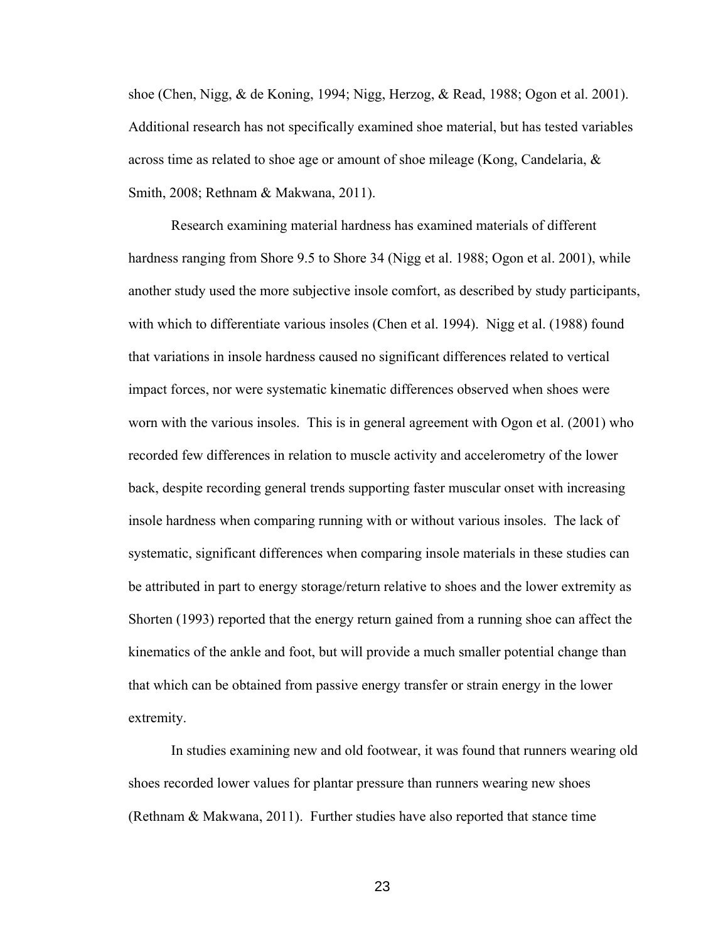shoe (Chen, Nigg, & de Koning, 1994; Nigg, Herzog, & Read, 1988; Ogon et al. 2001). Additional research has not specifically examined shoe material, but has tested variables across time as related to shoe age or amount of shoe mileage (Kong, Candelaria, & Smith, 2008; Rethnam & Makwana, 2011).

 Research examining material hardness has examined materials of different hardness ranging from Shore 9.5 to Shore 34 (Nigg et al. 1988; Ogon et al. 2001), while another study used the more subjective insole comfort, as described by study participants, with which to differentiate various insoles (Chen et al. 1994). Nigg et al. (1988) found that variations in insole hardness caused no significant differences related to vertical impact forces, nor were systematic kinematic differences observed when shoes were worn with the various insoles. This is in general agreement with Ogon et al. (2001) who recorded few differences in relation to muscle activity and accelerometry of the lower back, despite recording general trends supporting faster muscular onset with increasing insole hardness when comparing running with or without various insoles. The lack of systematic, significant differences when comparing insole materials in these studies can be attributed in part to energy storage/return relative to shoes and the lower extremity as Shorten (1993) reported that the energy return gained from a running shoe can affect the kinematics of the ankle and foot, but will provide a much smaller potential change than that which can be obtained from passive energy transfer or strain energy in the lower extremity.

 In studies examining new and old footwear, it was found that runners wearing old shoes recorded lower values for plantar pressure than runners wearing new shoes (Rethnam & Makwana, 2011). Further studies have also reported that stance time

<u>23</u>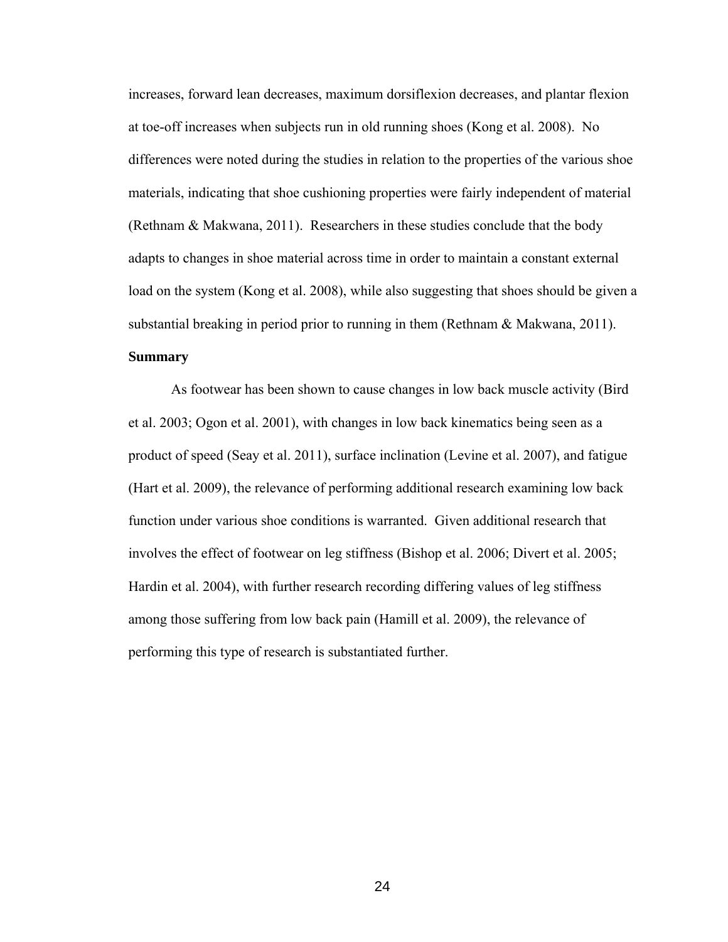increases, forward lean decreases, maximum dorsiflexion decreases, and plantar flexion at toe-off increases when subjects run in old running shoes (Kong et al. 2008). No differences were noted during the studies in relation to the properties of the various shoe materials, indicating that shoe cushioning properties were fairly independent of material (Rethnam & Makwana, 2011). Researchers in these studies conclude that the body adapts to changes in shoe material across time in order to maintain a constant external load on the system (Kong et al. 2008), while also suggesting that shoes should be given a substantial breaking in period prior to running in them (Rethnam & Makwana, 2011). **Summary** 

As footwear has been shown to cause changes in low back muscle activity (Bird et al. 2003; Ogon et al. 2001), with changes in low back kinematics being seen as a product of speed (Seay et al. 2011), surface inclination (Levine et al. 2007), and fatigue (Hart et al. 2009), the relevance of performing additional research examining low back function under various shoe conditions is warranted. Given additional research that involves the effect of footwear on leg stiffness (Bishop et al. 2006; Divert et al. 2005; Hardin et al. 2004), with further research recording differing values of leg stiffness among those suffering from low back pain (Hamill et al. 2009), the relevance of performing this type of research is substantiated further.

<u>24</u>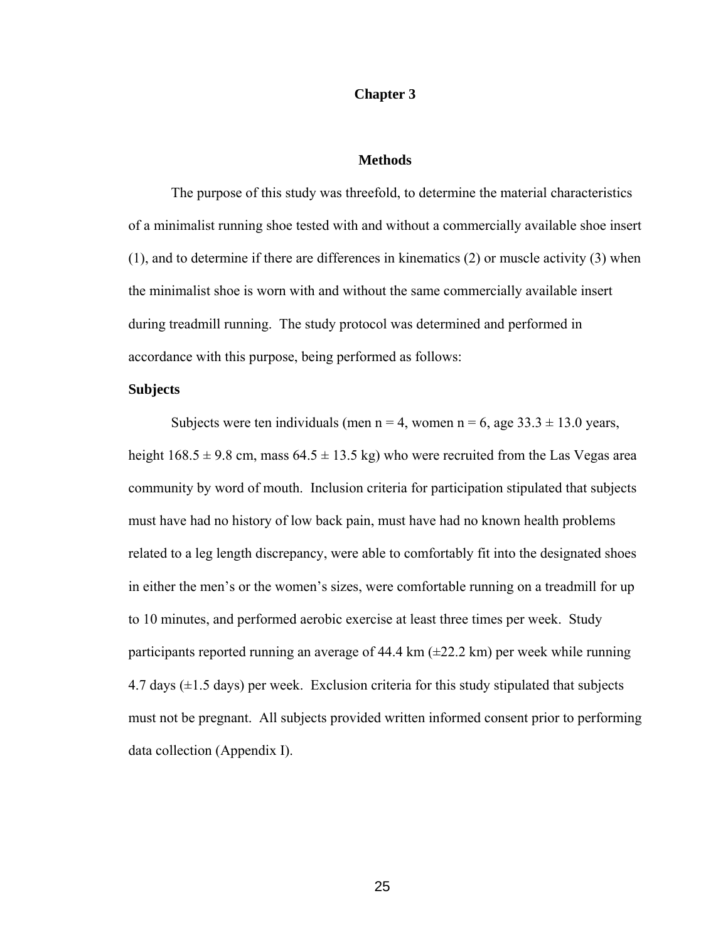#### **Chapter 3**

#### **Methods**

The purpose of this study was threefold, to determine the material characteristics of a minimalist running shoe tested with and without a commercially available shoe insert (1), and to determine if there are differences in kinematics (2) or muscle activity (3) when the minimalist shoe is worn with and without the same commercially available insert during treadmill running. The study protocol was determined and performed in accordance with this purpose, being performed as follows:

#### **Subjects**

Subjects were ten individuals (men  $n = 4$ , women  $n = 6$ , age 33.3  $\pm$  13.0 years, height  $168.5 \pm 9.8$  cm, mass  $64.5 \pm 13.5$  kg) who were recruited from the Las Vegas area community by word of mouth. Inclusion criteria for participation stipulated that subjects must have had no history of low back pain, must have had no known health problems related to a leg length discrepancy, were able to comfortably fit into the designated shoes in either the men's or the women's sizes, were comfortable running on a treadmill for up to 10 minutes, and performed aerobic exercise at least three times per week. Study participants reported running an average of  $44.4 \text{ km } (\pm 22.2 \text{ km})$  per week while running 4.7 days  $(\pm 1.5$  days) per week. Exclusion criteria for this study stipulated that subjects must not be pregnant. All subjects provided written informed consent prior to performing data collection (Appendix I).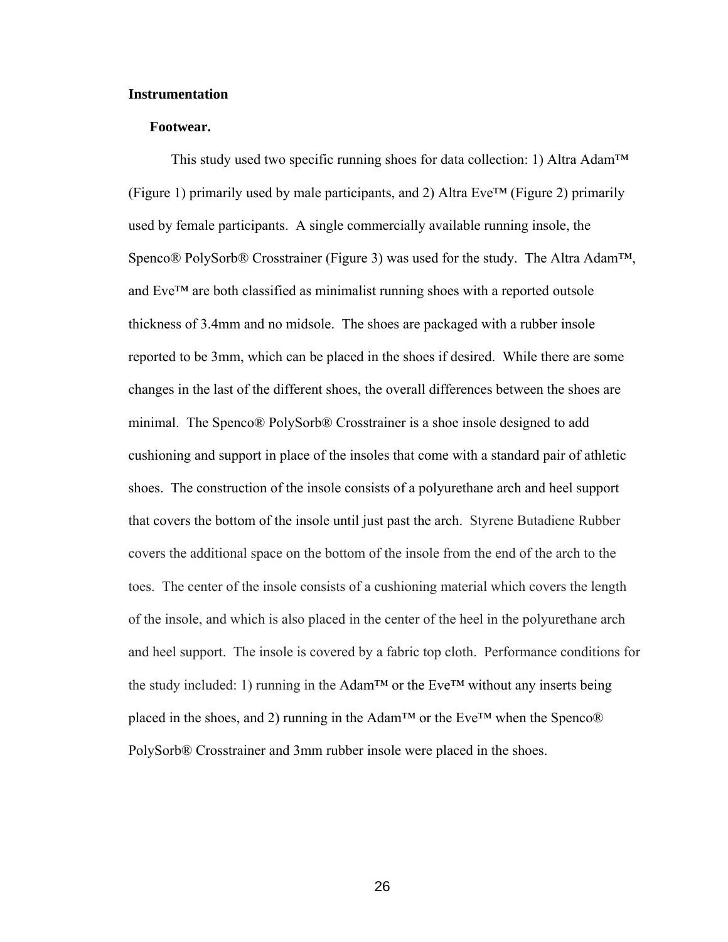#### **Instrumentation**

### **Footwear.**

This study used two specific running shoes for data collection: 1) Altra Adam<sup>TM</sup> (Figure 1) primarily used by male participants, and 2) Altra Eve<sup>TM</sup> (Figure 2) primarily used by female participants. A single commercially available running insole, the Spenco® PolySorb® Crosstrainer (Figure 3) was used for the study. The Altra Adam™, and Eve™ are both classified as minimalist running shoes with a reported outsole thickness of 3.4mm and no midsole. The shoes are packaged with a rubber insole reported to be 3mm, which can be placed in the shoes if desired. While there are some changes in the last of the different shoes, the overall differences between the shoes are minimal. The Spenco® PolySorb® Crosstrainer is a shoe insole designed to add cushioning and support in place of the insoles that come with a standard pair of athletic shoes. The construction of the insole consists of a polyurethane arch and heel support that covers the bottom of the insole until just past the arch. Styrene Butadiene Rubber covers the additional space on the bottom of the insole from the end of the arch to the toes. The center of the insole consists of a cushioning material which covers the length of the insole, and which is also placed in the center of the heel in the polyurethane arch and heel support. The insole is covered by a fabric top cloth. Performance conditions for the study included: 1) running in the Adam<sup>TM</sup> or the Eve<sup>TM</sup> without any inserts being placed in the shoes, and 2) running in the Adam™ or the Eve™ when the Spenco® PolySorb® Crosstrainer and 3mm rubber insole were placed in the shoes.

<u>26</u>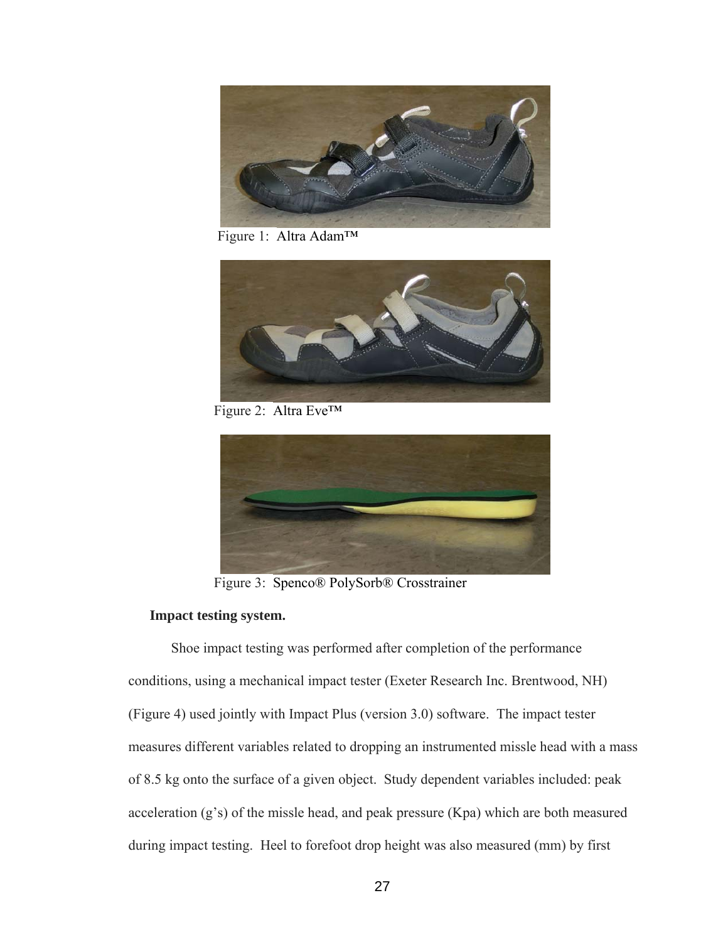

Figure 1: Altra Adam™



Figure 2: Altra Eve™



Figure 3: Spenco® PolySorb® Crosstrainer

# **Impact testing system.**

 Shoe impact testing was performed after completion of the performance conditions, using a mechanical impact tester (Exeter Research Inc. Brentwood, NH) (Figure 4) used jointly with Impact Plus (version 3.0) software. The impact tester measures different variables related to dropping an instrumented missle head with a mass of 8.5 kg onto the surface of a given object. Study dependent variables included: peak acceleration (g's) of the missle head, and peak pressure (Kpa) which are both measured during impact testing. Heel to forefoot drop height was also measured (mm) by first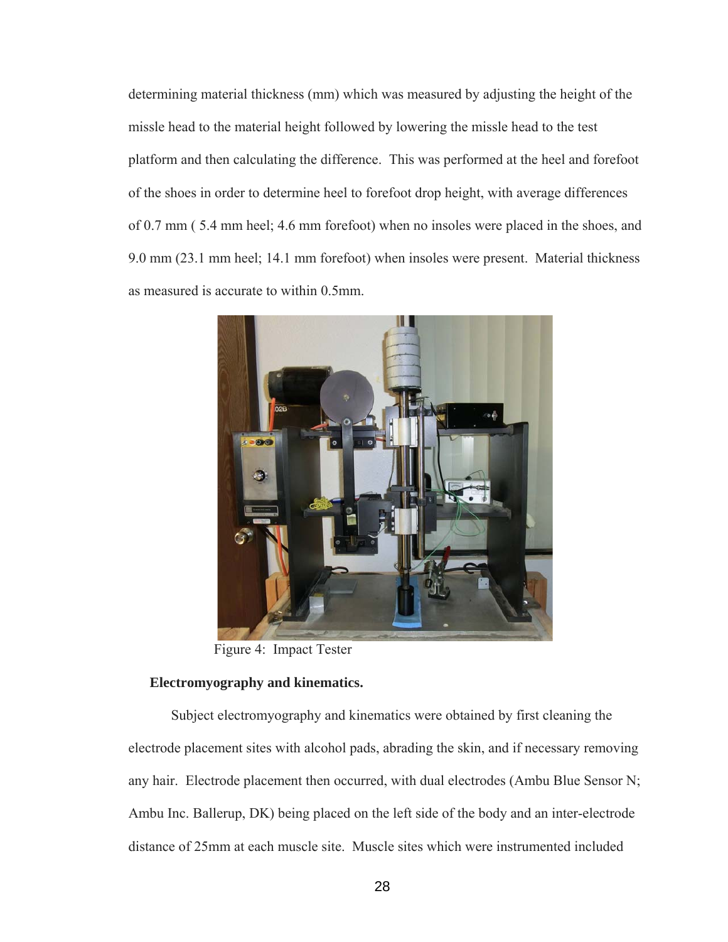determining material thickness (mm) which was measured by adjusting the height of the missle head to the material height followed by lowering the missle head to the test platform and then calculating the difference. This was performed at the heel and forefoot of the shoes in order to determine heel to forefoot drop height, with average differences of 0.7 mm ( 5.4 mm heel; 4.6 mm forefoot) when no insoles were placed in the shoes, and 9.0 mm (23.1 mm heel; 14.1 mm forefoot) when insoles were present. Material thickness as measured is accurate to within 0.5mm.



Figure 4: Impact Tester

#### **Electromyography and kinematics.**

 Subject electromyography and kinematics were obtained by first cleaning the electrode placement sites with alcohol pads, abrading the skin, and if necessary removing any hair. Electrode placement then occurred, with dual electrodes (Ambu Blue Sensor N; Ambu Inc. Ballerup, DK) being placed on the left side of the body and an inter-electrode distance of 25mm at each muscle site. Muscle sites which were instrumented included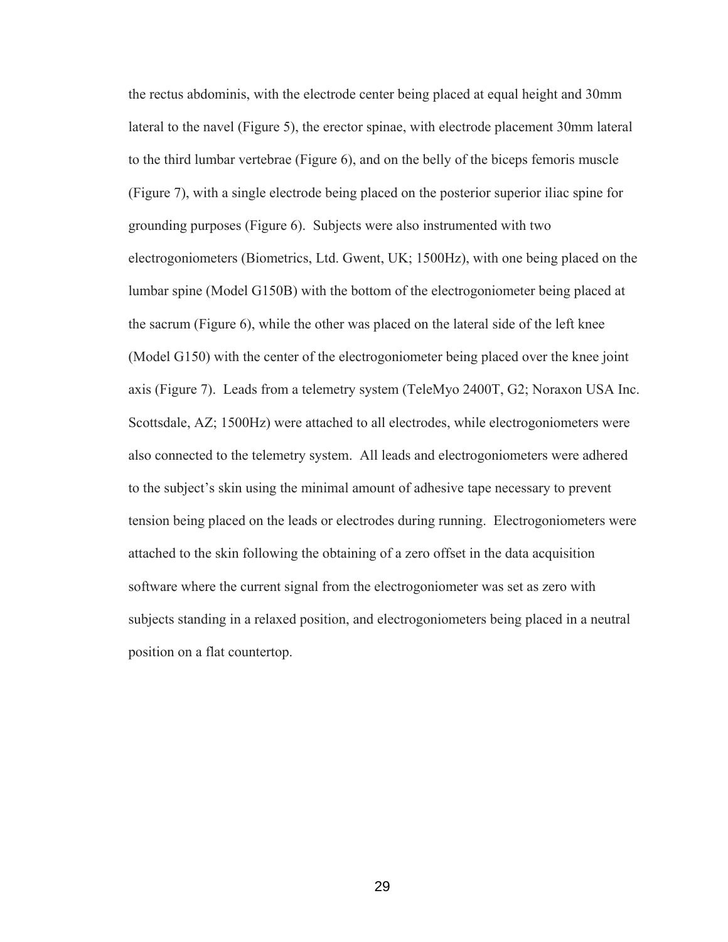the rectus abdominis, with the electrode center being placed at equal height and 30mm lateral to the navel (Figure 5), the erector spinae, with electrode placement 30mm lateral to the third lumbar vertebrae (Figure 6), and on the belly of the biceps femoris muscle (Figure 7), with a single electrode being placed on the posterior superior iliac spine for grounding purposes (Figure 6). Subjects were also instrumented with two electrogoniometers (Biometrics, Ltd. Gwent, UK; 1500Hz), with one being placed on the lumbar spine (Model G150B) with the bottom of the electrogoniometer being placed at the sacrum (Figure 6), while the other was placed on the lateral side of the left knee (Model G150) with the center of the electrogoniometer being placed over the knee joint axis (Figure 7). Leads from a telemetry system (TeleMyo 2400T, G2; Noraxon USA Inc. Scottsdale, AZ; 1500Hz) were attached to all electrodes, while electrogoniometers were also connected to the telemetry system. All leads and electrogoniometers were adhered to the subject's skin using the minimal amount of adhesive tape necessary to prevent tension being placed on the leads or electrodes during running. Electrogoniometers were attached to the skin following the obtaining of a zero offset in the data acquisition software where the current signal from the electrogoniometer was set as zero with subjects standing in a relaxed position, and electrogoniometers being placed in a neutral position on a flat countertop.

<u>29 and 29</u>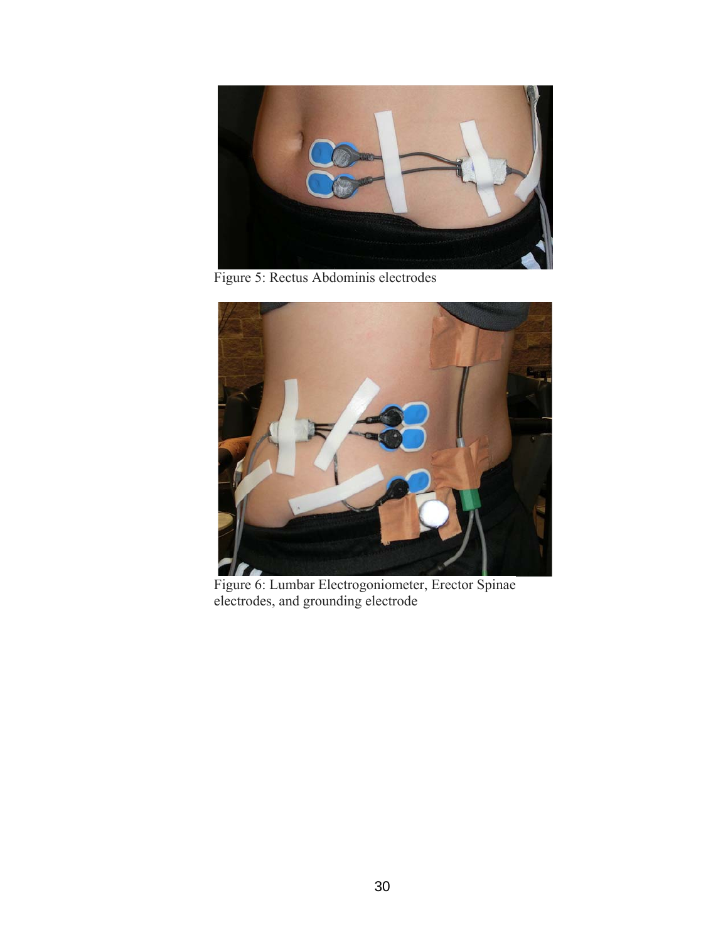

Figure 5: Rectus Abdominis electrodes



 Figure 6: Lumbar Electrogoniometer, Erector Spinae electrodes, and grounding electrode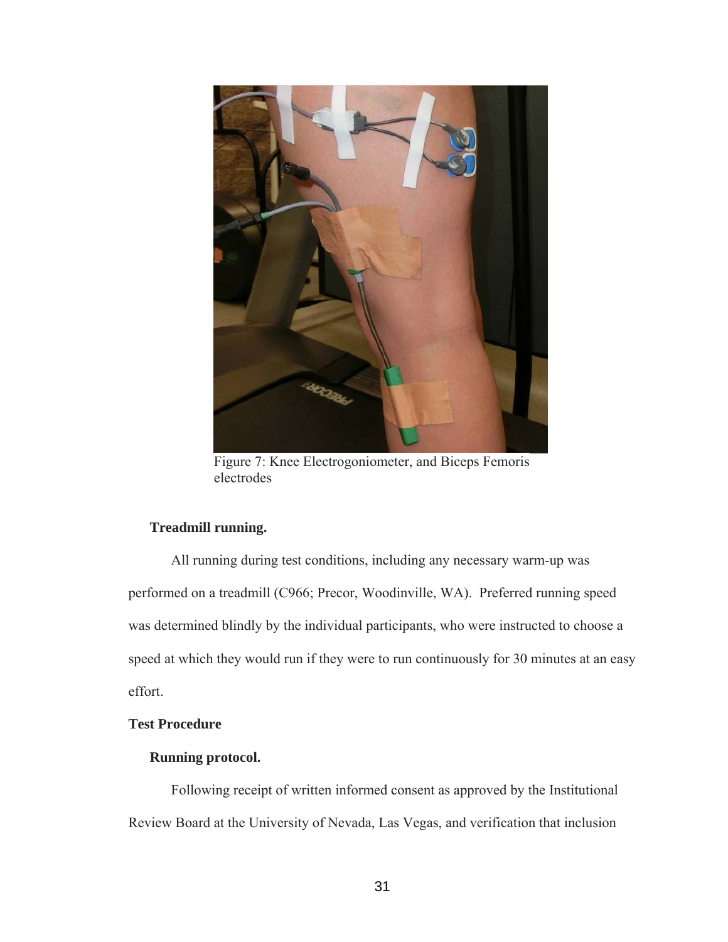

Figure 7: Knee Electrogoniometer, and Biceps Femoris electrodes

# **Treadmill running.**

 All running during test conditions, including any necessary warm-up was performed on a treadmill (C966; Precor, Woodinville, WA). Preferred running speed was determined blindly by the individual participants, who were instructed to choose a speed at which they would run if they were to run continuously for 30 minutes at an easy effort.

### **Test Procedure**

### **Running protocol.**

Following receipt of written informed consent as approved by the Institutional Review Board at the University of Nevada, Las Vegas, and verification that inclusion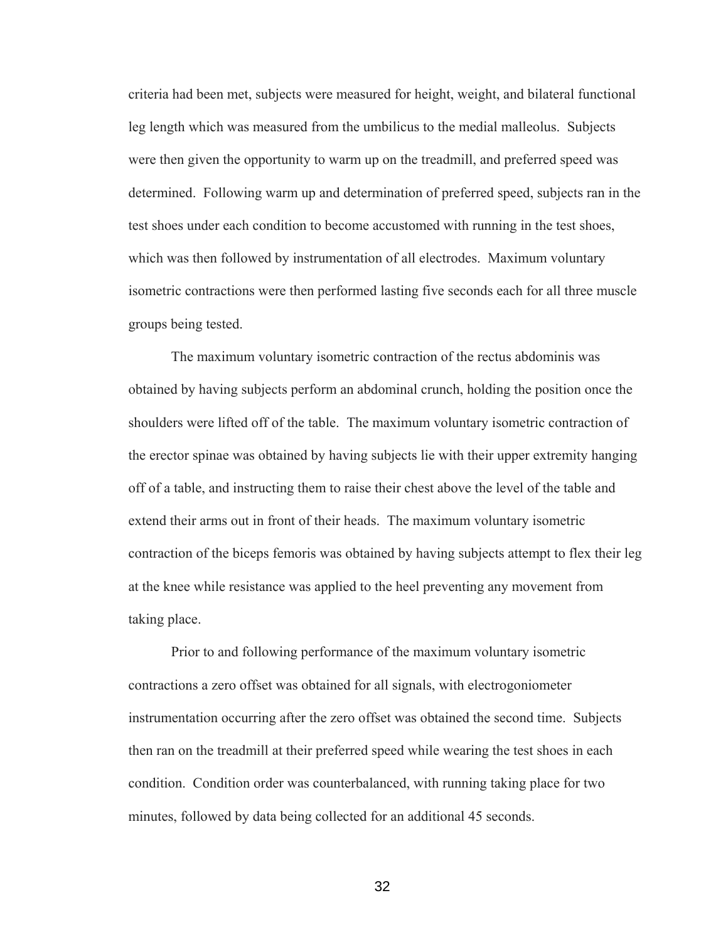criteria had been met, subjects were measured for height, weight, and bilateral functional leg length which was measured from the umbilicus to the medial malleolus. Subjects were then given the opportunity to warm up on the treadmill, and preferred speed was determined. Following warm up and determination of preferred speed, subjects ran in the test shoes under each condition to become accustomed with running in the test shoes, which was then followed by instrumentation of all electrodes. Maximum voluntary isometric contractions were then performed lasting five seconds each for all three muscle groups being tested.

The maximum voluntary isometric contraction of the rectus abdominis was obtained by having subjects perform an abdominal crunch, holding the position once the shoulders were lifted off of the table. The maximum voluntary isometric contraction of the erector spinae was obtained by having subjects lie with their upper extremity hanging off of a table, and instructing them to raise their chest above the level of the table and extend their arms out in front of their heads. The maximum voluntary isometric contraction of the biceps femoris was obtained by having subjects attempt to flex their leg at the knee while resistance was applied to the heel preventing any movement from taking place.

Prior to and following performance of the maximum voluntary isometric contractions a zero offset was obtained for all signals, with electrogoniometer instrumentation occurring after the zero offset was obtained the second time. Subjects then ran on the treadmill at their preferred speed while wearing the test shoes in each condition. Condition order was counterbalanced, with running taking place for two minutes, followed by data being collected for an additional 45 seconds.

<u>32</u>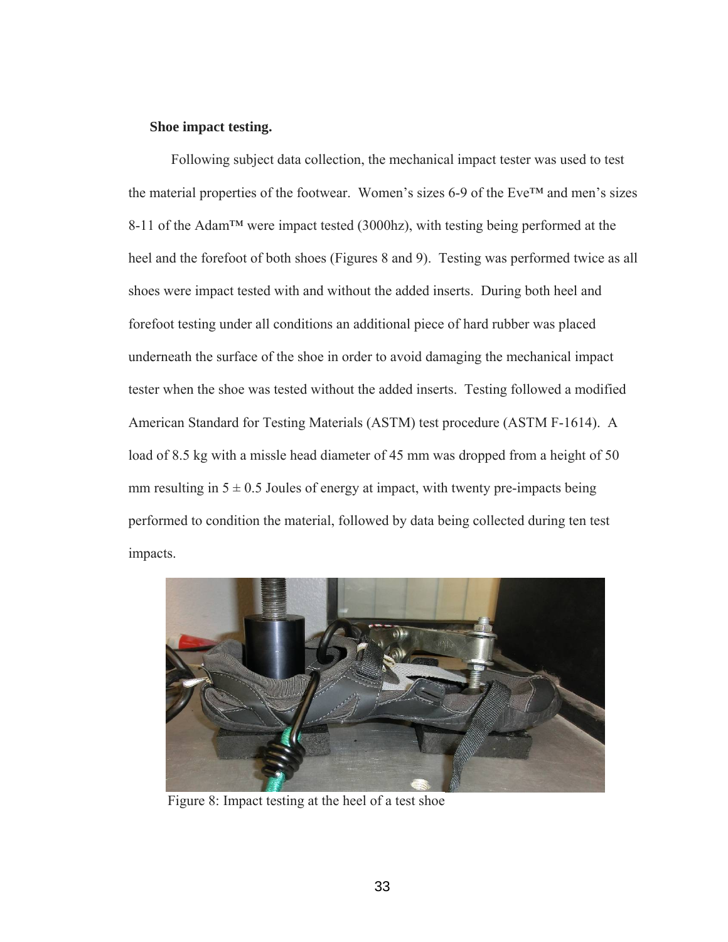### **Shoe impact testing.**

 Following subject data collection, the mechanical impact tester was used to test the material properties of the footwear. Women's sizes 6-9 of the Eve™ and men's sizes 8-11 of the Adam™ were impact tested (3000hz), with testing being performed at the heel and the forefoot of both shoes (Figures 8 and 9). Testing was performed twice as all shoes were impact tested with and without the added inserts. During both heel and forefoot testing under all conditions an additional piece of hard rubber was placed underneath the surface of the shoe in order to avoid damaging the mechanical impact tester when the shoe was tested without the added inserts. Testing followed a modified American Standard for Testing Materials (ASTM) test procedure (ASTM F-1614). A load of 8.5 kg with a missle head diameter of 45 mm was dropped from a height of 50 mm resulting in  $5 \pm 0.5$  Joules of energy at impact, with twenty pre-impacts being performed to condition the material, followed by data being collected during ten test impacts.



Figure 8: Impact testing at the heel of a test shoe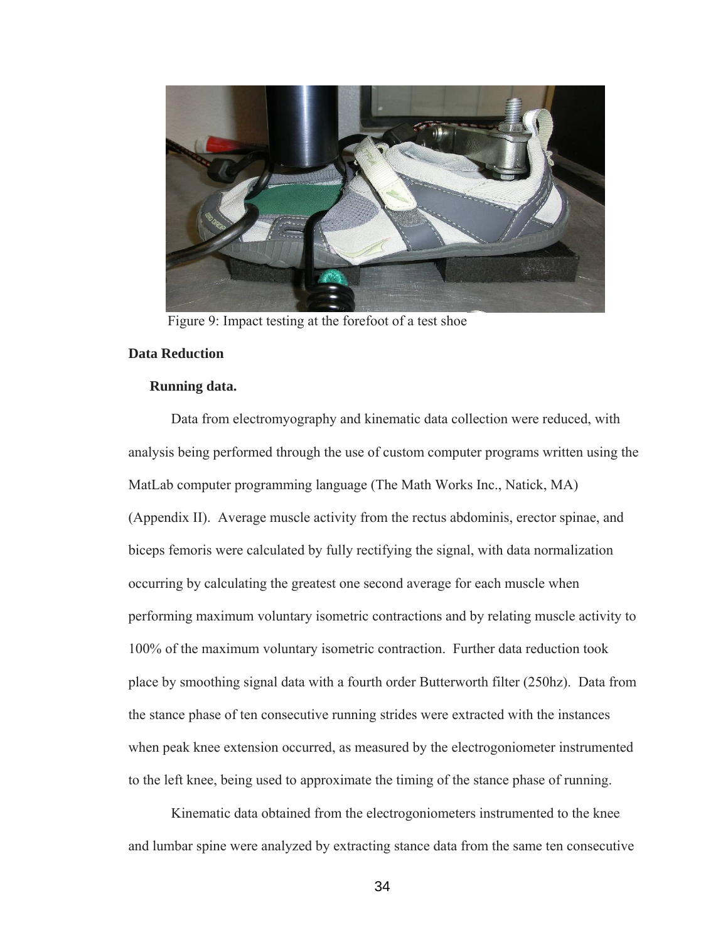

Figure 9: Impact testing at the forefoot of a test shoe

### **Data Reduction**

### **Running data.**

 Data from electromyography and kinematic data collection were reduced, with analysis being performed through the use of custom computer programs written using the MatLab computer programming language (The Math Works Inc., Natick, MA) (Appendix II). Average muscle activity from the rectus abdominis, erector spinae, and biceps femoris were calculated by fully rectifying the signal, with data normalization occurring by calculating the greatest one second average for each muscle when performing maximum voluntary isometric contractions and by relating muscle activity to 100% of the maximum voluntary isometric contraction. Further data reduction took place by smoothing signal data with a fourth order Butterworth filter (250hz). Data from the stance phase of ten consecutive running strides were extracted with the instances when peak knee extension occurred, as measured by the electrogoniometer instrumented to the left knee, being used to approximate the timing of the stance phase of running.

 Kinematic data obtained from the electrogoniometers instrumented to the knee and lumbar spine were analyzed by extracting stance data from the same ten consecutive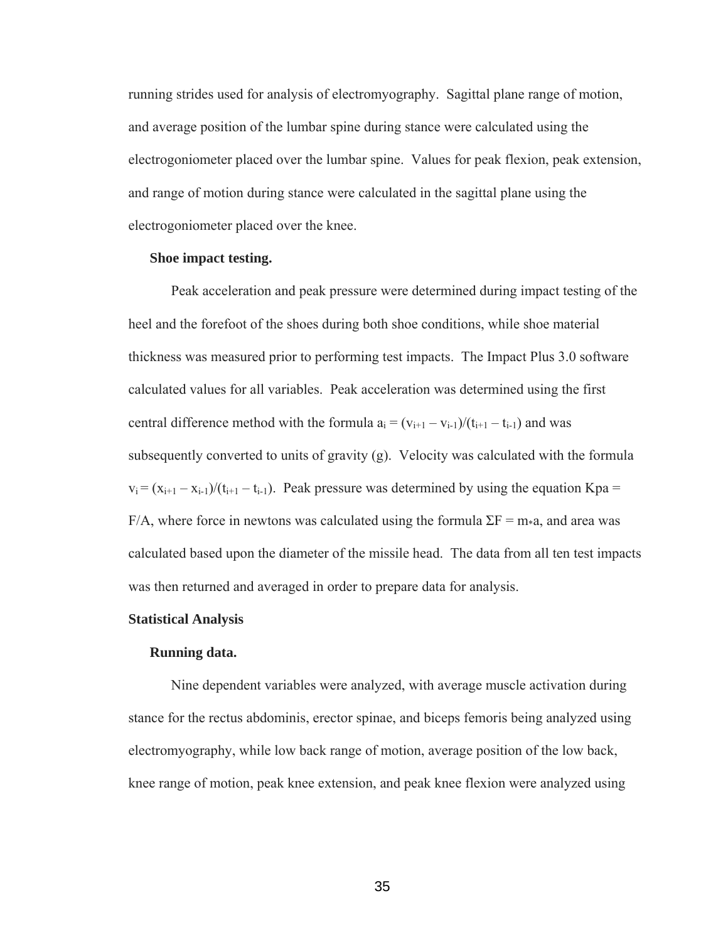running strides used for analysis of electromyography. Sagittal plane range of motion, and average position of the lumbar spine during stance were calculated using the electrogoniometer placed over the lumbar spine. Values for peak flexion, peak extension, and range of motion during stance were calculated in the sagittal plane using the electrogoniometer placed over the knee.

### **Shoe impact testing.**

 Peak acceleration and peak pressure were determined during impact testing of the heel and the forefoot of the shoes during both shoe conditions, while shoe material thickness was measured prior to performing test impacts. The Impact Plus 3.0 software calculated values for all variables. Peak acceleration was determined using the first central difference method with the formula  $a_i = (v_{i+1} - v_{i-1})/(t_{i+1} - t_{i-1})$  and was subsequently converted to units of gravity (g). Velocity was calculated with the formula  $v_i = (x_{i+1} - x_{i-1})/(t_{i+1} - t_{i-1})$ . Peak pressure was determined by using the equation Kpa = F/A, where force in newtons was calculated using the formula  $\Sigma F = m * a$ , and area was calculated based upon the diameter of the missile head. The data from all ten test impacts was then returned and averaged in order to prepare data for analysis.

#### **Statistical Analysis**

### **Running data.**

 Nine dependent variables were analyzed, with average muscle activation during stance for the rectus abdominis, erector spinae, and biceps femoris being analyzed using electromyography, while low back range of motion, average position of the low back, knee range of motion, peak knee extension, and peak knee flexion were analyzed using

 $35$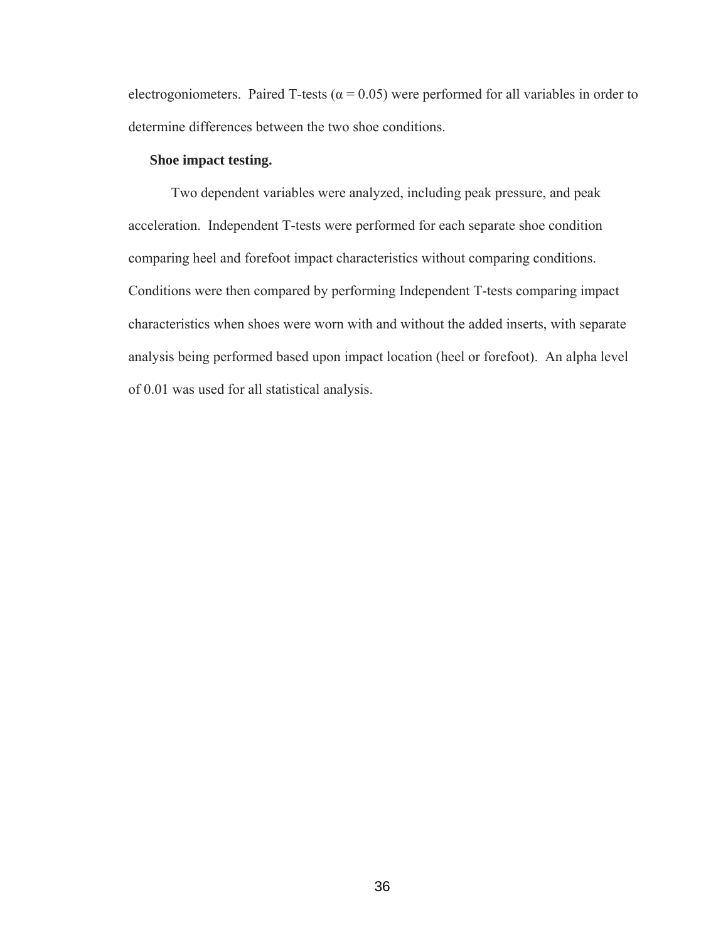electrogoniometers. Paired T-tests ( $\alpha$  = 0.05) were performed for all variables in order to determine differences between the two shoe conditions.

### **Shoe impact testing.**

 Two dependent variables were analyzed, including peak pressure, and peak acceleration. Independent T-tests were performed for each separate shoe condition comparing heel and forefoot impact characteristics without comparing conditions. Conditions were then compared by performing Independent T-tests comparing impact characteristics when shoes were worn with and without the added inserts, with separate analysis being performed based upon impact location (heel or forefoot). An alpha level of 0.01 was used for all statistical analysis.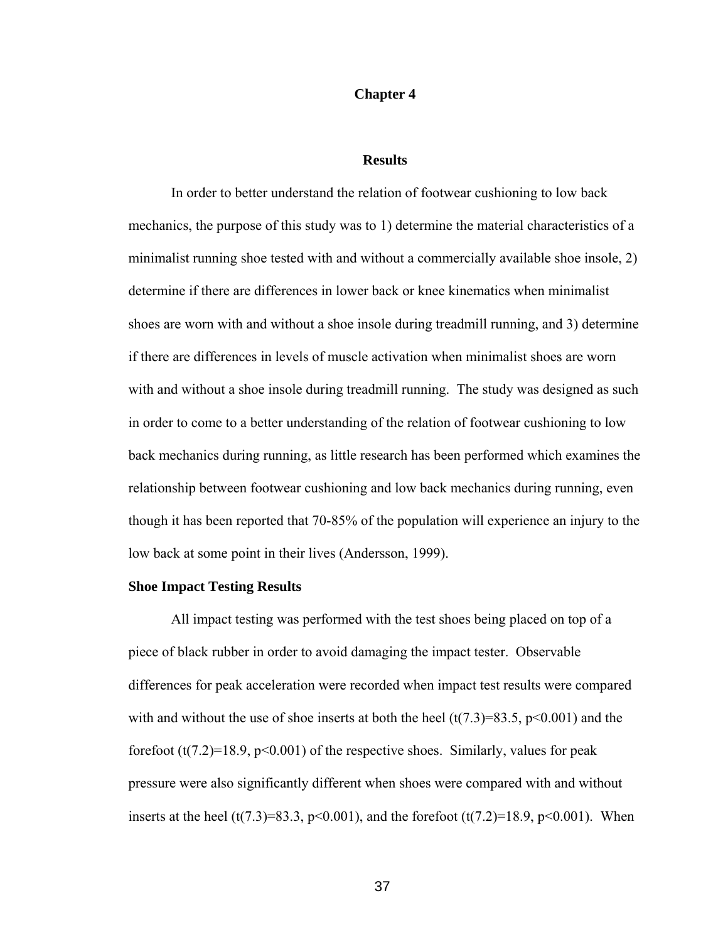#### **Chapter 4**

#### **Results**

In order to better understand the relation of footwear cushioning to low back mechanics, the purpose of this study was to 1) determine the material characteristics of a minimalist running shoe tested with and without a commercially available shoe insole, 2) determine if there are differences in lower back or knee kinematics when minimalist shoes are worn with and without a shoe insole during treadmill running, and 3) determine if there are differences in levels of muscle activation when minimalist shoes are worn with and without a shoe insole during treadmill running. The study was designed as such in order to come to a better understanding of the relation of footwear cushioning to low back mechanics during running, as little research has been performed which examines the relationship between footwear cushioning and low back mechanics during running, even though it has been reported that 70-85% of the population will experience an injury to the low back at some point in their lives (Andersson, 1999).

### **Shoe Impact Testing Results**

 All impact testing was performed with the test shoes being placed on top of a piece of black rubber in order to avoid damaging the impact tester. Observable differences for peak acceleration were recorded when impact test results were compared with and without the use of shoe inserts at both the heel  $(t(7.3)=83.5, p<0.001)$  and the forefoot  $(t(7.2)=18.9, p<0.001)$  of the respective shoes. Similarly, values for peak pressure were also significantly different when shoes were compared with and without inserts at the heel (t(7.3)=83.3, p<0.001), and the forefoot (t(7.2)=18.9, p<0.001). When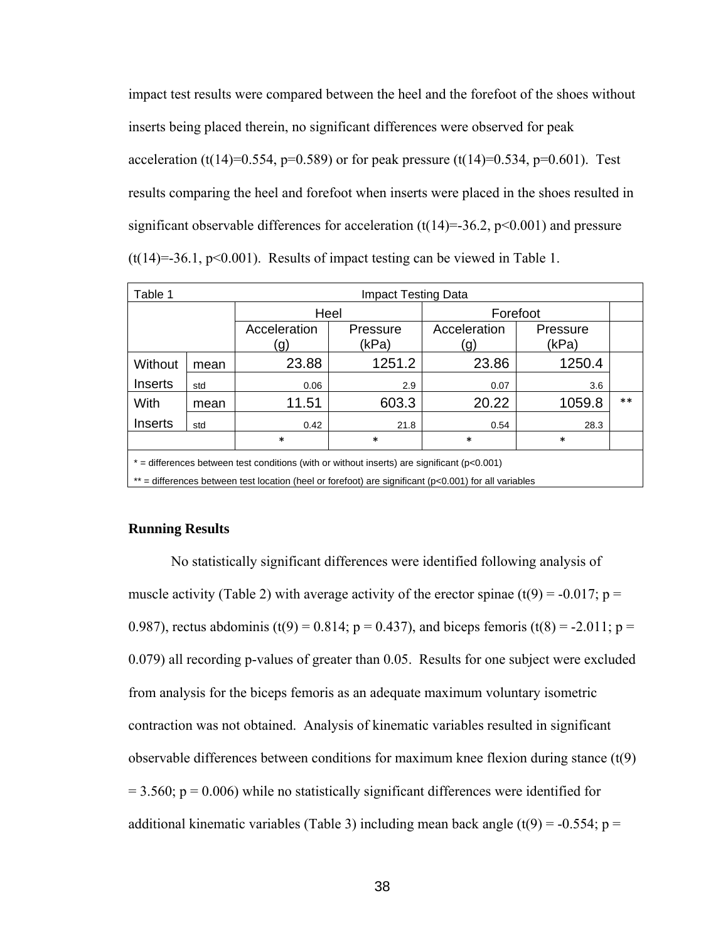impact test results were compared between the heel and the forefoot of the shoes without inserts being placed therein, no significant differences were observed for peak acceleration (t(14)=0.554, p=0.589) or for peak pressure (t(14)=0.534, p=0.601). Test results comparing the heel and forefoot when inserts were placed in the shoes resulted in significant observable differences for acceleration  $(t(14)=36.2, p<0.001)$  and pressure  $(t(14)=36.1, p<0.001)$ . Results of impact testing can be viewed in Table 1.

| Table 1                                                                                                     |      | Impact Testing Data |                   |                                         |        |       |  |
|-------------------------------------------------------------------------------------------------------------|------|---------------------|-------------------|-----------------------------------------|--------|-------|--|
|                                                                                                             |      | Heel                |                   | Forefoot                                |        |       |  |
|                                                                                                             |      | Acceleration<br>g)  | Pressure<br>(kPa) | Acceleration<br>Pressure<br>(kPa)<br>g) |        |       |  |
| Without                                                                                                     | mean | 23.88               | 1251.2            | 23.86                                   | 1250.4 |       |  |
| Inserts                                                                                                     | std  | 0.06                | 2.9               | 0.07                                    | 3.6    |       |  |
| With                                                                                                        | mean | 11.51               | 603.3             | 20.22                                   | 1059.8 | $***$ |  |
| Inserts                                                                                                     | std  | 0.42                | 21.8              | 0.54                                    | 28.3   |       |  |
|                                                                                                             |      | $\ast$              | *                 | $\ast$                                  | $\ast$ |       |  |
| $*$ = differences between test conditions (with or without inserts) are significant ( $p$ <0.001)           |      |                     |                   |                                         |        |       |  |
| $**$ = differences between test location (heel or forefoot) are significant ( $p<0.001$ ) for all variables |      |                     |                   |                                         |        |       |  |

#### **Running Results**

 No statistically significant differences were identified following analysis of muscle activity (Table 2) with average activity of the erector spinae (t(9) = -0.017; p = 0.987), rectus abdominis (t(9) = 0.814; p = 0.437), and biceps femoris (t(8) = -2.011; p = 0.079) all recording p-values of greater than 0.05. Results for one subject were excluded from analysis for the biceps femoris as an adequate maximum voluntary isometric contraction was not obtained. Analysis of kinematic variables resulted in significant observable differences between conditions for maximum knee flexion during stance (t(9)  $= 3.560$ ;  $p = 0.006$ ) while no statistically significant differences were identified for additional kinematic variables (Table 3) including mean back angle  $(t(9) = -0.554; p =$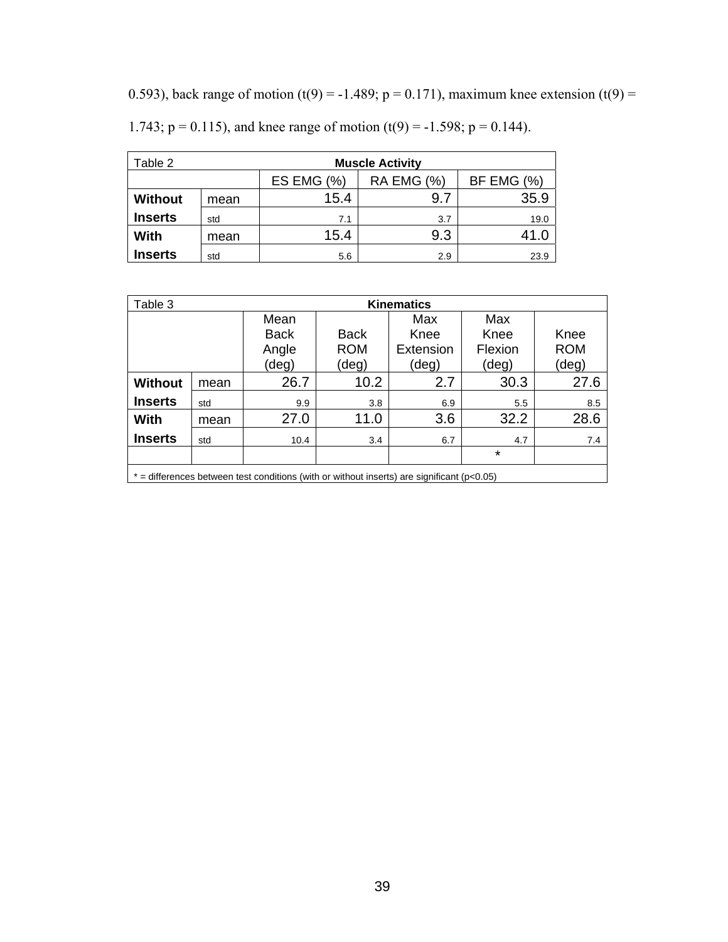0.593), back range of motion (t(9) = -1.489; p = 0.171), maximum knee extension (t(9) =

| Table 2        |      | <b>Muscle Activity</b> |                   |                   |  |
|----------------|------|------------------------|-------------------|-------------------|--|
|                |      | ES EMG $(\%)$          | <b>RA EMG (%)</b> | <b>BF EMG (%)</b> |  |
| <b>Without</b> | mean | 15.4                   | 9.7               | 35.9              |  |
| <b>Inserts</b> | std  | 7.1                    | 3.7               | 19.0              |  |
| With           | mean | 15.4                   | 9.3               | 41.0              |  |
| <b>Inserts</b> | std  | 5.6                    | 2.9               | 23.9              |  |

1.743;  $p = 0.115$ ), and knee range of motion (t(9) = -1.598;  $p = 0.144$ ).

| Table 3                                                                                          |      | <b>Kinematics</b> |             |           |         |            |
|--------------------------------------------------------------------------------------------------|------|-------------------|-------------|-----------|---------|------------|
|                                                                                                  |      | Mean              |             | Max       | Max     |            |
|                                                                                                  |      | Back              | <b>Back</b> | Knee      | Knee    | Knee       |
|                                                                                                  |      | Angle             | <b>ROM</b>  | Extension | Flexion | <b>ROM</b> |
|                                                                                                  |      | (deg)             | (deg)       | (deg)     | (deg)   | (deg)      |
| <b>Without</b>                                                                                   | mean | 26.7              | 10.2        | 2.7       | 30.3    | 27.6       |
| <b>Inserts</b>                                                                                   | std  | 9.9               | 3.8         | 6.9       | 5.5     | 8.5        |
| With                                                                                             | mean | 27.0              | 11.0        | 3.6       | 32.2    | 28.6       |
| <b>Inserts</b>                                                                                   | std  | 10.4              | 3.4         | 6.7       | 4.7     | 7.4        |
|                                                                                                  |      |                   |             |           | $\star$ |            |
| $*$ = differences between test conditions (with or without inserts) are significant ( $p<0.05$ ) |      |                   |             |           |         |            |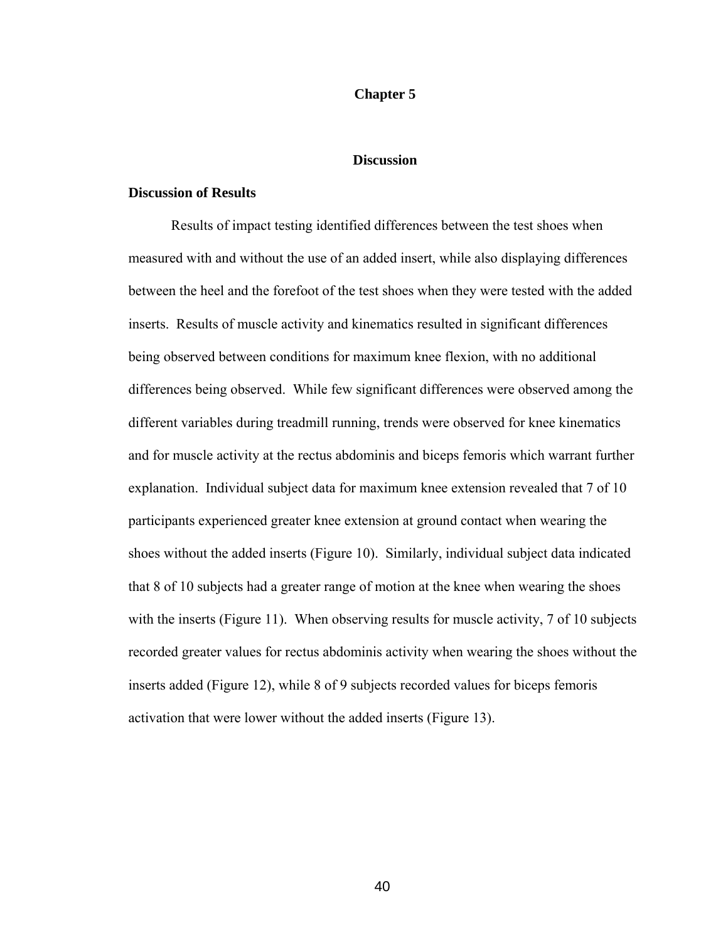#### **Chapter 5**

### **Discussion**

#### **Discussion of Results**

 Results of impact testing identified differences between the test shoes when measured with and without the use of an added insert, while also displaying differences between the heel and the forefoot of the test shoes when they were tested with the added inserts. Results of muscle activity and kinematics resulted in significant differences being observed between conditions for maximum knee flexion, with no additional differences being observed. While few significant differences were observed among the different variables during treadmill running, trends were observed for knee kinematics and for muscle activity at the rectus abdominis and biceps femoris which warrant further explanation. Individual subject data for maximum knee extension revealed that 7 of 10 participants experienced greater knee extension at ground contact when wearing the shoes without the added inserts (Figure 10). Similarly, individual subject data indicated that 8 of 10 subjects had a greater range of motion at the knee when wearing the shoes with the inserts (Figure 11). When observing results for muscle activity, 7 of 10 subjects recorded greater values for rectus abdominis activity when wearing the shoes without the inserts added (Figure 12), while 8 of 9 subjects recorded values for biceps femoris activation that were lower without the added inserts (Figure 13).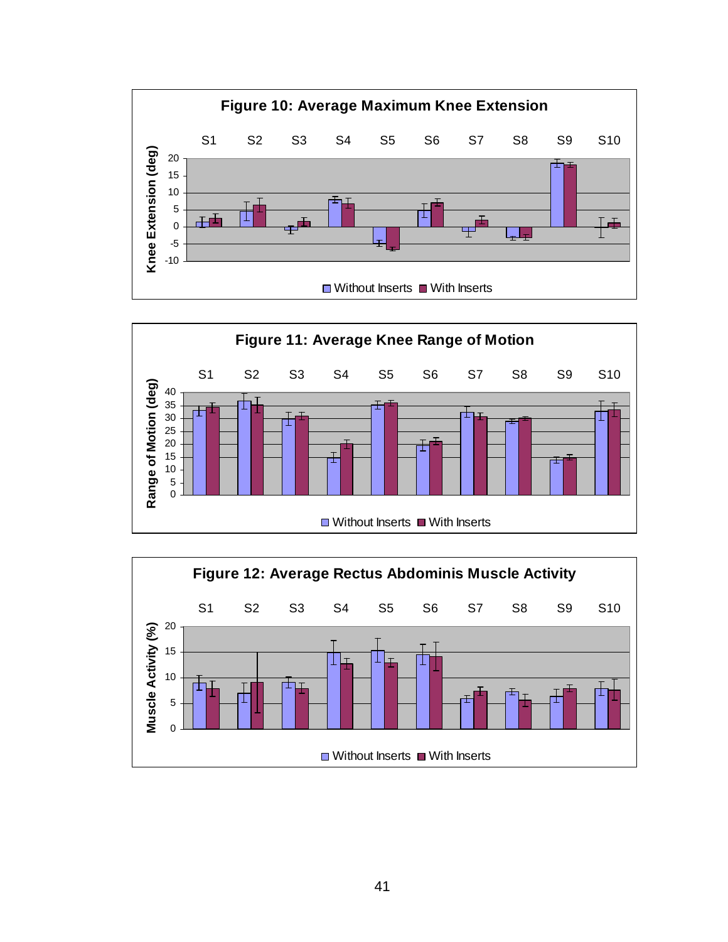



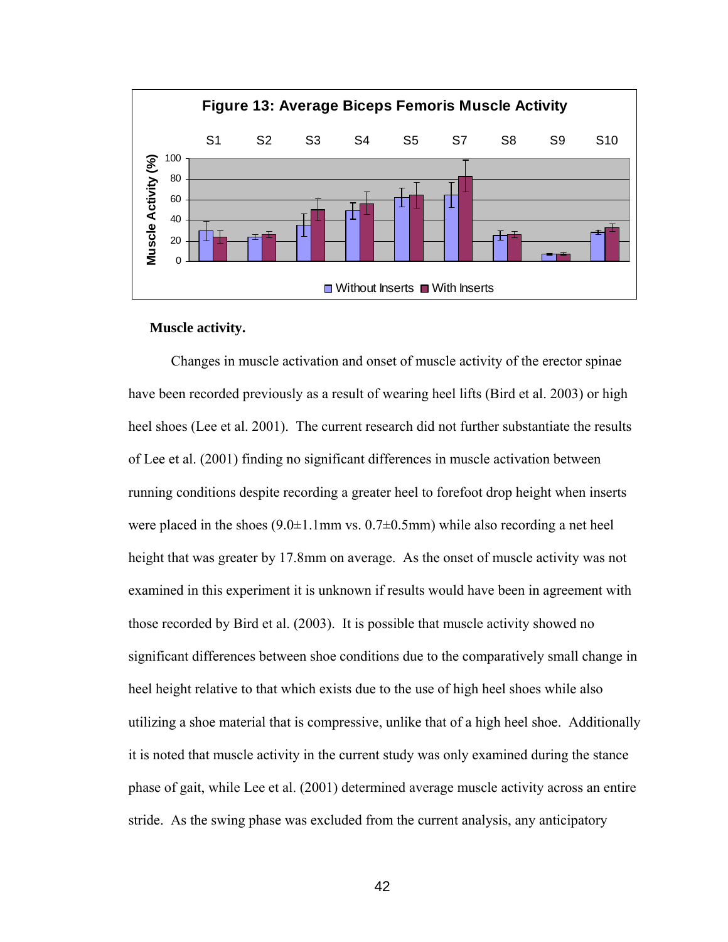

### **Muscle activity.**

 Changes in muscle activation and onset of muscle activity of the erector spinae have been recorded previously as a result of wearing heel lifts (Bird et al. 2003) or high heel shoes (Lee et al. 2001). The current research did not further substantiate the results of Lee et al. (2001) finding no significant differences in muscle activation between running conditions despite recording a greater heel to forefoot drop height when inserts were placed in the shoes  $(9.0\pm1.1\text{mm} \text{ vs. } 0.7\pm0.5\text{mm})$  while also recording a net heel height that was greater by 17.8mm on average. As the onset of muscle activity was not examined in this experiment it is unknown if results would have been in agreement with those recorded by Bird et al. (2003). It is possible that muscle activity showed no significant differences between shoe conditions due to the comparatively small change in heel height relative to that which exists due to the use of high heel shoes while also utilizing a shoe material that is compressive, unlike that of a high heel shoe. Additionally it is noted that muscle activity in the current study was only examined during the stance phase of gait, while Lee et al. (2001) determined average muscle activity across an entire stride. As the swing phase was excluded from the current analysis, any anticipatory

 $42$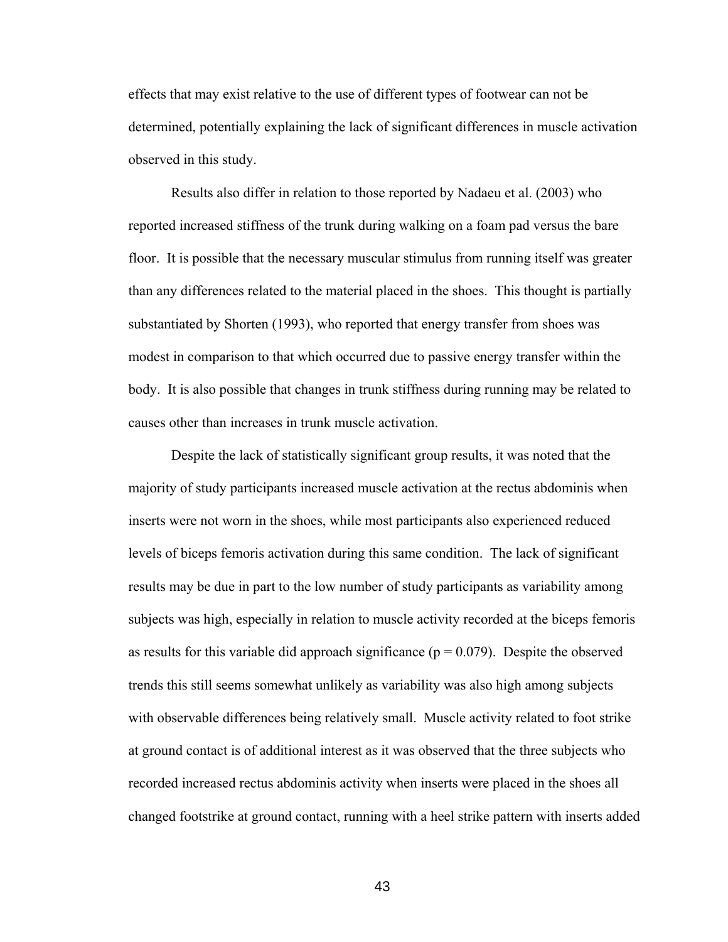effects that may exist relative to the use of different types of footwear can not be determined, potentially explaining the lack of significant differences in muscle activation observed in this study.

Results also differ in relation to those reported by Nadaeu et al. (2003) who reported increased stiffness of the trunk during walking on a foam pad versus the bare floor. It is possible that the necessary muscular stimulus from running itself was greater than any differences related to the material placed in the shoes. This thought is partially substantiated by Shorten (1993), who reported that energy transfer from shoes was modest in comparison to that which occurred due to passive energy transfer within the body. It is also possible that changes in trunk stiffness during running may be related to causes other than increases in trunk muscle activation.

Despite the lack of statistically significant group results, it was noted that the majority of study participants increased muscle activation at the rectus abdominis when inserts were not worn in the shoes, while most participants also experienced reduced levels of biceps femoris activation during this same condition. The lack of significant results may be due in part to the low number of study participants as variability among subjects was high, especially in relation to muscle activity recorded at the biceps femoris as results for this variable did approach significance ( $p = 0.079$ ). Despite the observed trends this still seems somewhat unlikely as variability was also high among subjects with observable differences being relatively small. Muscle activity related to foot strike at ground contact is of additional interest as it was observed that the three subjects who recorded increased rectus abdominis activity when inserts were placed in the shoes all changed footstrike at ground contact, running with a heel strike pattern with inserts added

<u>43</u>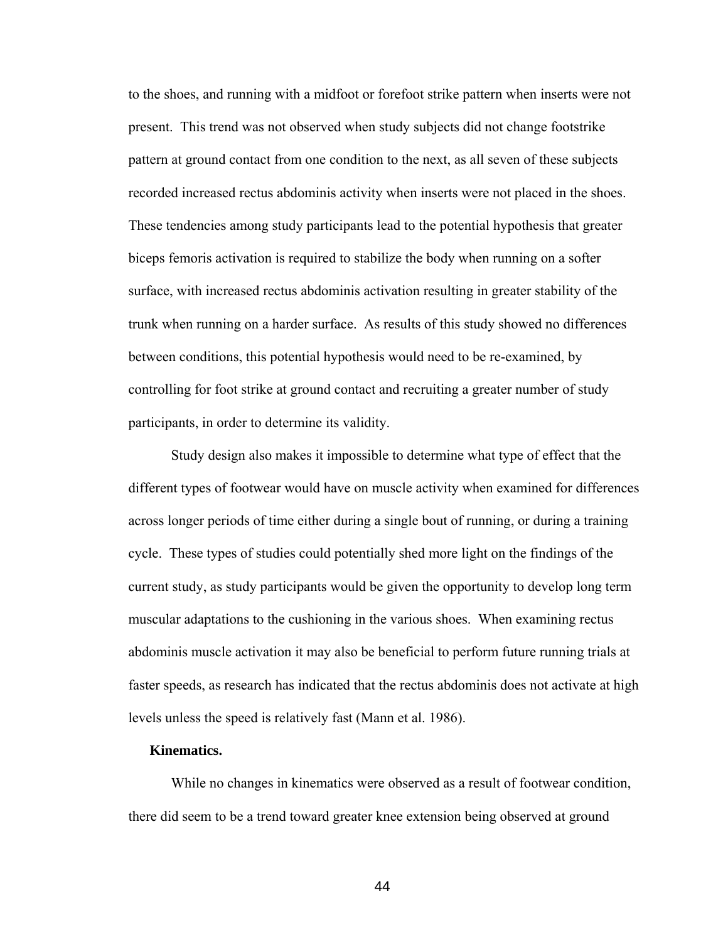to the shoes, and running with a midfoot or forefoot strike pattern when inserts were not present. This trend was not observed when study subjects did not change footstrike pattern at ground contact from one condition to the next, as all seven of these subjects recorded increased rectus abdominis activity when inserts were not placed in the shoes. These tendencies among study participants lead to the potential hypothesis that greater biceps femoris activation is required to stabilize the body when running on a softer surface, with increased rectus abdominis activation resulting in greater stability of the trunk when running on a harder surface. As results of this study showed no differences between conditions, this potential hypothesis would need to be re-examined, by controlling for foot strike at ground contact and recruiting a greater number of study participants, in order to determine its validity.

Study design also makes it impossible to determine what type of effect that the different types of footwear would have on muscle activity when examined for differences across longer periods of time either during a single bout of running, or during a training cycle. These types of studies could potentially shed more light on the findings of the current study, as study participants would be given the opportunity to develop long term muscular adaptations to the cushioning in the various shoes. When examining rectus abdominis muscle activation it may also be beneficial to perform future running trials at faster speeds, as research has indicated that the rectus abdominis does not activate at high levels unless the speed is relatively fast (Mann et al. 1986).

#### **Kinematics.**

 While no changes in kinematics were observed as a result of footwear condition, there did seem to be a trend toward greater knee extension being observed at ground

 $\sim$  44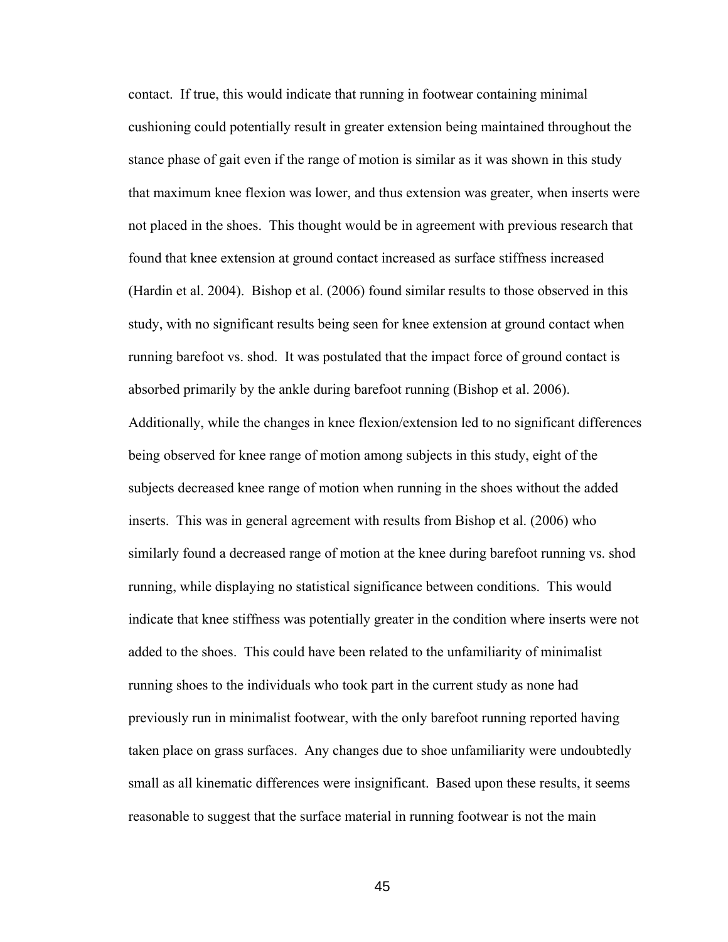contact. If true, this would indicate that running in footwear containing minimal cushioning could potentially result in greater extension being maintained throughout the stance phase of gait even if the range of motion is similar as it was shown in this study that maximum knee flexion was lower, and thus extension was greater, when inserts were not placed in the shoes. This thought would be in agreement with previous research that found that knee extension at ground contact increased as surface stiffness increased (Hardin et al. 2004). Bishop et al. (2006) found similar results to those observed in this study, with no significant results being seen for knee extension at ground contact when running barefoot vs. shod. It was postulated that the impact force of ground contact is absorbed primarily by the ankle during barefoot running (Bishop et al. 2006). Additionally, while the changes in knee flexion/extension led to no significant differences being observed for knee range of motion among subjects in this study, eight of the subjects decreased knee range of motion when running in the shoes without the added inserts. This was in general agreement with results from Bishop et al. (2006) who similarly found a decreased range of motion at the knee during barefoot running vs. shod running, while displaying no statistical significance between conditions. This would indicate that knee stiffness was potentially greater in the condition where inserts were not added to the shoes. This could have been related to the unfamiliarity of minimalist running shoes to the individuals who took part in the current study as none had previously run in minimalist footwear, with the only barefoot running reported having taken place on grass surfaces. Any changes due to shoe unfamiliarity were undoubtedly small as all kinematic differences were insignificant. Based upon these results, it seems reasonable to suggest that the surface material in running footwear is not the main

 $45$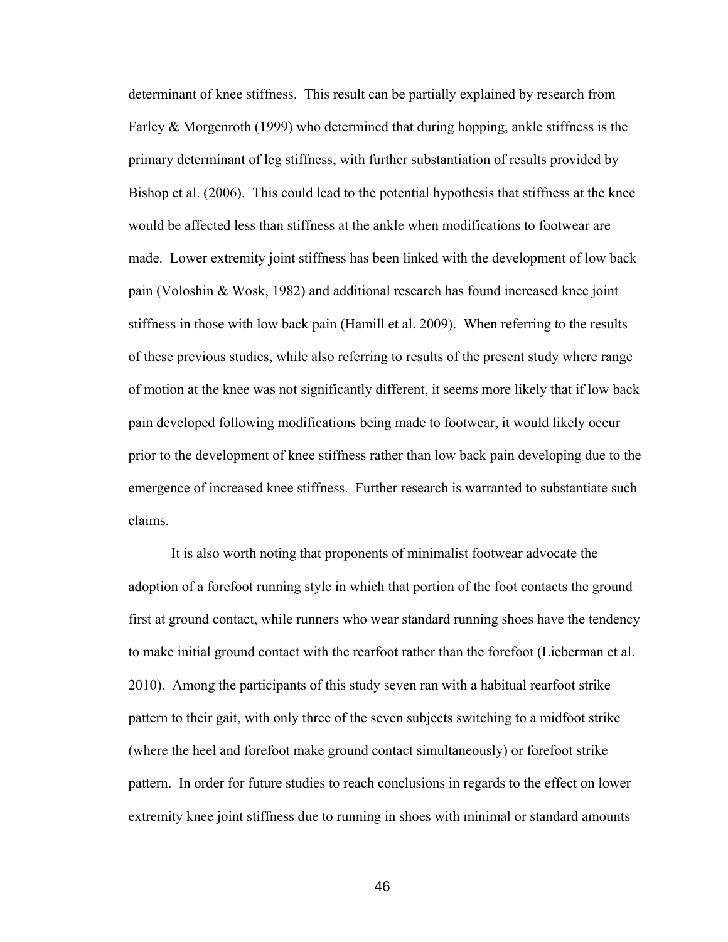determinant of knee stiffness. This result can be partially explained by research from Farley  $\&$  Morgenroth (1999) who determined that during hopping, ankle stiffness is the primary determinant of leg stiffness, with further substantiation of results provided by Bishop et al. (2006). This could lead to the potential hypothesis that stiffness at the knee would be affected less than stiffness at the ankle when modifications to footwear are made. Lower extremity joint stiffness has been linked with the development of low back pain (Voloshin & Wosk, 1982) and additional research has found increased knee joint stiffness in those with low back pain (Hamill et al. 2009). When referring to the results of these previous studies, while also referring to results of the present study where range of motion at the knee was not significantly different, it seems more likely that if low back pain developed following modifications being made to footwear, it would likely occur prior to the development of knee stiffness rather than low back pain developing due to the emergence of increased knee stiffness. Further research is warranted to substantiate such claims.

It is also worth noting that proponents of minimalist footwear advocate the adoption of a forefoot running style in which that portion of the foot contacts the ground first at ground contact, while runners who wear standard running shoes have the tendency to make initial ground contact with the rearfoot rather than the forefoot (Lieberman et al. 2010). Among the participants of this study seven ran with a habitual rearfoot strike pattern to their gait, with only three of the seven subjects switching to a midfoot strike (where the heel and forefoot make ground contact simultaneously) or forefoot strike pattern. In order for future studies to reach conclusions in regards to the effect on lower extremity knee joint stiffness due to running in shoes with minimal or standard amounts

 $46$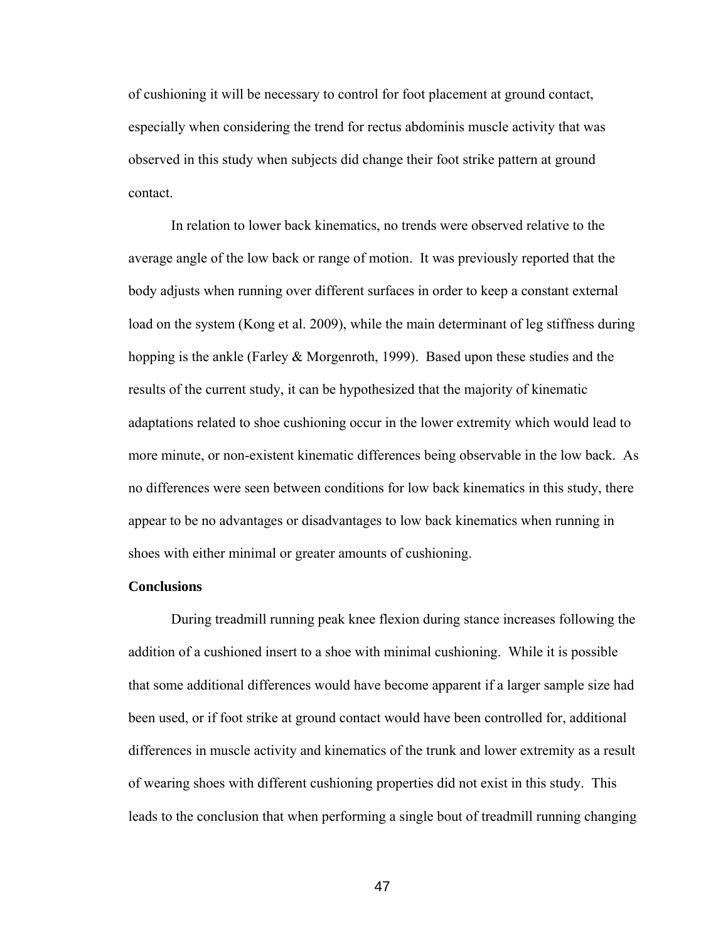of cushioning it will be necessary to control for foot placement at ground contact, especially when considering the trend for rectus abdominis muscle activity that was observed in this study when subjects did change their foot strike pattern at ground contact.

 In relation to lower back kinematics, no trends were observed relative to the average angle of the low back or range of motion. It was previously reported that the body adjusts when running over different surfaces in order to keep a constant external load on the system (Kong et al. 2009), while the main determinant of leg stiffness during hopping is the ankle (Farley & Morgenroth, 1999). Based upon these studies and the results of the current study, it can be hypothesized that the majority of kinematic adaptations related to shoe cushioning occur in the lower extremity which would lead to more minute, or non-existent kinematic differences being observable in the low back. As no differences were seen between conditions for low back kinematics in this study, there appear to be no advantages or disadvantages to low back kinematics when running in shoes with either minimal or greater amounts of cushioning.

#### **Conclusions**

 During treadmill running peak knee flexion during stance increases following the addition of a cushioned insert to a shoe with minimal cushioning. While it is possible that some additional differences would have become apparent if a larger sample size had been used, or if foot strike at ground contact would have been controlled for, additional differences in muscle activity and kinematics of the trunk and lower extremity as a result of wearing shoes with different cushioning properties did not exist in this study. This leads to the conclusion that when performing a single bout of treadmill running changing

<u>47 and 2014</u>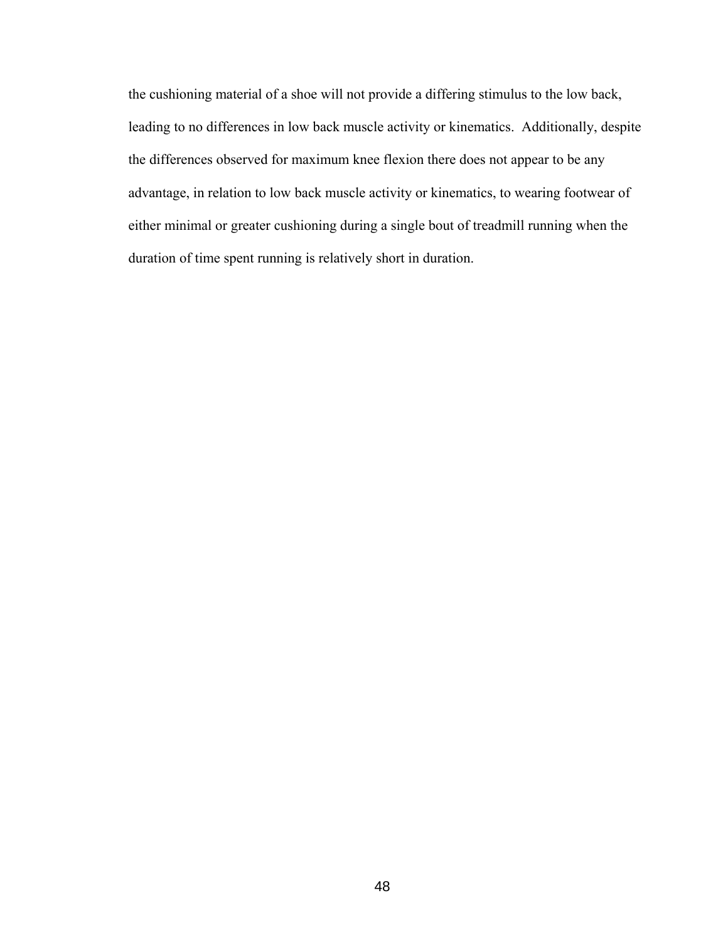the cushioning material of a shoe will not provide a differing stimulus to the low back, leading to no differences in low back muscle activity or kinematics. Additionally, despite the differences observed for maximum knee flexion there does not appear to be any advantage, in relation to low back muscle activity or kinematics, to wearing footwear of either minimal or greater cushioning during a single bout of treadmill running when the duration of time spent running is relatively short in duration.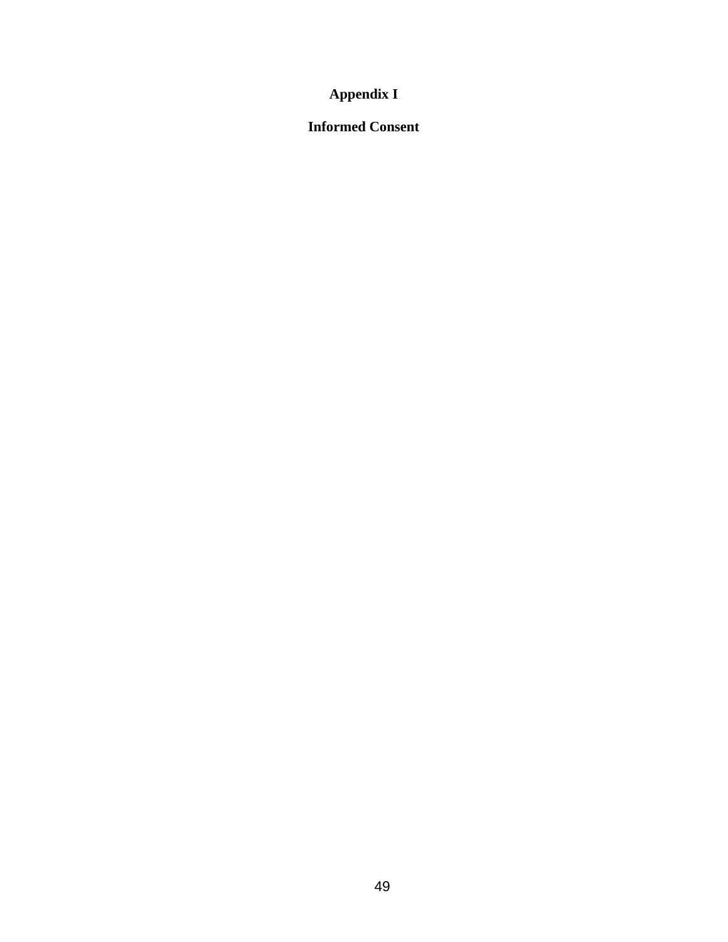# **Appendix I**

# **Informed Consent**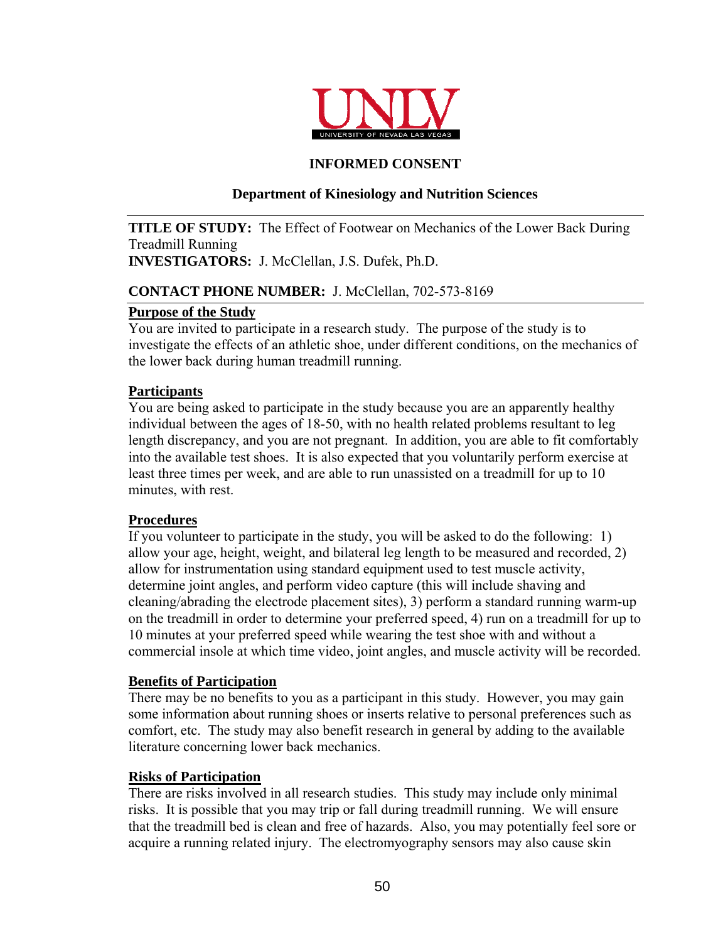

# **INFORMED CONSENT**

# **Department of Kinesiology and Nutrition Sciences**

**TITLE OF STUDY:** The Effect of Footwear on Mechanics of the Lower Back During Treadmill Running **INVESTIGATORS:** J. McClellan, J.S. Dufek, Ph.D.

# **CONTACT PHONE NUMBER:** J. McClellan, 702-573-8169

# **Purpose of the Study**

You are invited to participate in a research study. The purpose of the study is to investigate the effects of an athletic shoe, under different conditions, on the mechanics of the lower back during human treadmill running.

# **Participants**

You are being asked to participate in the study because you are an apparently healthy individual between the ages of 18-50, with no health related problems resultant to leg length discrepancy, and you are not pregnant. In addition, you are able to fit comfortably into the available test shoes. It is also expected that you voluntarily perform exercise at least three times per week, and are able to run unassisted on a treadmill for up to 10 minutes, with rest.

### **Procedures**

If you volunteer to participate in the study, you will be asked to do the following: 1) allow your age, height, weight, and bilateral leg length to be measured and recorded, 2) allow for instrumentation using standard equipment used to test muscle activity, determine joint angles, and perform video capture (this will include shaving and cleaning/abrading the electrode placement sites), 3) perform a standard running warm-up on the treadmill in order to determine your preferred speed, 4) run on a treadmill for up to 10 minutes at your preferred speed while wearing the test shoe with and without a commercial insole at which time video, joint angles, and muscle activity will be recorded.

# **Benefits of Participation**

There may be no benefits to you as a participant in this study. However, you may gain some information about running shoes or inserts relative to personal preferences such as comfort, etc. The study may also benefit research in general by adding to the available literature concerning lower back mechanics.

### **Risks of Participation**

There are risks involved in all research studies. This study may include only minimal risks. It is possible that you may trip or fall during treadmill running. We will ensure that the treadmill bed is clean and free of hazards. Also, you may potentially feel sore or acquire a running related injury. The electromyography sensors may also cause skin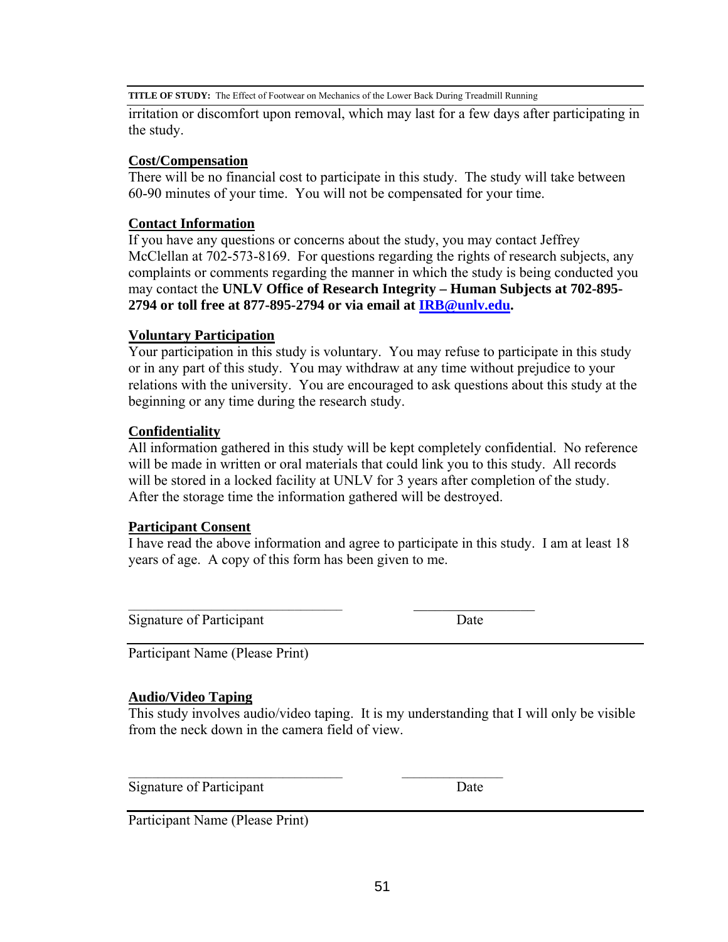**TITLE OF STUDY:** The Effect of Footwear on Mechanics of the Lower Back During Treadmill Running

irritation or discomfort upon removal, which may last for a few days after participating in the study.

### **Cost/Compensation**

There will be no financial cost to participate in this study. The study will take between 60-90 minutes of your time. You will not be compensated for your time.

### **Contact Information**

If you have any questions or concerns about the study, you may contact Jeffrey McClellan at 702-573-8169. For questions regarding the rights of research subjects, any complaints or comments regarding the manner in which the study is being conducted you may contact the **UNLV Office of Research Integrity – Human Subjects at 702-895- 2794 or toll free at 877-895-2794 or via email at [IRB@unlv.edu](mailto:IRB@unlv.edu).** 

# **Voluntary Participation**

Your participation in this study is voluntary. You may refuse to participate in this study or in any part of this study. You may withdraw at any time without prejudice to your relations with the university. You are encouraged to ask questions about this study at the beginning or any time during the research study.

# **Confidentiality**

All information gathered in this study will be kept completely confidential. No reference will be made in written or oral materials that could link you to this study. All records will be stored in a locked facility at UNLV for 3 years after completion of the study. After the storage time the information gathered will be destroyed.

### **Participant Consent**

I have read the above information and agree to participate in this study. I am at least 18 years of age. A copy of this form has been given to me.

 $\mathcal{L}_\text{max} = \mathcal{L}_\text{max} = \mathcal{L}_\text{max} = \mathcal{L}_\text{max} = \mathcal{L}_\text{max} = \mathcal{L}_\text{max} = \mathcal{L}_\text{max} = \mathcal{L}_\text{max} = \mathcal{L}_\text{max} = \mathcal{L}_\text{max} = \mathcal{L}_\text{max} = \mathcal{L}_\text{max} = \mathcal{L}_\text{max} = \mathcal{L}_\text{max} = \mathcal{L}_\text{max} = \mathcal{L}_\text{max} = \mathcal{L}_\text{max} = \mathcal{L}_\text{max} = \mathcal{$ 

Signature of Participant Date

Participant Name (Please Print)

### **Audio/Video Taping**

This study involves audio/video taping. It is my understanding that I will only be visible from the neck down in the camera field of view.

Signature of Participant Date

Participant Name (Please Print)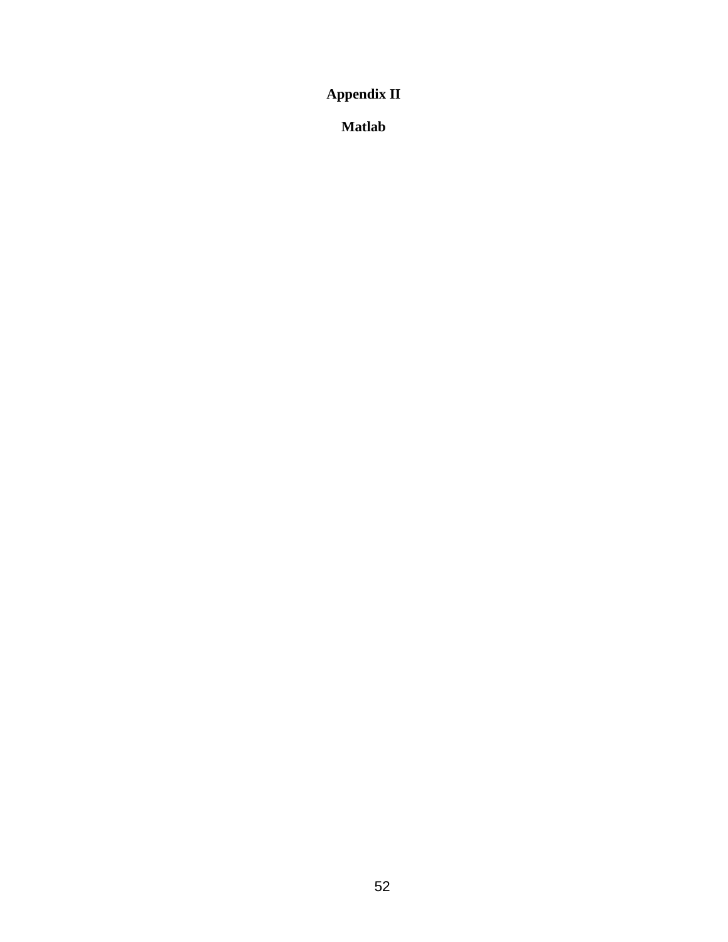**Appendix II** 

**Matlab**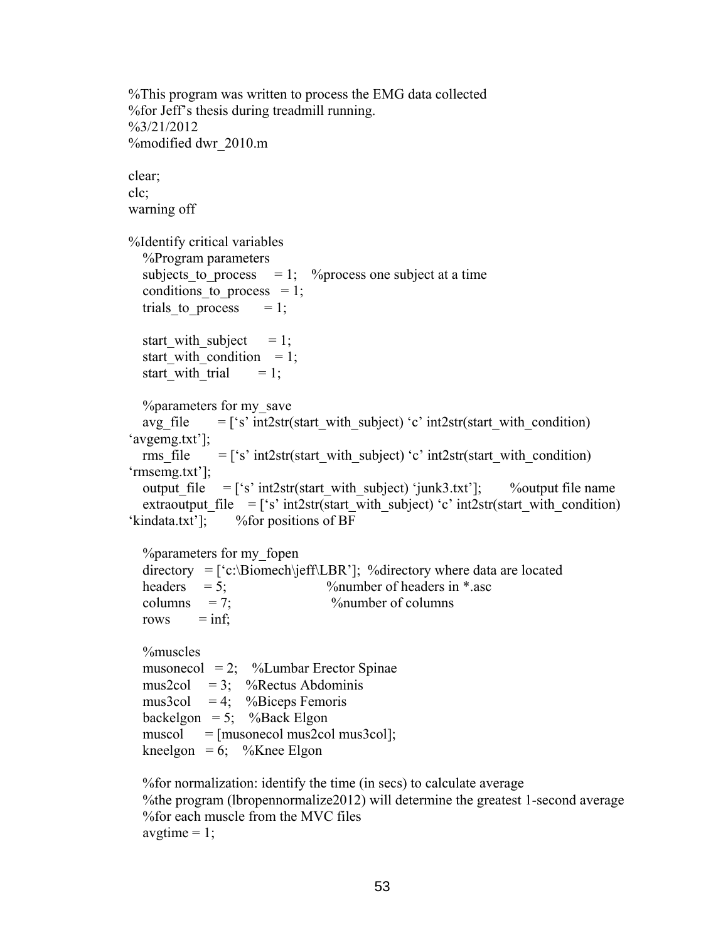```
%This program was written to process the EMG data collected 
%for Jeff's thesis during treadmill running. 
%3/21/2012 
%modified dwr_2010.m 
clear; 
clc; 
warning off 
%Identify critical variables 
   %Program parameters 
  subjects to process = 1; % process one subject at a time
  conditions to process = 1;
  trials to process = 1;
  start with subject = 1;
  start with condition = 1;
  start with trial = 1;
   %parameters for my_save 
  avg_file = ['s' int2str(start_with_subject) 'c' int2str(start_with_condition)
'avgemg.txt']; 
  rms file = ['s' int2str(start with subject) 'c' int2str(start with condition)
'rmsemg.txt']; 
  output file = ['s' int2str(start with subject) 'junk3.txt']; %output file name
  extraoutput file = ['s' int2str(start_with_subject) 'c' int2str(start_with_condition)
'kindata.txt']; %for positions of BF 
   %parameters for my_fopen 
  \text{directory} = [\text{`c}:\text{Biomech}\{\text{if}\text{LBR}\text{'}\}]; %directory where data are located
  headers = 5; \frac{9}{\text{number of headers in}} *.asc
  \text{columns} = 7; \% number of columns
  rows = inf;
   %muscles 
  musonecol = 2; %Lumbar Erector Spinae
  mus2col = 3; %Rectus Abdominis
  mus3col = 4; \%Biceps Femoris
  backelgon = 5; %Back Elgon
  muscol = [musonecol mus2col mus3col];
  kneelgon = 6; \%Knee Elgon
   %for normalization: identify the time (in secs) to calculate average
```
 %the program (lbropennormalize2012) will determine the greatest 1-second average %for each muscle from the MVC files avgtime  $= 1$ ;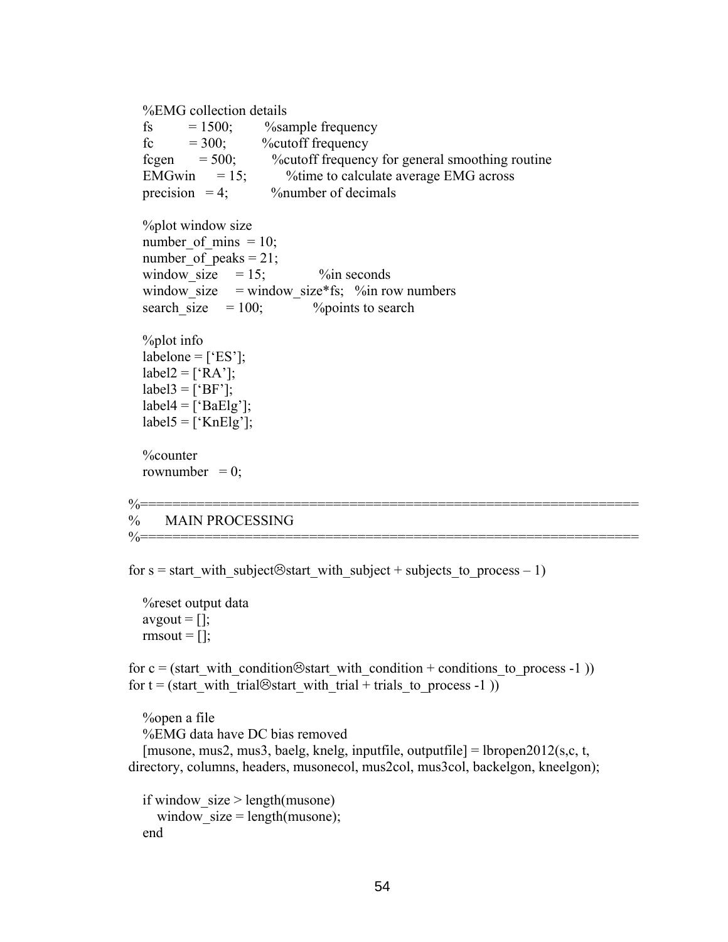```
 %EMG collection details
```

| <b><i>AULTRED CONCERTED LOCALITY</i></b>                                                                                                                                                                        |
|-----------------------------------------------------------------------------------------------------------------------------------------------------------------------------------------------------------------|
| fs = $1500$ ; %xample frequency<br>fc = $300$ ; %cutoff frequency                                                                                                                                               |
|                                                                                                                                                                                                                 |
| fcgen $= 500$ ; % % % % % % % % % % % cutoff frequency for general smoothing routine                                                                                                                            |
|                                                                                                                                                                                                                 |
| EMGwin = 15; % % % % % % % exercise EMG across<br>precision = 4; % % mumber of decimals                                                                                                                         |
| %plot window size<br>number of mins $= 10$ ;<br>number of peaks = $21$ ;<br>window_size = window_size*fs; $\%$ in row numbers<br>search size $= 100$ ; $\%$ points to search<br><i>Y</i> <sub>o</sub> plot info |
| labelone = $["ES"]$ ;                                                                                                                                                                                           |
| $label2 = [A']$ ;                                                                                                                                                                                               |
| $label3 = ['BE']$ ;                                                                                                                                                                                             |
| $label4 = ['BaElg']$ ;                                                                                                                                                                                          |
| $label5 = ['KnElg']$ ;                                                                                                                                                                                          |
| <b>%counter</b><br>rownumber = $0$ ;                                                                                                                                                                            |
| % MAIN PROCESSING<br>%==============================                                                                                                                                                            |
|                                                                                                                                                                                                                 |

for s = start with subject $\odot$ start with subject + subjects to process – 1)

 %reset output data avgout  $= []$ ; rmsout  $= []$ ;

for c = (start with condition $\otimes$ start with condition + conditions to process -1 )) for  $t = (start\_with\_trial\otimes start\_with\_trial + trials\_to\_process -1 ))$ 

 %open a file %EMG data have DC bias removed [musone, mus2, mus3, baelg, knelg, inputfile, outputfile] = lbropen2012(s,c, t, directory, columns, headers, musonecol, mus2col, mus3col, backelgon, kneelgon);

```
if window size > length(musone)window_size = length(musone);
 end
```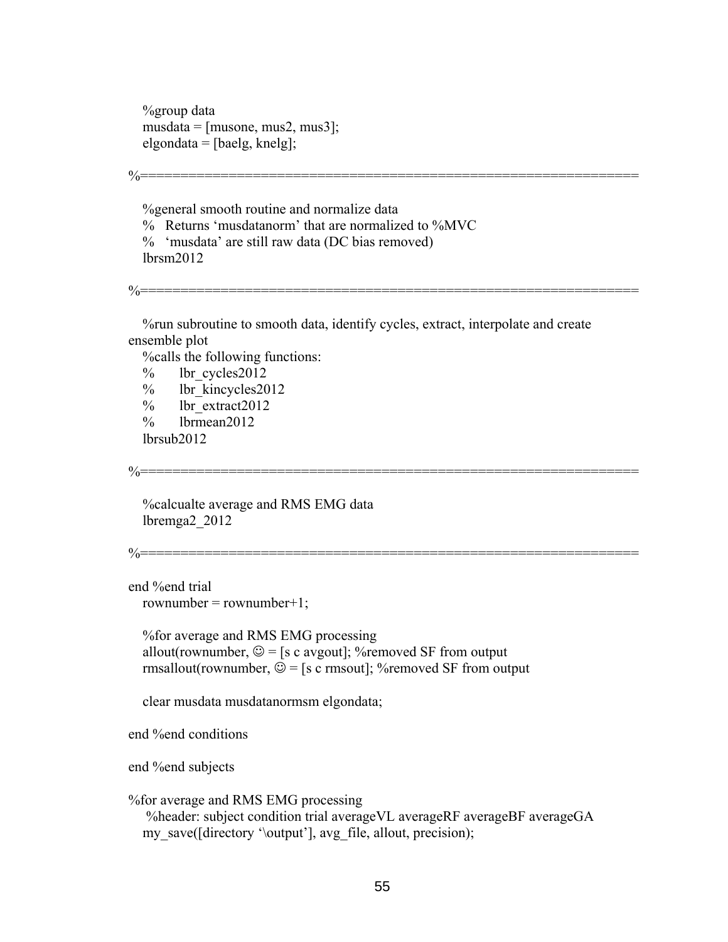%group data  $musdata = [musone, mus2, mus3];$ elgondata = [baelg, knelg];

%general smooth routine and normalize data

 % Returns 'musdatanorm' that are normalized to %MVC % 'musdata' are still raw data (DC bias removed) lbrsm2012

%==============================================================

 %run subroutine to smooth data, identify cycles, extract, interpolate and create ensemble plot

%==============================================================

%calls the following functions:

% lbr cycles2012

- % lbr kincycles2012
- % lbr\_extract2012
- % lbrmean2012

lbrsub2012

%==============================================================

 %calcualte average and RMS EMG data lbremga2\_2012

%==============================================================

end %end trial  $rownumber = rownumber + 1;$ 

 %for average and RMS EMG processing allout(rownumber,  $\mathcal{Q} =$  [s c avgout]; % removed SF from output rmsallout(rownumber,  $\mathcal{Q} =$  [s c rmsout]; % removed SF from output

clear musdata musdatanormsm elgondata;

end %end conditions

end %end subjects

%for average and RMS EMG processing

 %header: subject condition trial averageVL averageRF averageBF averageGA my\_save([directory '\output'], avg\_file, allout, precision);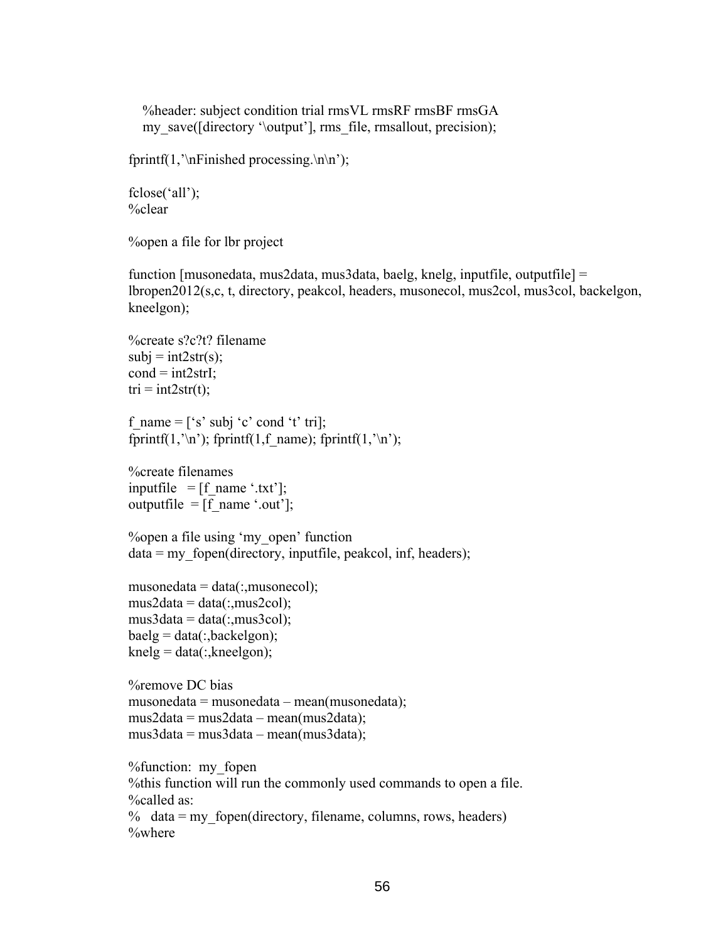%header: subject condition trial rmsVL rmsRF rmsBF rmsGA my\_save([directory '\output'], rms\_file, rmsallout, precision);

fprintf(1,'\nFinished processing.\n\n');

```
fclose('all'); 
%clear
```
%open a file for lbr project

function [musonedata, mus2data, mus3data, baelg, knelg, inputfile, outputfile] = lbropen2012(s,c, t, directory, peakcol, headers, musonecol, mus2col, mus3col, backelgon, kneelgon);

```
%create s?c?t? filename 
subj = int2str(s);cond = int2strI;
tri = int2str(t);
```
f\_name =  $['s' subj 'c' cond 't' tri]$ ; fprintf(1,'\n'); fprintf(1,f\_name); fprintf(1,'\n');

%create filenames inputfile  $=$  [f\_name '.txt']; outputfile =  $[f$  name '.out'];

```
%open a file using 'my_open' function 
data = my\_fopen(directory, inputfile, peakcol, inf, headers);
```

```
musonedata = data(:,musonecol);mus2data = data(:,mus2col);mus3data = data(:,mus3col);baelg = data(:,backelgon);knelg = data(:,kneelgon);
```

```
%remove DC bias 
musonedata = musonedata – mean(musonedata); 
mus2data = mus2data – mean(mus2data); 
mus3data = mus3data – mean(mus3data);
```

```
%function: my_fopen 
%this function will run the commonly used commands to open a file. 
%called as: 
% data = my fopen(directory, filename, columns, rows, headers)
%where
```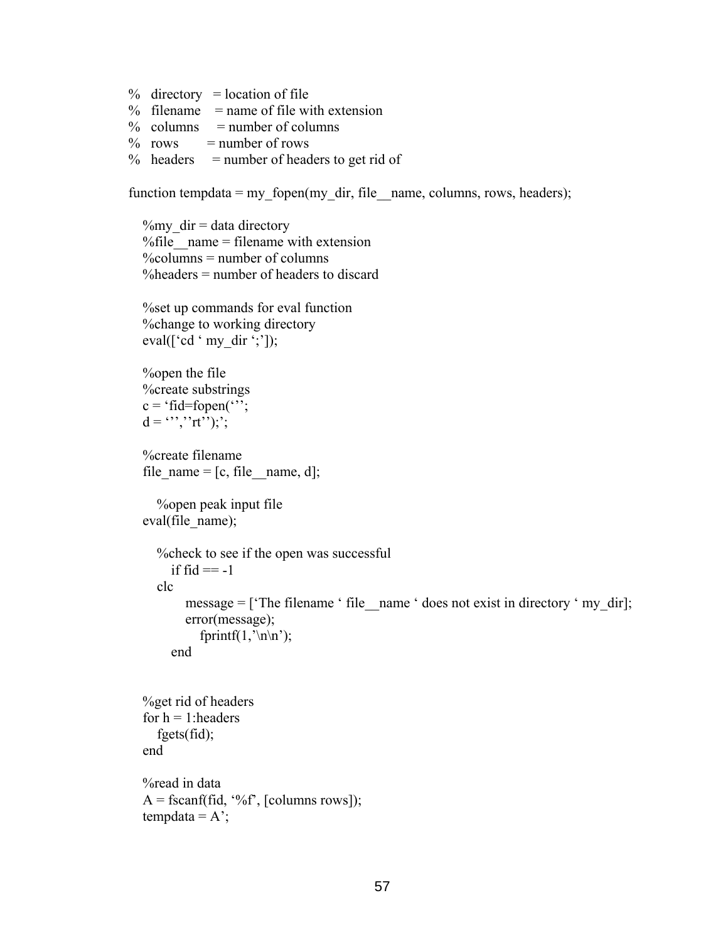```
% directory = location of file
```
- $%$  filename = name of file with extension
- $\%$  columns = number of columns
- $\%$  rows = number of rows
- $%$  headers = number of headers to get rid of

function tempdata = my\_fopen(my\_dir, file \_ name, columns, rows, headers);

```
\%my dir = data directory
% file name = filename with extension
\%columns = number of columns
%headers = number of headers to discard
```

```
 %set up commands for eval function 
 %change to working directory 
eval(['cd ' my dir ';']);
```

```
 %open the file 
 %create substrings 
c = 'fid = fopen('');
d = \lbrack \cdots \rbrack \lbrack \cdots \rbrack \rbrackrt<sup>1</sup>);';
```

```
 %create filename 
file_name = [c, file, name, d];
```

```
 %open peak input file 
eval(file_name);
```

```
 %check to see if the open was successful 
  if fid == -1 clc 
     message = ['The filename ' file_name ' does not exist in directory ' my dir]; error(message); 
       fprintf(1, \ln \n);
   end
```

```
 %get rid of headers 
for h = 1: headers
    fgets(fid); 
 end 
 %read in data 
A = f<sup>3</sup>(fid, '%f', [columns rows]);tempdata = A<sup>'</sup>;
```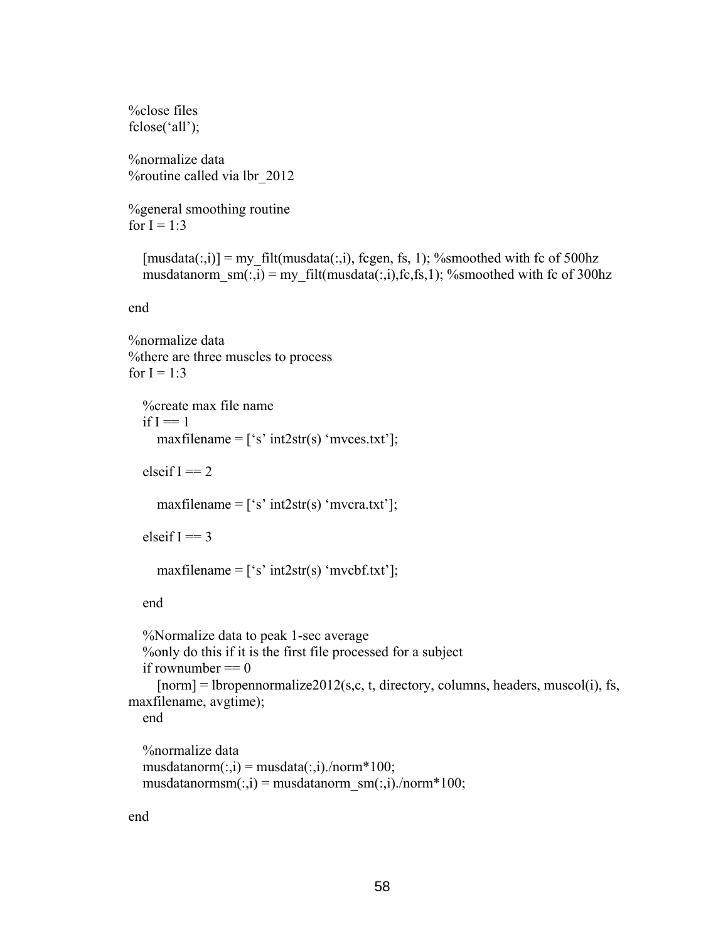```
%close files 
fclose('all'); 
%normalize data 
%routine called via lbr_2012 
%general smoothing routine 
for I = 1:3[musdata(:,i)] = my filt(musdata(:,i), fcgen, fs, 1); %smoothed with fc of 500hz
  musdatanorm sm(:,i) = my filt(musdata(:,i),fc,fs,1); %smoothed with fc of 300hz
end 
%normalize data 
%there are three muscles to process 
for I = 1:3 %create max file name 
  if I == 1maxfilename = ['s' int2str(s) 'mvees.txt'];
  elseif I = 2maxfilename = ['s' int2str(s) 'mvcra.txt'];
  elseif I == 3maxfilename = ['s' int2str(s) 'mvcbf.txt'];
   end 
   %Normalize data to peak 1-sec average 
   %only do this if it is the first file processed for a subject 
  if rownumber == 0[norm] = [bropennormalized2012(s,c, t, directory, columns, headers, muscle(i), fs,maxfilename, avgtime); 
   end 
   %normalize data 
  musdatanorm(:,i) = musdata(:,i)./norm*100;
  musdatanormsm(:,i) = musdatanormsm(:,i)./norm*100;
```
end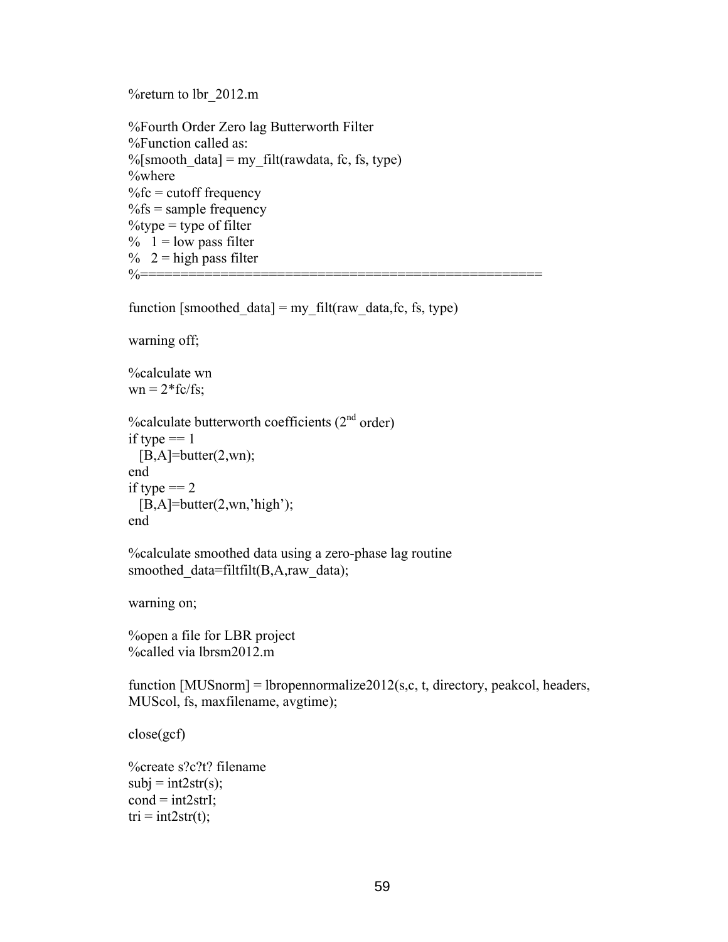%return to lbr\_2012.m

```
%Fourth Order Zero lag Butterworth Filter 
%Function called as: 
%[smooth data] = my filt(rawdata, fc, fs, type)
%where 
%fc = cutoff frequency
%fs = sample frequency
\%type = type of filter
\% 1 = low pass filter
% 2 = high pass filter
%==================================================
```
function [smoothed data] = my filt(raw data,fc, fs, type)

warning off;

%calculate wn

 $wn = 2*fc/fs;$ 

```
%calculate butterworth coefficients (2<sup>nd</sup> order)if type == 1[B,A]=butter(2,wn);end 
if type == 2[B,A]=butter(2,wn, 'high');end
```
%calculate smoothed data using a zero-phase lag routine smoothed\_data=filtfilt(B,A,raw\_data);

warning on;

%open a file for LBR project %called via lbrsm2012.m

function  $[MUSnorm] = lbropennormalize2012(s,c, t, directory, peaked, headers,$ MUScol, fs, maxfilename, avgtime);

close(gcf)

```
%create s?c?t? filename 
subj = int2str(s);cond = int2strI;
tri = int2str(t);
```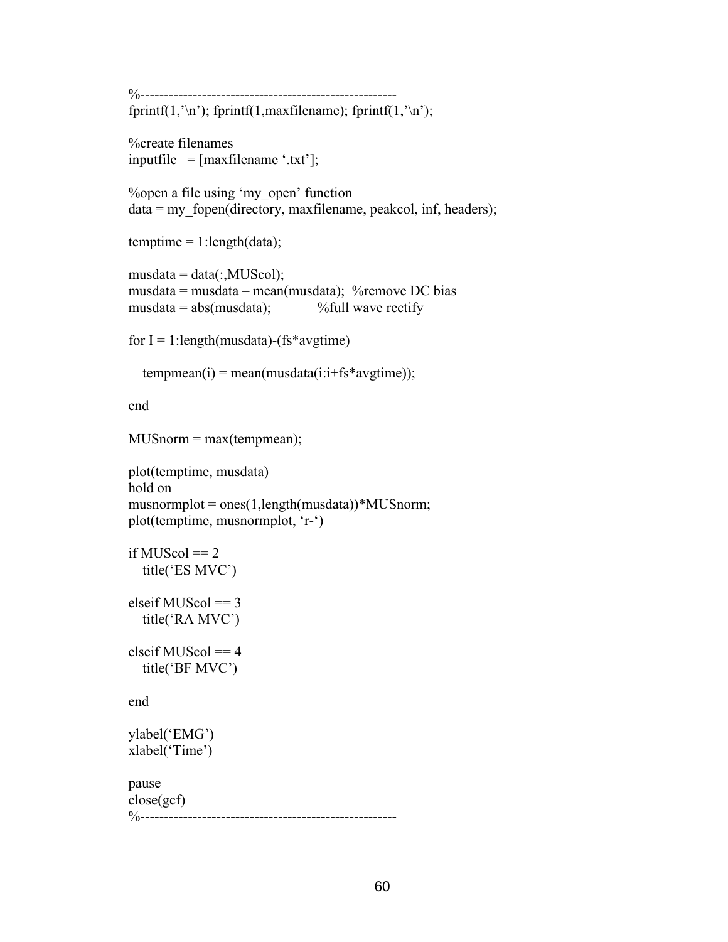```
%------------------------------------------------------ 
fprintf(1, \ln); fprintf(1, \maxfilename); fprintf(1, \ln);
%create filenames 
inputfile = [maxfilename '.txt'];
%open a file using 'my_open' function 
data = my_fopen(directory, maxfilename, peakcol, inf, headers);
temptime = 1:length(data);
musdata = data(:,MUScol);musdata = musdata – mean(musdata); %remove DC bias 
musdata = abs(musdata); %full wave rectify
for I = 1: length (musdata) - (fs*avgtime)
  tempmean(i) = mean(musdata(i:i+fs*avgtime));end 
MUSnorm = max(tempmean);plot(temptime, musdata) 
hold on 
musnormplot = ones(1, length(musdata))*MUSnorm;plot(temptime, musnormplot, 'r-') 
if MUScol == 2 title('ES MVC') 
elseif MUScol == 3 title('RA MVC') 
elseif MUScol == 4 title('BF MVC') 
end 
ylabel('EMG') 
xlabel('Time') 
pause 
close(gcf) 
%------------------------------------------------------
```

```
60 60
```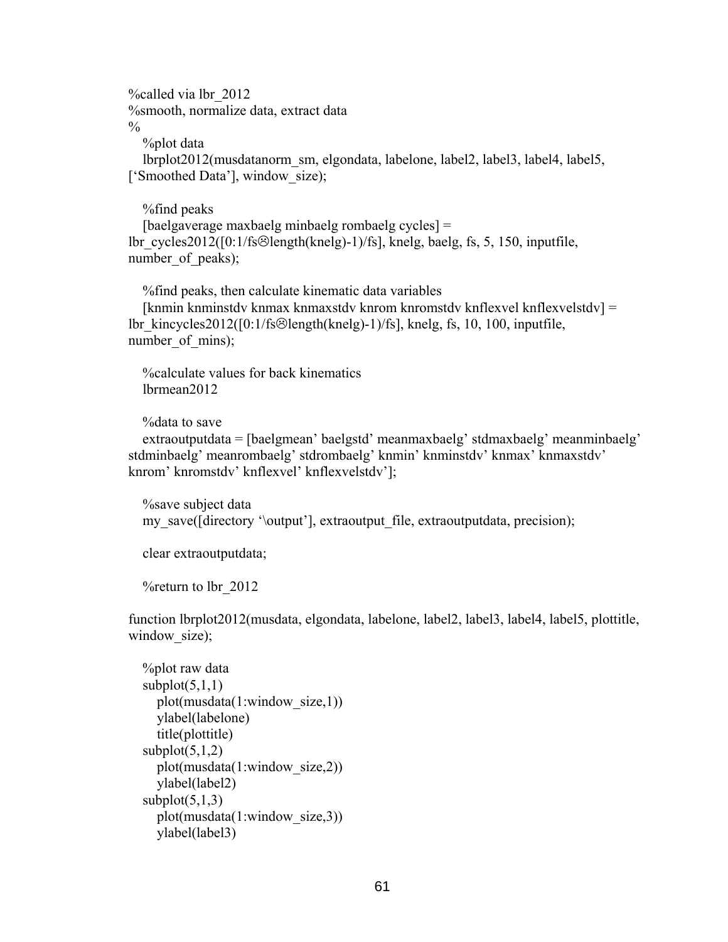%called via lbr\_2012 %smooth, normalize data, extract data  $\frac{0}{0}$ 

%plot data

 lbrplot2012(musdatanorm\_sm, elgondata, labelone, label2, label3, label4, label5, ['Smoothed Data'], window size);

 %find peaks [baelgaverage maxbaelg minbaelg rombaelg cycles] = lbr\_cycles2012( $[0:1/fs\odot length(knelg)-1)/fs$ ], knelg, baelg, fs, 5, 150, inputfile, number of peaks);

 %find peaks, then calculate kinematic data variables [knmin knminstdv knmax knmaxstdv knrom knromstdv knflexvel knflexvelstdv] = lbr kincycles2012( $[0:1/fs\Theta$ length(knelg)-1)/fs], knelg, fs, 10, 100, inputfile, number of mins);

 %calculate values for back kinematics lbrmean2012

%data to save

 extraoutputdata = [baelgmean' baelgstd' meanmaxbaelg' stdmaxbaelg' meanminbaelg' stdminbaelg' meanrombaelg' stdrombaelg' knmin' knminstdv' knmax' knmaxstdv' knrom' knromstdv' knflexvel' knflexvelstdv'];

 %save subject data my\_save([directory '\output'], extraoutput\_file, extraoutputdata, precision);

clear extraoutputdata;

%return to lbr\_2012

function lbrplot2012(musdata, elgondata, labelone, label2, label3, label4, label5, plottitle, window size);

```
 %plot raw data 
subplot(5,1,1) plot(musdata(1:window_size,1)) 
   ylabel(labelone) 
   title(plottitle) 
subplot(5,1,2) plot(musdata(1:window_size,2)) 
   ylabel(label2) 
subplot(5,1,3) plot(musdata(1:window_size,3)) 
   ylabel(label3)
```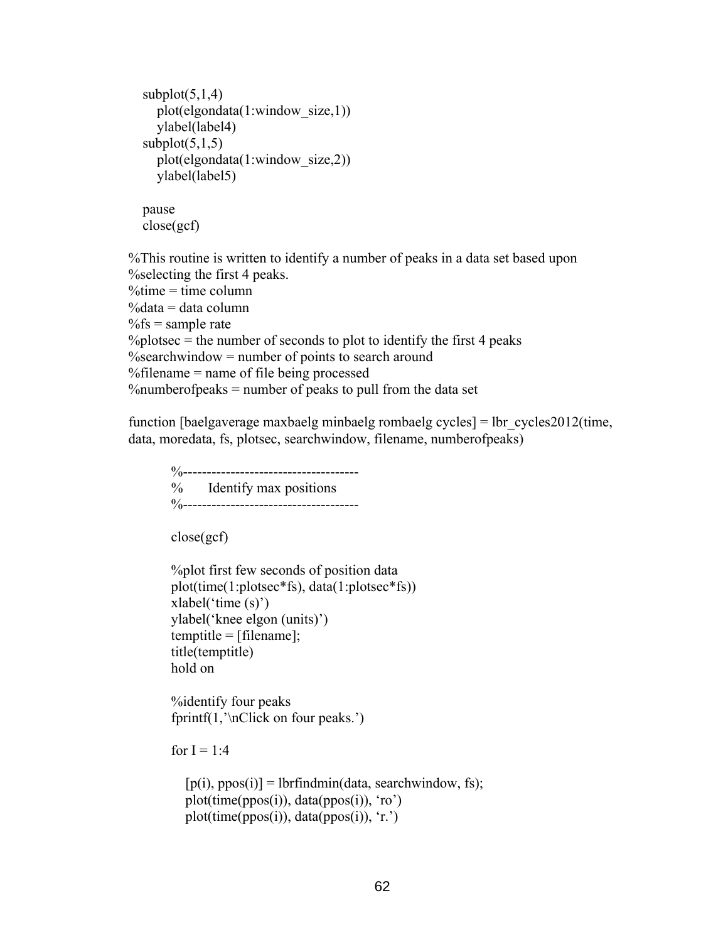```
subplot(5,1,4) plot(elgondata(1:window_size,1)) 
   ylabel(label4) 
subplot(5,1,5) plot(elgondata(1:window_size,2)) 
   ylabel(label5)
```

```
 pause 
 close(gcf)
```
%This routine is written to identify a number of peaks in a data set based upon %selecting the first 4 peaks.  $\%$ time = time column  $\%$ data = data column  $\%$ fs = sample rate  $\%$ plotsec = the number of seconds to plot to identify the first 4 peaks  $%$ searchwindow = number of points to search around %filename = name of file being processed %numberofpeaks = number of peaks to pull from the data set

function [baelgaverage maxbaelg minbaelg rombaelg cycles] = lbr  $cycles2012$ (time, data, moredata, fs, plotsec, searchwindow, filename, numberofpeaks)

```
 %------------------------------------- 
 % Identify max positions 
 %-------------------------------------
```
close(gcf)

```
 %plot first few seconds of position data 
 plot(time(1:plotsec*fs), data(1:plotsec*fs)) 
 xlabel('time (s)') 
 ylabel('knee elgon (units)') 
temptitle = [filename]; title(temptitle) 
 hold on
```
 %identify four peaks fprintf $(1, \n\infty)$  four peaks.')

for  $I = 1:4$ 

```
[p(i), ppos(i)] = lbrfindmin(data, searchwindow, fs); plot(time(ppos(i)), data(ppos(i)), 'ro') 
 plot(time(ppos(i)), data(ppos(i)), 'r.')
```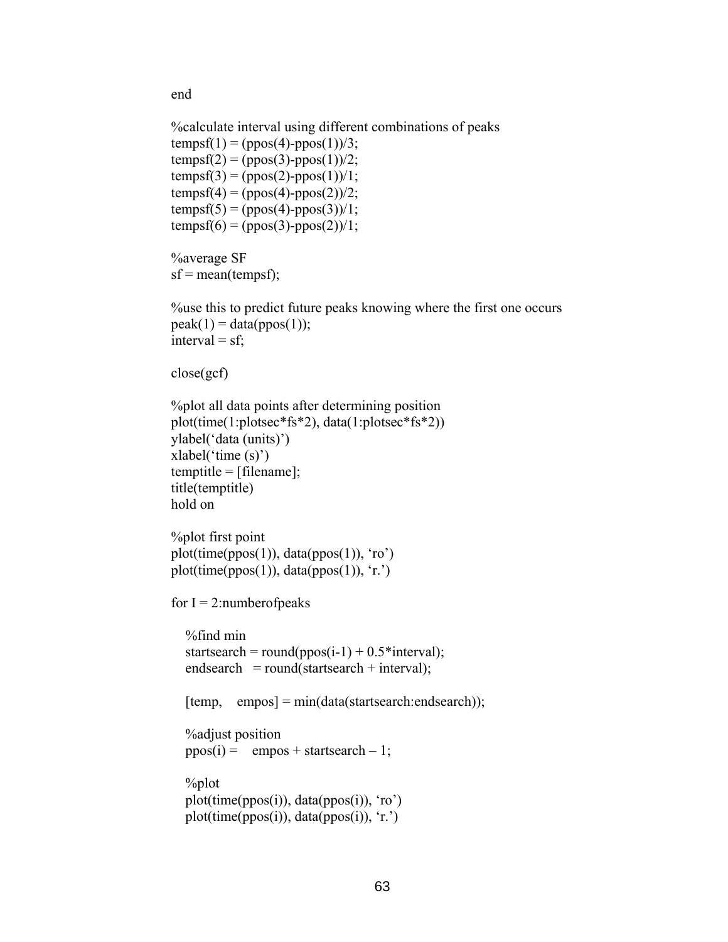end

```
 %calculate interval using different combinations of peaks 
tempsf(1) = (ppos(4)-ppos(1))/3;tempsf(2) = (ppos(3)-ppos(1))/2;tempsf(3) = (ppos(2) - ppos(1))/1;tempsf(4) = (ppos(4)-ppos(2))/2;tempsf(5) = (ppos(4)-ppos(3))/1;tempsf(6) = (ppos(3)-ppos(2))/1; %average SF 
sf = mean(tempsf);
 %use this to predict future peaks knowing where the first one occurs 
peak(1) = data(ppos(1));interval = sf; close(gcf) 
 %plot all data points after determining position 
 plot(time(1:plotsec*fs*2), data(1:plotsec*fs*2)) 
 ylabel('data (units)') 
 xlabel('time (s)') 
 temptitle = [filename]; 
 title(temptitle) 
 hold on 
 %plot first point 
plot(time(ppos(1)), data(ppos(1)), 'ro')
plot(time(ppos(1)), data(ppos(1)), 'r.')
for I = 2: number of peaks
   %find min 
  startsearch = round(ppos(i-1) + 0.5* interval);
  endsearch = round(startsearch + interval);
  [temp, empos] = min(data(startsearch:endsearch)); %adjust position 
  ppos(i) = \text{empos} + \text{startsearch} - 1; %plot 
   plot(time(ppos(i)), data(ppos(i)), 'ro') 
   plot(time(ppos(i)), data(ppos(i)), 'r.')
```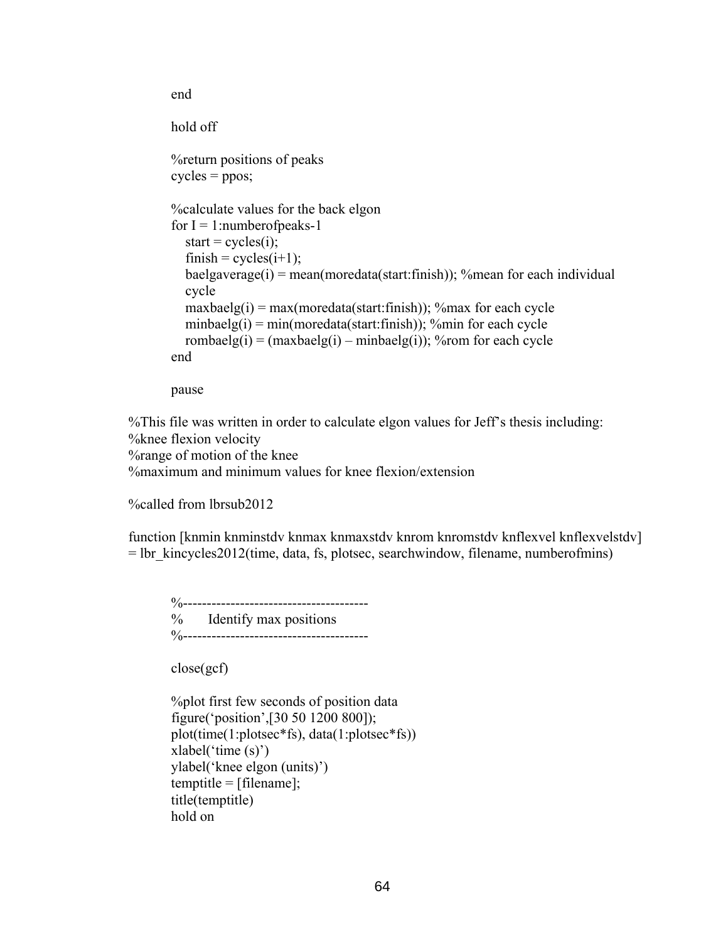```
 hold off 
 %return positions of peaks 
cycles = ppos; %calculate values for the back elgon 
for I = 1: number of peaks-1
  start = cycle(i);
  f \text{inish} = \text{cycles}(i+1);baelgaverage(i) = mean(moredata(start:finish)); % mean for each individual
   cycle 
  maxbaelg(i) = max(moredata(start: finish)); %max for each cycle
  minbaelg(i) = min(moredata(start:finish)); % min for each cycle
  rombaelg(i) = (maxbaelg(i) – minbaelg(i)); %rom for each cycle
 end
```
pause

end

%This file was written in order to calculate elgon values for Jeff's thesis including: %knee flexion velocity %range of motion of the knee %maximum and minimum values for knee flexion/extension

%called from lbrsub2012

function [knmin knminstdv knmax knmaxstdv knrom knromstdv knflexvel knflexvelstdv]  $=$  lbr kincycles2012(time, data, fs, plotsec, searchwindow, filename, numberofmins)

 %--------------------------------------- % Identify max positions %---------------------------------------

close(gcf)

```
 %plot first few seconds of position data 
 figure('position',[30 50 1200 800]); 
 plot(time(1:plotsec*fs), data(1:plotsec*fs)) 
 xlabel('time (s)') 
 ylabel('knee elgon (units)') 
temptitle = [filename]; title(temptitle) 
 hold on
```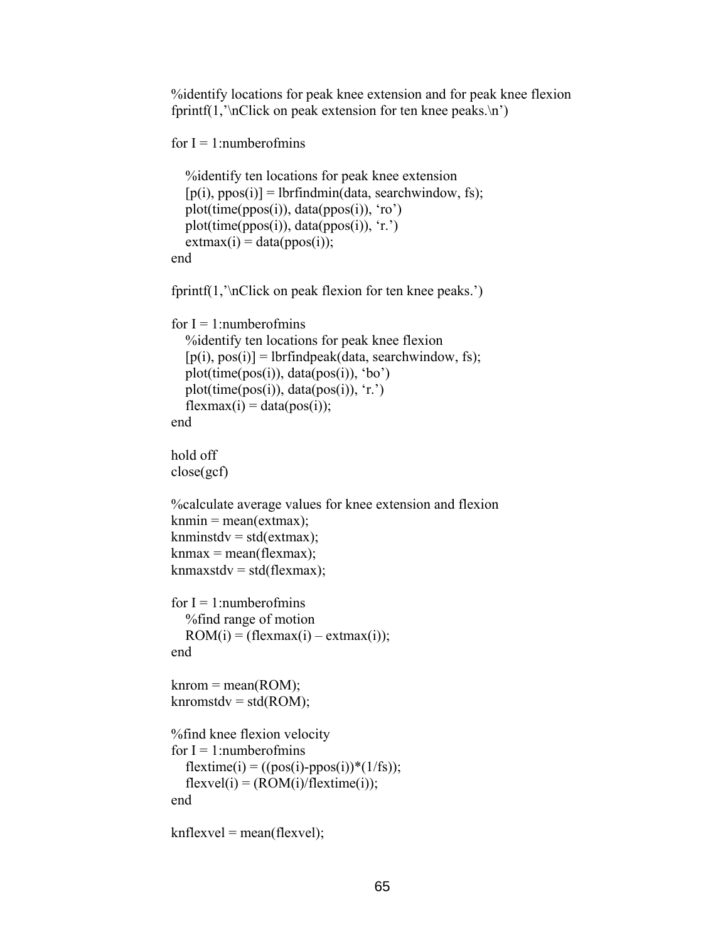%identify locations for peak knee extension and for peak knee flexion fprintf(1, $\in$ Click on peak extension for ten knee peaks. $\infty$ )

```
for I = 1: numberofmins
```

```
 %identify ten locations for peak knee extension 
  [p(i), ppos(i)] = lbrfindmin(data, searchwindow, fs); plot(time(ppos(i)), data(ppos(i)), 'ro') 
   plot(time(ppos(i)), data(ppos(i)), 'r.') 
  extmax(i) = data(ppos(i)); end
```

```
 fprintf(1,'\nClick on peak flexion for ten knee peaks.')
```

```
for I = 1: numberofmins
   %identify ten locations for peak knee flexion 
  [p(i), pos(i)] = lbrfindpeak(data, searchwindow, fs); plot(time(pos(i)), data(pos(i)), 'bo') 
   plot(time(pos(i)), data(pos(i)), 'r.') 
  flexmax(i) = data(pos(i)); end
```

```
 hold off 
 close(gcf)
```

```
 %calculate average values for knee extension and flexion 
knmin = mean(extmax);
knminstdv = std(extmax);
kmmax = mean(flexmax);kmmaxstdv = std(flexmax);
```

```
for I = 1: numberofmins
   %find range of motion 
  ROM(i) = (flexmax(i) - extmax(i)); end
```

```
\text{known} = \text{mean}(\text{ROM});
knromstdv = std(ROM);
```

```
 %find knee flexion velocity 
for I = 1: numberofmins
  flextime(i) = ((pos(i)-ppos(i))*(1/fs));flexvel(i) = (ROM(i)/flextime(i)); end
```

```
knflexvel = mean(flexvel);
```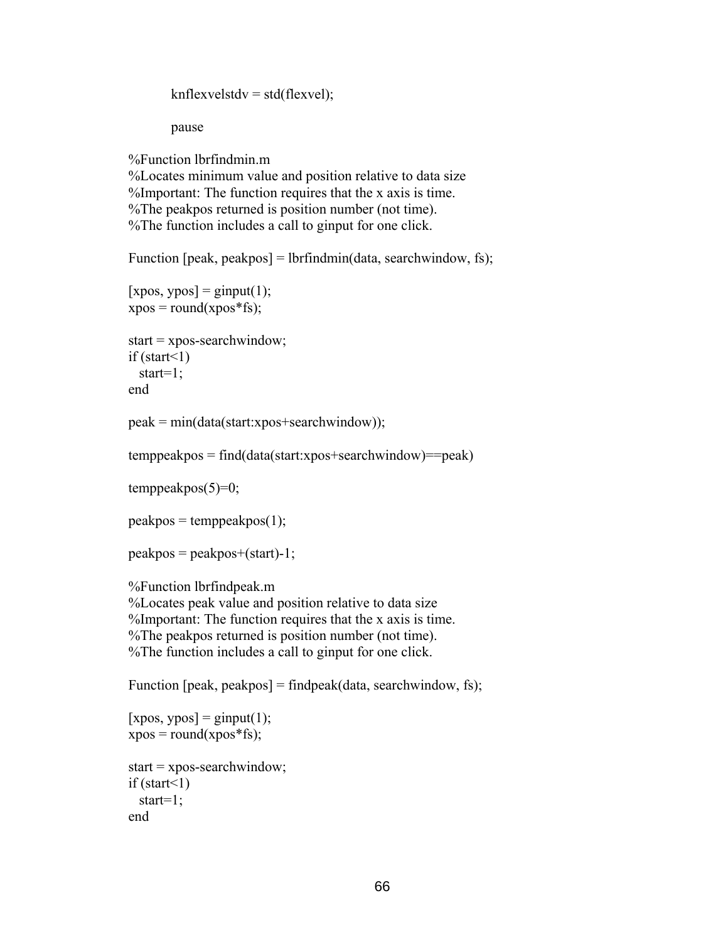$knflexvelstdv = std(flexvel);$ 

pause

%Function lbrfindmin.m

%Locates minimum value and position relative to data size %Important: The function requires that the x axis is time. %The peakpos returned is position number (not time). %The function includes a call to ginput for one click.

Function [peak, peakpos] = lbrfindmin(data, searchwindow, fs);

```
[xpos, ypos] = ginput(1);xpos = round(xpos * fs);
```

```
start = xpos-searchwindow; 
if (start\leq1)
  start=1; 
end
```

```
peak = min(data(start:xpos + searchwindow));
```

```
temppeakpos = find(data(start:xpos+searchwindow)==peak)
```
 $temppeakpos(5)=0;$ 

```
peakpos = temppeakpos(1);
```

```
peakpos = peakpos + (start) - 1;
```

```
%Function lbrfindpeak.m
```
%Locates peak value and position relative to data size %Important: The function requires that the x axis is time. %The peakpos returned is position number (not time). %The function includes a call to ginput for one click.

Function [peak, peakpos] = findpeak(data, searchwindow, fs);

```
[xpos, ypos] = ginput(1);xpos = round(xpos * fs);start = xpos-searchwindow; 
if (start\leq1)
   start=1; 
end
```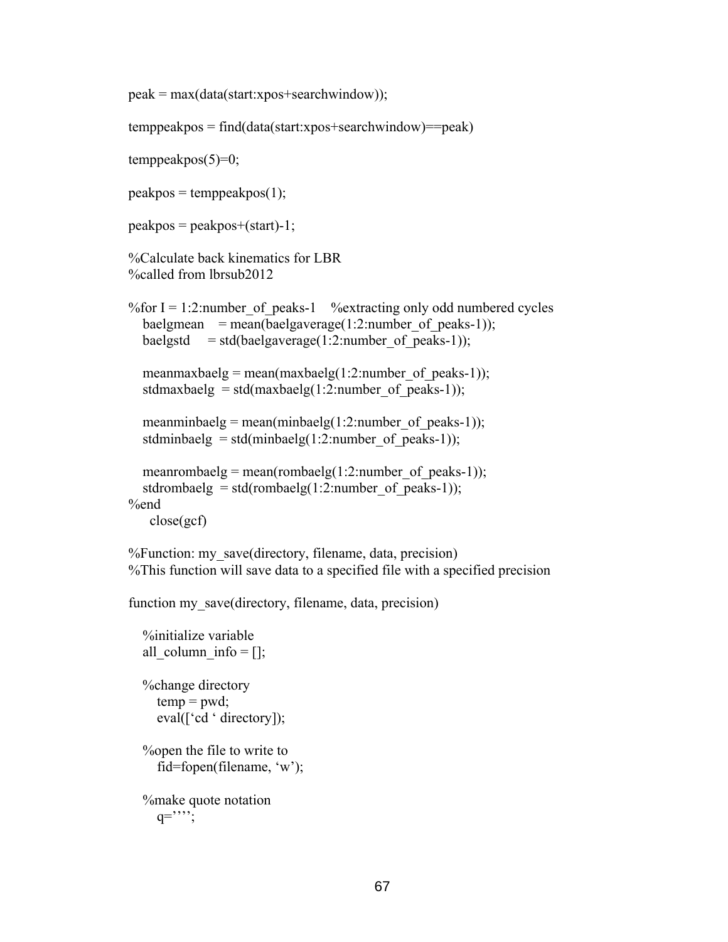```
peak = max(data(start:xpos+searchwindow));
```

```
temppeakpos = find(data(start:xpos+searchwindow)==peak)
```

```
temppeakpos(5)=0;
```
 $peakpos = temppeakpos(1);$ 

```
peakpos = peakpos + (start) - 1;
```

```
%Calculate back kinematics for LBR 
%called from lbrsub2012
```

```
% for I = 1:2:number of peaks-1 % extracting only odd numbered cycles
  baelgmean = mean(baelgaverage(1:2:number of peaks-1));
 baelgstd = std(baelgaverage(1:2:number of peaks-1));
```

```
meanmaxbaelg = mean(maxbaelg(1:2:number of peaks-1));
stdmaxbaelg = std(maxbaelg(1:2:number of peaks-1));
```

```
meanminbaelg = mean(minbaelg(1:2:number of peaks-1));
stdminbaelg = std(minbaelg(1:2:number of peaks-1));
```

```
meanrombaelg = mean(rombaelg(1:2:number of peaks-1));
  stdrombaelg = std(rombaelg(1:2:number of peaks-1));
%end 
    close(gcf)
```

```
%Function: my_save(directory, filename, data, precision) 
%This function will save data to a specified file with a specified precision
```
function my\_save(directory, filename, data, precision)

```
 %initialize variable 
all column info = [;
 %change directory 
  temp = pwd;
   eval(['cd ' directory]); 
 %open the file to write to 
   fid=fopen(filename, 'w'); 
 %make quote notation 
  q ="";
```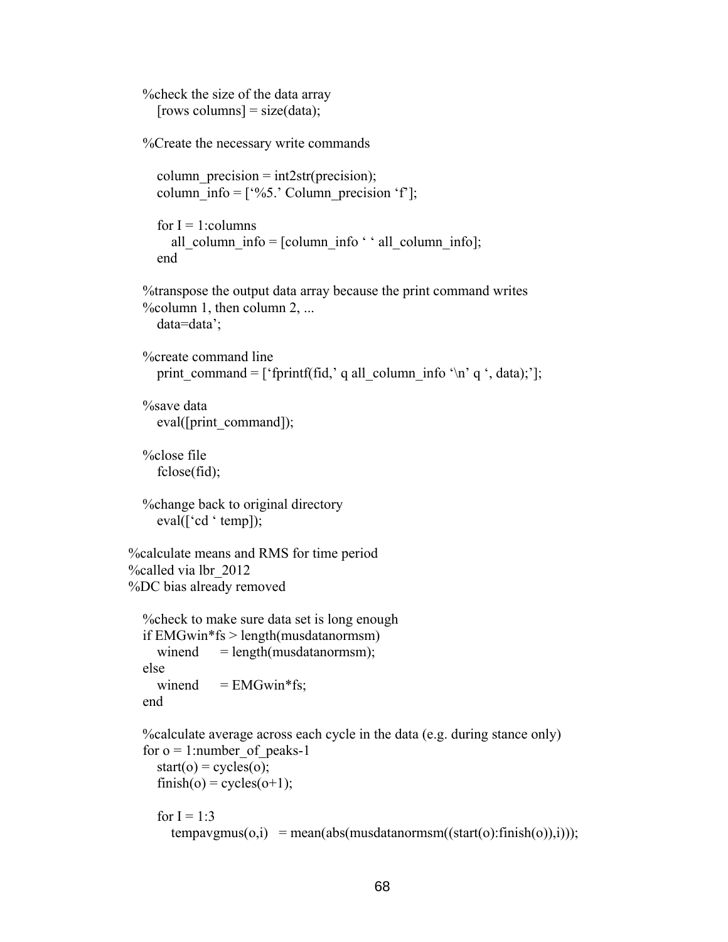```
 %check the size of the data array 
    [rows columns] = size(data); %Create the necessary write commands 
    column precision = int2str(precision);
    column info = ['%5.' Column precision 'f'];
    for I = 1: columns
       all column info = [column info ' ' all column info];
     end 
   %transpose the output data array because the print command writes 
   %column 1, then column 2, ... 
     data=data'; 
   %create command line 
    print_command = [ 'fprintf(fid,' q all_column_info '\n' q ', data);'];
   %save data 
     eval([print_command]);
   %close file 
      fclose(fid); 
   %change back to original directory 
     eval(['cd ' temp]); 
%calculate means and RMS for time period 
%called via lbr_2012 
%DC bias already removed 
   %check to make sure data set is long enough 
   if EMGwin*fs > length(musdatanormsm) 
    winend = length(musdatanormsm);
   else 
    winend = EMGwin*fs;
   end 
   %calculate average across each cycle in the data (e.g. during stance only) 
  for o = 1:number of peaks-1
    start(o) = cycles(o);finish(o) = cycles(o+1);for I = 1:3tempavgmus(o,i) = mean(abs(mus datanormsm((start(o): finish(o)),i)));
```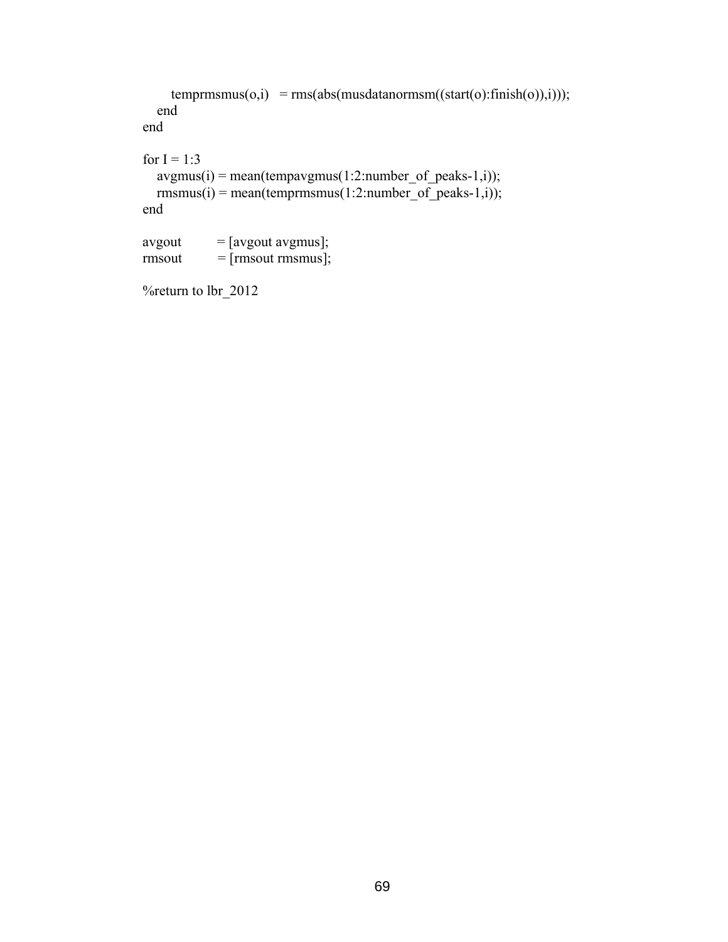```
temprmsmus(o,i) = rms(abs(mus datanormsm((start(o):finish(o)),i)));
   end 
 end 
for I = 1:3avgmus(i) = mean(tempaygmus(1:2:number_of_peaks-1,i));r_{\text{max}}(i) = \text{mean}(\text{term}m_{\text{max}}(1:2:\text{number of peaks-1},i)); end 
avgout = [avgout avgmus];rmsout = [rmsout rmsmus];
```

```
 %return to lbr_2012
```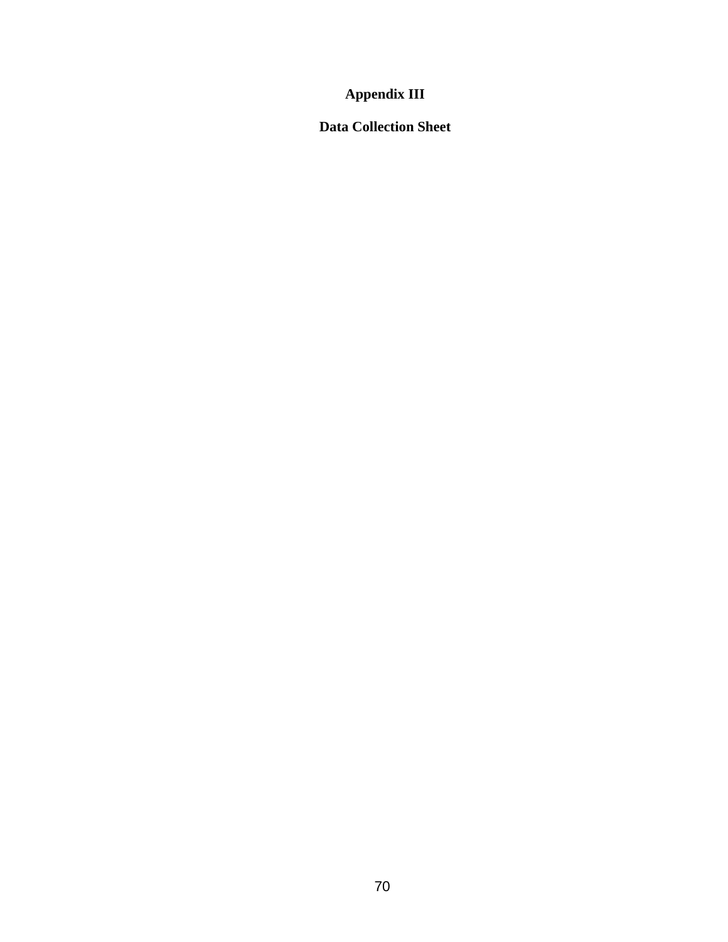# **Appendix III**

**Data Collection Sheet**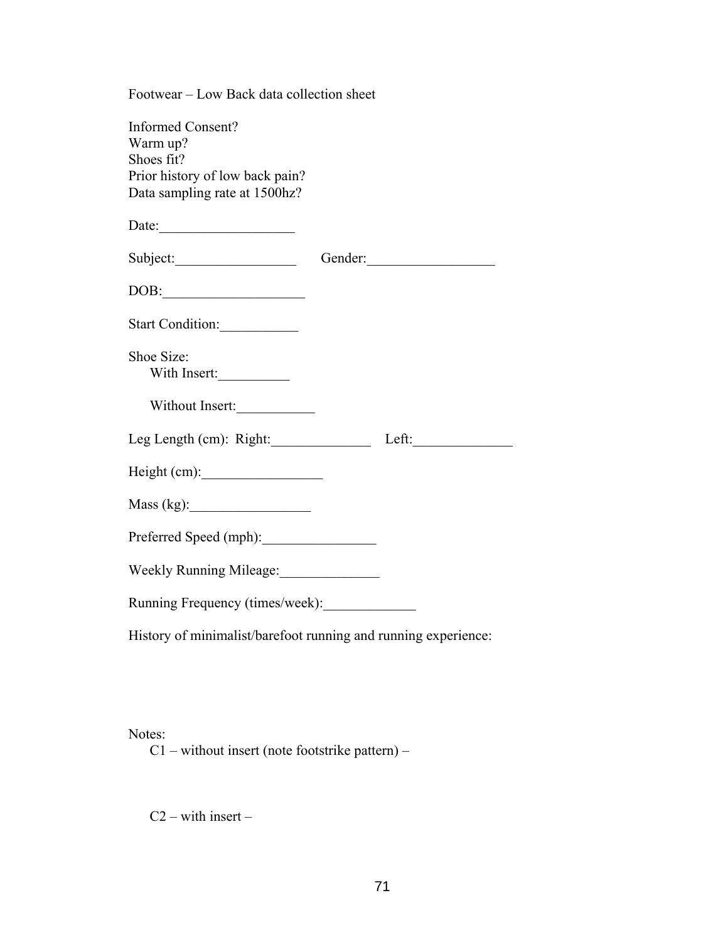| Footwear – Low Back data collection sheet                                                                              |  |         |  |  |
|------------------------------------------------------------------------------------------------------------------------|--|---------|--|--|
| <b>Informed Consent?</b><br>Warm up?<br>Shoes fit?<br>Prior history of low back pain?<br>Data sampling rate at 1500hz? |  |         |  |  |
| Date:                                                                                                                  |  |         |  |  |
|                                                                                                                        |  | Gender: |  |  |
| $\boxed{\textrm{DOB:}\underline{\hspace{1.5cm}}\qquad \qquad \hspace{1.5cm}}$                                          |  |         |  |  |
| Start Condition:                                                                                                       |  |         |  |  |
| Shoe Size:<br>With Insert:                                                                                             |  |         |  |  |
| Without Insert:                                                                                                        |  |         |  |  |
| Leg Length (cm): Right: Left:                                                                                          |  |         |  |  |
|                                                                                                                        |  |         |  |  |
|                                                                                                                        |  |         |  |  |
| Preferred Speed (mph):                                                                                                 |  |         |  |  |
| Weekly Running Mileage:                                                                                                |  |         |  |  |
| Running Frequency (times/week):                                                                                        |  |         |  |  |
| History of minimalist/barefoot running and running experience:                                                         |  |         |  |  |

Notes:

C1 – without insert (note footstrike pattern) –

 $C2 - with insert -$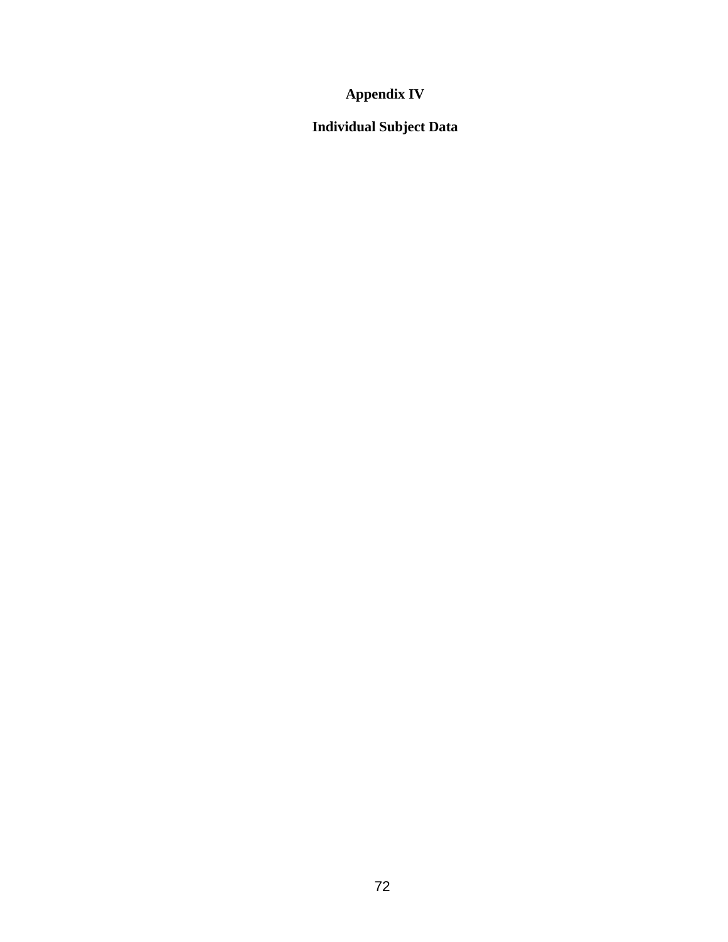# **Appendix IV**

# **Individual Subject Data**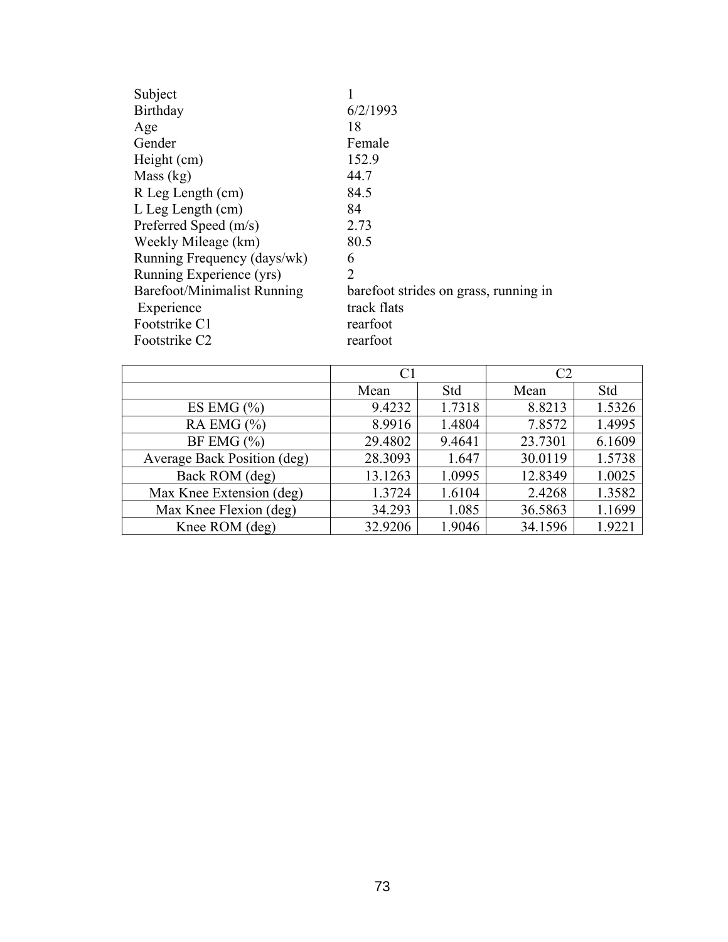| 6/2/1993                              |
|---------------------------------------|
| 18                                    |
| Female                                |
| 152.9                                 |
| 44.7                                  |
| 84.5                                  |
| 84                                    |
| 2.73                                  |
| 80.5                                  |
| 6                                     |
| $\overline{2}$                        |
| barefoot strides on grass, running in |
| track flats                           |
| rearfoot                              |
| rearfoot                              |
|                                       |

|                             |         |        | C2      |        |
|-----------------------------|---------|--------|---------|--------|
|                             | Mean    | Std    | Mean    | Std    |
| ES EMG $(\% )$              | 9.4232  | 1.7318 | 8.8213  | 1.5326 |
| RA EMG $(\% )$              | 8.9916  | 1.4804 | 7.8572  | 1.4995 |
| BF EMG $(\% )$              | 29.4802 | 9.4641 | 23.7301 | 6.1609 |
| Average Back Position (deg) | 28.3093 | 1.647  | 30.0119 | 1.5738 |
| Back ROM (deg)              | 13.1263 | 1.0995 | 12.8349 | 1.0025 |
| Max Knee Extension (deg)    | 1.3724  | 1.6104 | 2.4268  | 1.3582 |
| Max Knee Flexion (deg)      | 34.293  | 1.085  | 36.5863 | 1.1699 |
| Knee ROM (deg)              | 32.9206 | 1.9046 | 34.1596 | 1.9221 |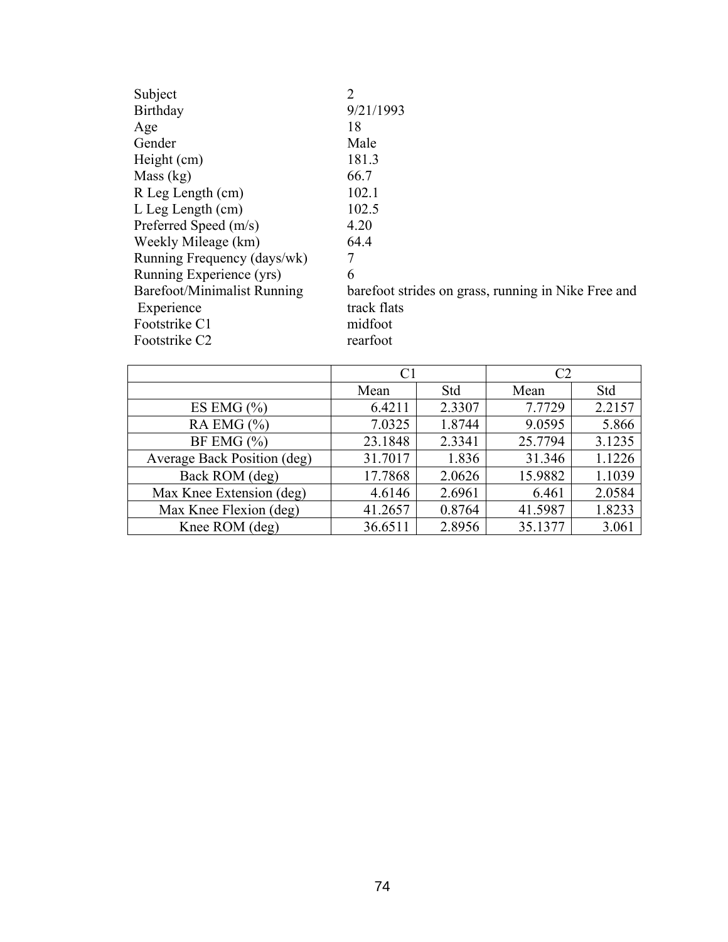| Subject                     | $\overline{2}$                                      |
|-----------------------------|-----------------------------------------------------|
| Birthday                    | 9/21/1993                                           |
| Age                         | 18                                                  |
| Gender                      | Male                                                |
| Height (cm)                 | 181.3                                               |
| Mass $(kg)$                 | 66.7                                                |
| R Leg Length (cm)           | 102.1                                               |
| $L$ Leg Length $(cm)$       | 102.5                                               |
| Preferred Speed (m/s)       | 4.20                                                |
| Weekly Mileage (km)         | 64.4                                                |
| Running Frequency (days/wk) | 7                                                   |
| Running Experience (yrs)    | 6                                                   |
| Barefoot/Minimalist Running | barefoot strides on grass, running in Nike Free and |
| Experience                  | track flats                                         |
| Footstrike C1               | midfoot                                             |
| Footstrike C <sub>2</sub>   | rearfoot                                            |
|                             |                                                     |

|                             |         |        | C2      |        |
|-----------------------------|---------|--------|---------|--------|
|                             | Mean    | Std    | Mean    | Std    |
| ES EMG $(\% )$              | 6.4211  | 2.3307 | 7.7729  | 2.2157 |
| RA EMG $(\% )$              | 7.0325  | 1.8744 | 9.0595  | 5.866  |
| BF EMG $(\% )$              | 23.1848 | 2.3341 | 25.7794 | 3.1235 |
| Average Back Position (deg) | 31.7017 | 1.836  | 31.346  | 1.1226 |
| Back ROM (deg)              | 17.7868 | 2.0626 | 15.9882 | 1.1039 |
| Max Knee Extension (deg)    | 4.6146  | 2.6961 | 6.461   | 2.0584 |
| Max Knee Flexion (deg)      | 41.2657 | 0.8764 | 41.5987 | 1.8233 |
| Knee ROM (deg)              | 36.6511 | 2.8956 | 35.1377 | 3.061  |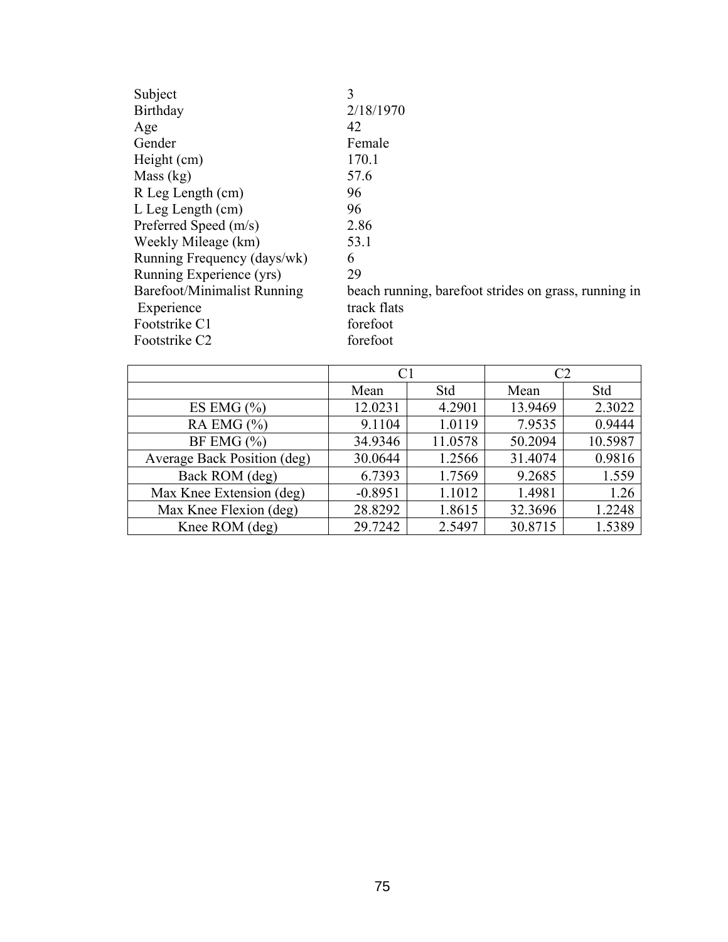| Subject                     | 3                                                    |
|-----------------------------|------------------------------------------------------|
| Birthday                    | 2/18/1970                                            |
| Age                         | 42                                                   |
| Gender                      | Female                                               |
| Height (cm)                 | 170.1                                                |
| Mass $(kg)$                 | 57.6                                                 |
| R Leg Length (cm)           | 96                                                   |
| $L$ Leg Length $(cm)$       | 96                                                   |
| Preferred Speed (m/s)       | 2.86                                                 |
| Weekly Mileage (km)         | 53.1                                                 |
| Running Frequency (days/wk) | 6                                                    |
| Running Experience (yrs)    | 29                                                   |
| Barefoot/Minimalist Running | beach running, barefoot strides on grass, running in |
| Experience                  | track flats                                          |
| Footstrike C1               | forefoot                                             |
| Footstrike C <sub>2</sub>   | forefoot                                             |
|                             |                                                      |

|                             | C1        |         | C2      |         |
|-----------------------------|-----------|---------|---------|---------|
|                             | Mean      | Std     | Mean    | Std     |
| ES EMG $(\% )$              | 12.0231   | 4.2901  | 13.9469 | 2.3022  |
| RA EMG $(\% )$              | 9.1104    | 1.0119  | 7.9535  | 0.9444  |
| BF EMG $(\% )$              | 34.9346   | 11.0578 | 50.2094 | 10.5987 |
| Average Back Position (deg) | 30.0644   | 1.2566  | 31.4074 | 0.9816  |
| Back ROM (deg)              | 6.7393    | 1.7569  | 9.2685  | 1.559   |
| Max Knee Extension (deg)    | $-0.8951$ | 1.1012  | 1.4981  | 1.26    |
| Max Knee Flexion (deg)      | 28.8292   | 1.8615  | 32.3696 | 1.2248  |
| Knee ROM (deg)              | 29.7242   | 2.5497  | 30.8715 | 1.5389  |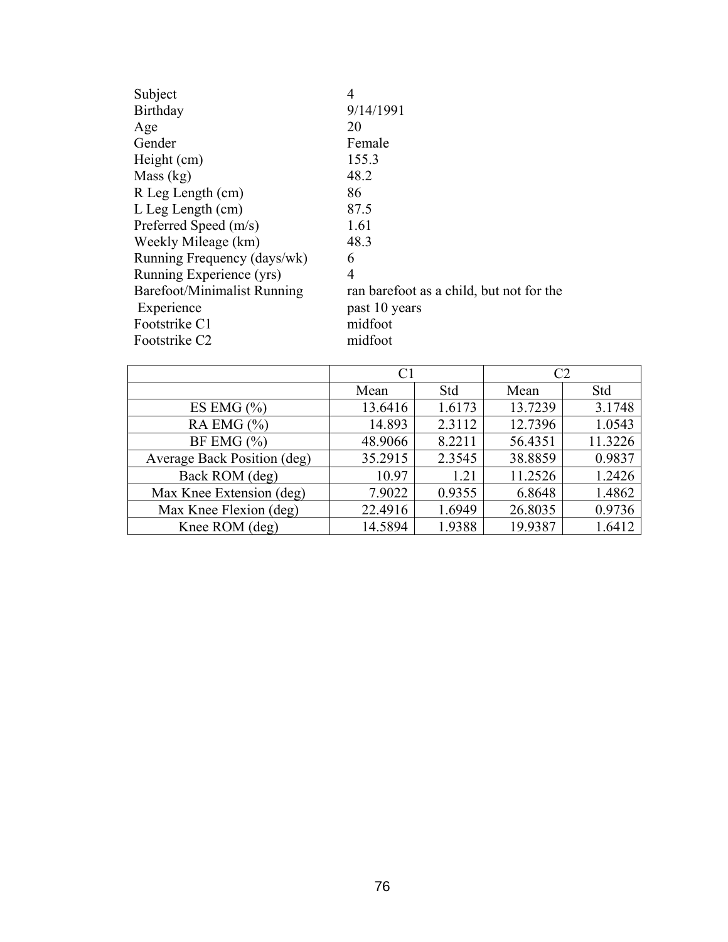| Subject                     | 4                                        |
|-----------------------------|------------------------------------------|
| Birthday                    | 9/14/1991                                |
| Age                         | 20                                       |
| Gender                      | Female                                   |
| Height (cm)                 | 155.3                                    |
| Mass $(kg)$                 | 48.2                                     |
| R Leg Length (cm)           | 86                                       |
| $L$ Leg Length $(cm)$       | 87.5                                     |
| Preferred Speed (m/s)       | 1.61                                     |
| Weekly Mileage (km)         | 48.3                                     |
| Running Frequency (days/wk) | 6                                        |
| Running Experience (yrs)    | 4                                        |
| Barefoot/Minimalist Running | ran barefoot as a child, but not for the |
| Experience                  | past 10 years                            |
| Footstrike C1               | midfoot                                  |
| Footstrike C <sub>2</sub>   | midfoot                                  |

|                             | C1      |        | $\mathcal{C}2$ |         |
|-----------------------------|---------|--------|----------------|---------|
|                             | Mean    | Std    | Mean           | Std     |
| ES EMG $(\% )$              | 13.6416 | 1.6173 | 13.7239        | 3.1748  |
| RA EMG $(\% )$              | 14.893  | 2.3112 | 12.7396        | 1.0543  |
| BF EMG $(\% )$              | 48.9066 | 8.2211 | 56.4351        | 11.3226 |
| Average Back Position (deg) | 35.2915 | 2.3545 | 38.8859        | 0.9837  |
| Back ROM (deg)              | 10.97   | 1.21   | 11.2526        | 1.2426  |
| Max Knee Extension (deg)    | 7.9022  | 0.9355 | 6.8648         | 1.4862  |
| Max Knee Flexion (deg)      | 22.4916 | 1.6949 | 26.8035        | 0.9736  |
| Knee ROM (deg)              | 14.5894 | 1.9388 | 19.9387        | 1.6412  |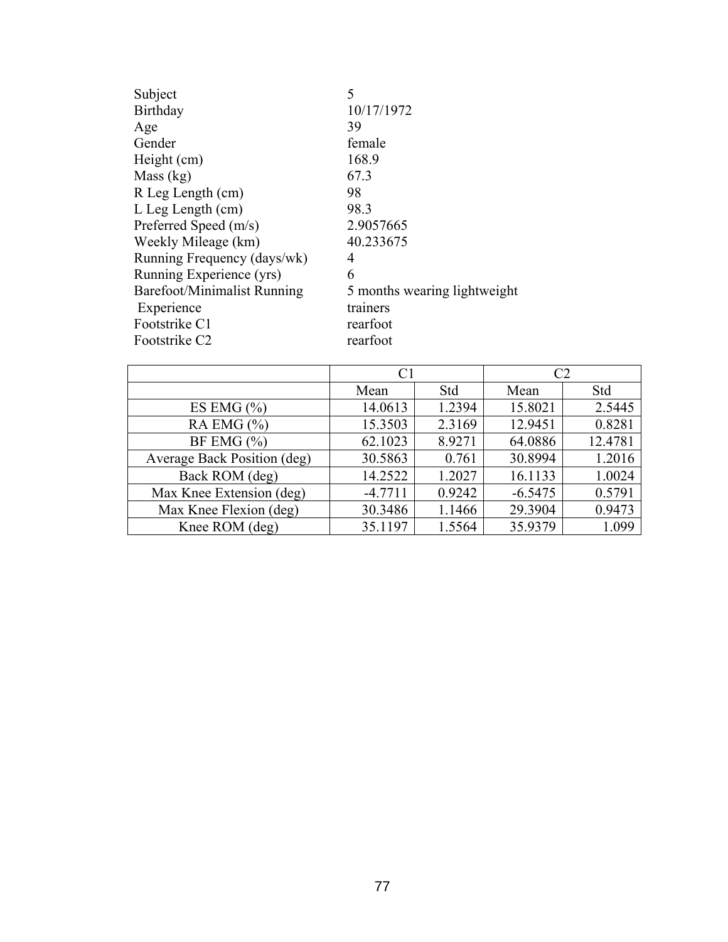| Subject                     | 5                            |
|-----------------------------|------------------------------|
| Birthday                    | 10/17/1972                   |
| Age                         | 39                           |
| Gender                      | female                       |
| Height (cm)                 | 168.9                        |
| Mass (kg)                   | 67.3                         |
| R Leg Length (cm)           | 98                           |
| L Leg Length (cm)           | 98.3                         |
| Preferred Speed (m/s)       | 2.9057665                    |
| Weekly Mileage (km)         | 40.233675                    |
| Running Frequency (days/wk) | 4                            |
| Running Experience (yrs)    | 6                            |
| Barefoot/Minimalist Running | 5 months wearing lightweight |
| Experience                  | trainers                     |
| Footstrike C1               | rearfoot                     |
| Footstrike C <sub>2</sub>   | rearfoot                     |

|                             | C <sub>1</sub> |        | C <sub>2</sub> |         |
|-----------------------------|----------------|--------|----------------|---------|
|                             | Mean           | Std    | Mean           | Std     |
| ES EMG $(\% )$              | 14.0613        | 1.2394 | 15.8021        | 2.5445  |
| RA EMG $(\% )$              | 15.3503        | 2.3169 | 12.9451        | 0.8281  |
| BF EMG $(\% )$              | 62.1023        | 8.9271 | 64.0886        | 12.4781 |
| Average Back Position (deg) | 30.5863        | 0.761  | 30.8994        | 1.2016  |
| Back ROM (deg)              | 14.2522        | 1.2027 | 16.1133        | 1.0024  |
| Max Knee Extension (deg)    | $-4.7711$      | 0.9242 | $-6.5475$      | 0.5791  |
| Max Knee Flexion (deg)      | 30.3486        | 1.1466 | 29.3904        | 0.9473  |
| Knee ROM (deg)              | 35.1197        | 1.5564 | 35.9379        | 1.099   |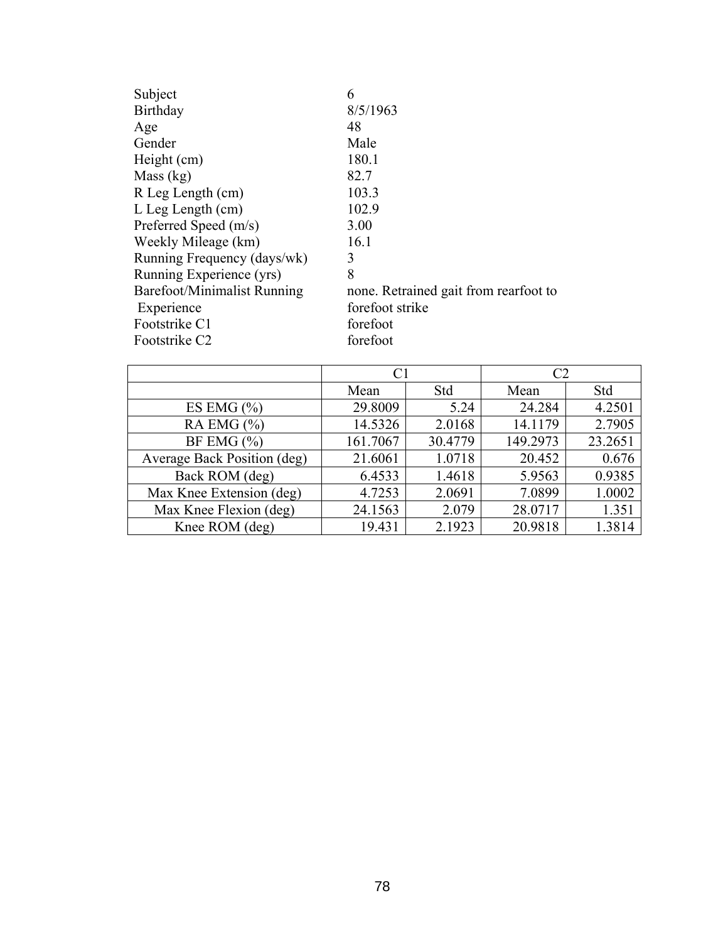| Subject                     | 6                                     |
|-----------------------------|---------------------------------------|
| <b>Birthday</b>             | 8/5/1963                              |
| Age                         | 48                                    |
| Gender                      | Male                                  |
| Height (cm)                 | 180.1                                 |
| Mass (kg)                   | 82.7                                  |
| R Leg Length (cm)           | 103.3                                 |
| L Leg Length (cm)           | 102.9                                 |
| Preferred Speed (m/s)       | 3.00                                  |
| Weekly Mileage (km)         | 16.1                                  |
| Running Frequency (days/wk) | 3                                     |
| Running Experience (yrs)    | 8                                     |
| Barefoot/Minimalist Running | none. Retrained gait from rearfoot to |
| Experience                  | forefoot strike                       |
| Footstrike C1               | forefoot                              |
| Footstrike C <sub>2</sub>   | forefoot                              |

|                             | C1       |         | C <sub>2</sub> |         |
|-----------------------------|----------|---------|----------------|---------|
|                             | Mean     | Std     | Mean           | Std     |
| ES EMG $(\% )$              | 29.8009  | 5.24    | 24.284         | 4.2501  |
| RA EMG $(\% )$              | 14.5326  | 2.0168  | 14.1179        | 2.7905  |
| BF EMG $(\% )$              | 161.7067 | 30.4779 | 149.2973       | 23.2651 |
| Average Back Position (deg) | 21.6061  | 1.0718  | 20.452         | 0.676   |
| Back ROM (deg)              | 6.4533   | 1.4618  | 5.9563         | 0.9385  |
| Max Knee Extension (deg)    | 4.7253   | 2.0691  | 7.0899         | 1.0002  |
| Max Knee Flexion (deg)      | 24.1563  | 2.079   | 28.0717        | 1.351   |
| Knee ROM (deg)              | 19.431   | 2.1923  | 20.9818        | 1.3814  |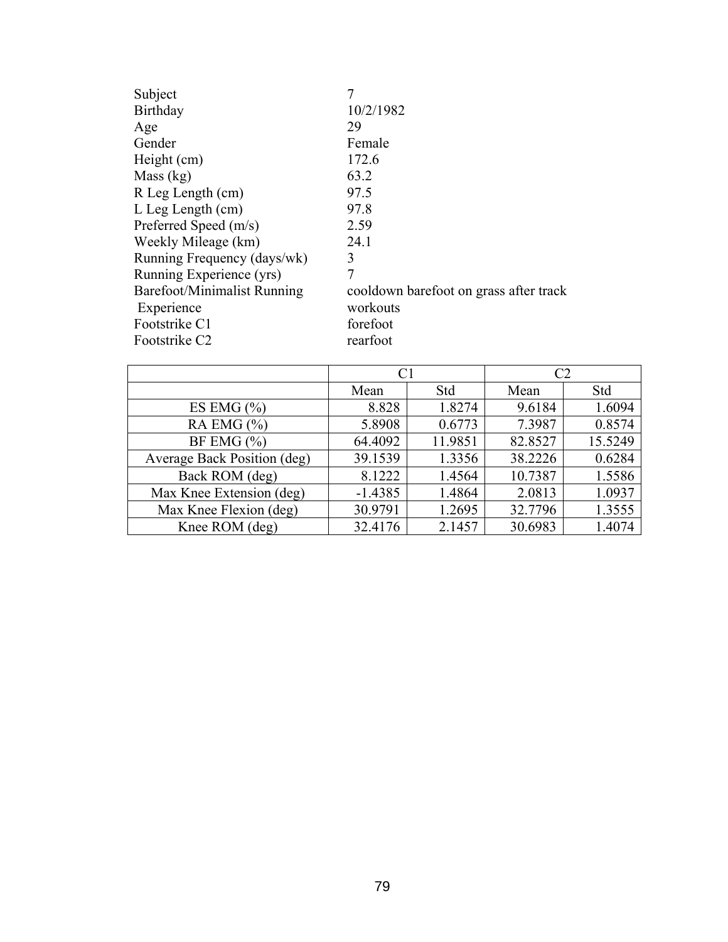| Subject                     |                                        |
|-----------------------------|----------------------------------------|
| Birthday                    | 10/2/1982                              |
| Age                         | 29                                     |
| Gender                      | Female                                 |
| Height (cm)                 | 172.6                                  |
| Mass $(kg)$                 | 63.2                                   |
| R Leg Length (cm)           | 97.5                                   |
| $L$ Leg Length $(cm)$       | 97.8                                   |
| Preferred Speed (m/s)       | 2.59                                   |
| Weekly Mileage (km)         | 24.1                                   |
| Running Frequency (days/wk) | 3                                      |
| Running Experience (yrs)    | 7                                      |
| Barefoot/Minimalist Running | cooldown barefoot on grass after track |
| Experience                  | workouts                               |
| Footstrike C1               | forefoot                               |
| Footstrike C <sub>2</sub>   | rearfoot                               |

|                             | C1        |         |         |         |
|-----------------------------|-----------|---------|---------|---------|
|                             | Mean      | Std     | Mean    | Std     |
| ES EMG $(\% )$              | 8.828     | 1.8274  | 9.6184  | 1.6094  |
| RA EMG $(\% )$              | 5.8908    | 0.6773  | 7.3987  | 0.8574  |
| BF EMG $(\% )$              | 64.4092   | 11.9851 | 82.8527 | 15.5249 |
| Average Back Position (deg) | 39.1539   | 1.3356  | 38.2226 | 0.6284  |
| Back ROM (deg)              | 8.1222    | 1.4564  | 10.7387 | 1.5586  |
| Max Knee Extension (deg)    | $-1.4385$ | 1.4864  | 2.0813  | 1.0937  |
| Max Knee Flexion (deg)      | 30.9791   | 1.2695  | 32.7796 | 1.3555  |
| Knee ROM (deg)              | 32.4176   | 2.1457  | 30.6983 | 1.4074  |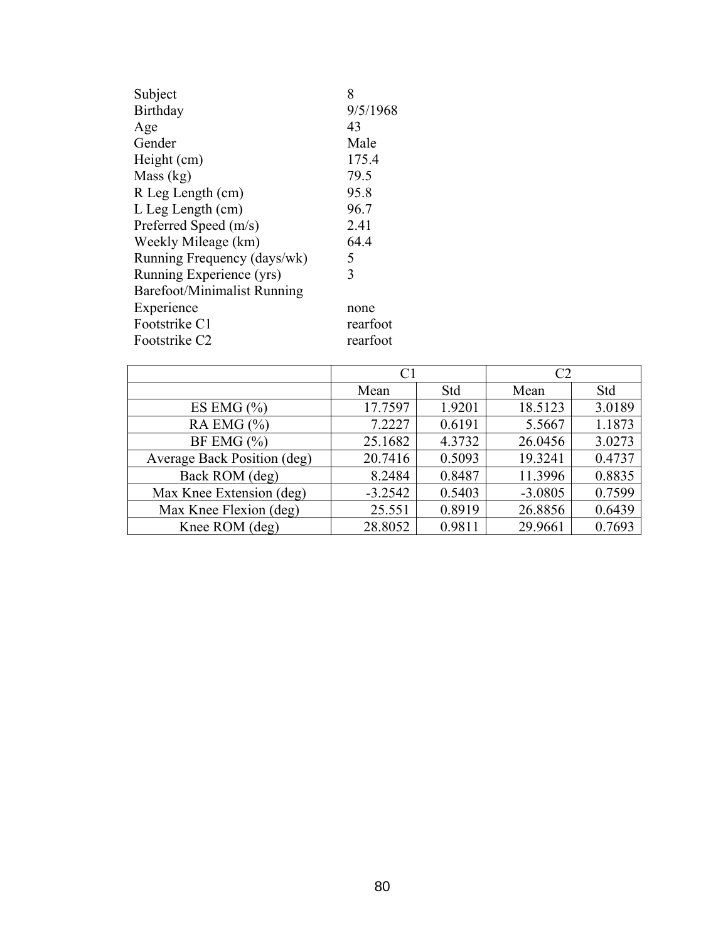| Subject                            | 8        |
|------------------------------------|----------|
| Birthday                           | 9/5/1968 |
| Age                                | 43       |
| Gender                             | Male     |
| Height (cm)                        | 175.4    |
| Mass (kg)                          | 79.5     |
| R Leg Length (cm)                  | 95.8     |
| $L$ Leg Length $(cm)$              | 96.7     |
| Preferred Speed (m/s)              | 2.41     |
| Weekly Mileage (km)                | 64.4     |
| Running Frequency (days/wk)        | 5        |
| Running Experience (yrs)           | 3        |
| <b>Barefoot/Minimalist Running</b> |          |
| Experience                         | none     |
| Footstrike C1                      | rearfoot |
| Footstrike C <sub>2</sub>          | rearfoot |

|                             | C <sub>1</sub> |        | C <sub>2</sub> |        |
|-----------------------------|----------------|--------|----------------|--------|
|                             | Mean           | Std    | Mean           | Std    |
| ES EMG $(\% )$              | 17.7597        | 1.9201 | 18.5123        | 3.0189 |
| RA EMG $(\% )$              | 7.2227         | 0.6191 | 5.5667         | 1.1873 |
| BF EMG $(\% )$              | 25.1682        | 4.3732 | 26.0456        | 3.0273 |
| Average Back Position (deg) | 20.7416        | 0.5093 | 19.3241        | 0.4737 |
| Back ROM (deg)              | 8.2484         | 0.8487 | 11.3996        | 0.8835 |
| Max Knee Extension (deg)    | $-3.2542$      | 0.5403 | $-3.0805$      | 0.7599 |
| Max Knee Flexion (deg)      | 25.551         | 0.8919 | 26.8856        | 0.6439 |
| Knee ROM (deg)              | 28.8052        | 0.9811 | 29.9661        | 0.7693 |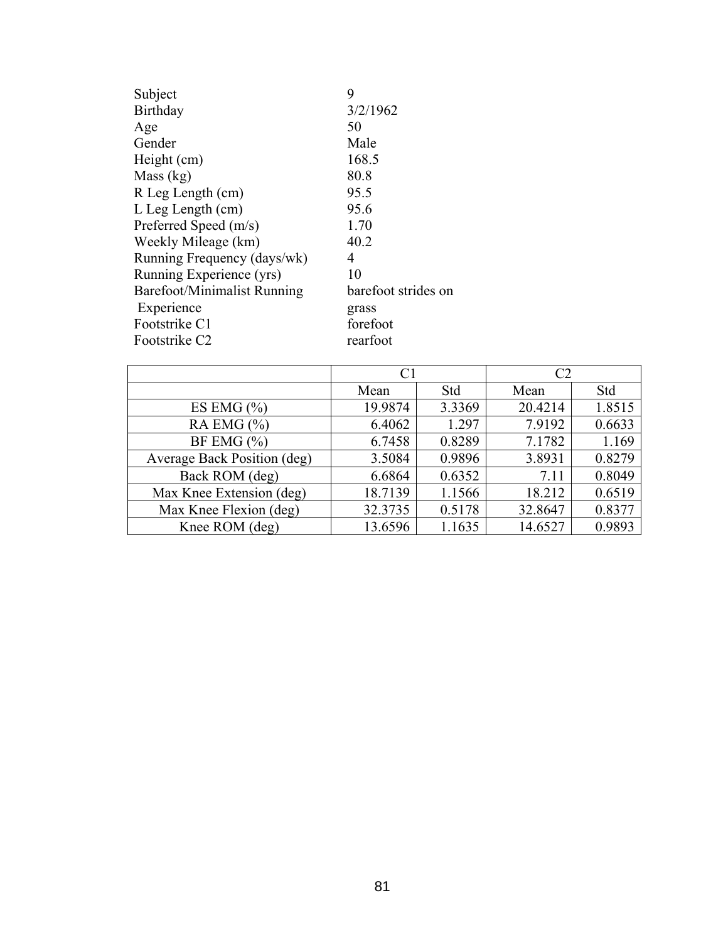| Subject                            | 9                   |
|------------------------------------|---------------------|
| Birthday                           | 3/2/1962            |
| Age                                | 50                  |
| Gender                             | Male                |
| Height (cm)                        | 168.5               |
| Mass $(kg)$                        | 80.8                |
| R Leg Length (cm)                  | 95.5                |
| $L$ Leg Length $(cm)$              | 95.6                |
| Preferred Speed (m/s)              | 1.70                |
| Weekly Mileage (km)                | 40.2                |
| Running Frequency (days/wk)        | 4                   |
| Running Experience (yrs)           | 10                  |
| <b>Barefoot/Minimalist Running</b> | barefoot strides on |
| Experience                         | grass               |
| Footstrike C1                      | forefoot            |
| Footstrike C <sub>2</sub>          | rearfoot            |

|                             | C1      |        | C <sub>2</sub> |        |
|-----------------------------|---------|--------|----------------|--------|
|                             | Mean    | Std    | Mean           | Std    |
| ES EMG $(\% )$              | 19.9874 | 3.3369 | 20.4214        | 1.8515 |
| RA EMG $(\% )$              | 6.4062  | 1.297  | 7.9192         | 0.6633 |
| BF EMG $(\% )$              | 6.7458  | 0.8289 | 7.1782         | 1.169  |
| Average Back Position (deg) | 3.5084  | 0.9896 | 3.8931         | 0.8279 |
| Back ROM (deg)              | 6.6864  | 0.6352 | 7.11           | 0.8049 |
| Max Knee Extension (deg)    | 18.7139 | 1.1566 | 18.212         | 0.6519 |
| Max Knee Flexion (deg)      | 32.3735 | 0.5178 | 32.8647        | 0.8377 |
| Knee ROM (deg)              | 13.6596 | 1.1635 | 14.6527        | 0.9893 |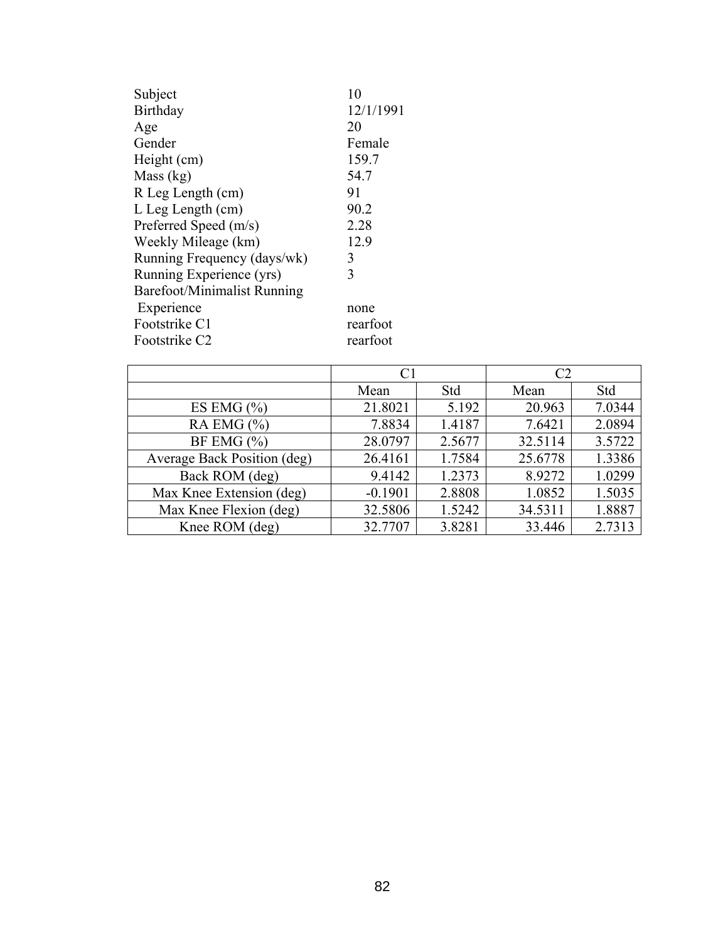| Subject                            | 10        |
|------------------------------------|-----------|
| Birthday                           | 12/1/1991 |
| Age                                | 20        |
| Gender                             | Female    |
| Height (cm)                        | 159.7     |
| Mass (kg)                          | 54.7      |
| R Leg Length (cm)                  | 91        |
| $L$ Leg Length $(cm)$              | 90.2      |
| Preferred Speed (m/s)              | 2.28      |
| Weekly Mileage (km)                | 12.9      |
| Running Frequency (days/wk)        | 3         |
| Running Experience (yrs)           | 3         |
| <b>Barefoot/Minimalist Running</b> |           |
| Experience                         | none      |
| Footstrike C1                      | rearfoot  |
| Footstrike C <sub>2</sub>          | rearfoot  |

|                             | C1        |        | C2      |        |
|-----------------------------|-----------|--------|---------|--------|
|                             | Mean      | Std    | Mean    | Std    |
| ES EMG $(\% )$              | 21.8021   | 5.192  | 20.963  | 7.0344 |
| RA EMG $(\% )$              | 7.8834    | 1.4187 | 7.6421  | 2.0894 |
| BF EMG $(\% )$              | 28.0797   | 2.5677 | 32.5114 | 3.5722 |
| Average Back Position (deg) | 26.4161   | 1.7584 | 25.6778 | 1.3386 |
| Back ROM (deg)              | 9.4142    | 1.2373 | 8.9272  | 1.0299 |
| Max Knee Extension (deg)    | $-0.1901$ | 2.8808 | 1.0852  | 1.5035 |
| Max Knee Flexion (deg)      | 32.5806   | 1.5242 | 34.5311 | 1.8887 |
| Knee ROM (deg)              | 32.7707   | 3.8281 | 33.446  | 2.7313 |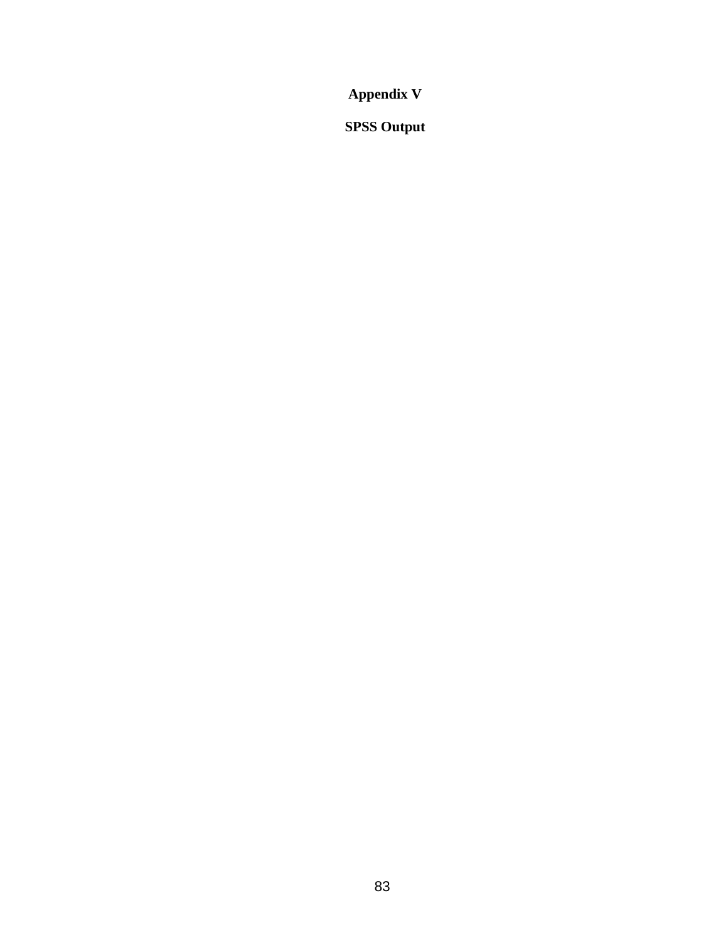**Appendix V** 

**SPSS Output**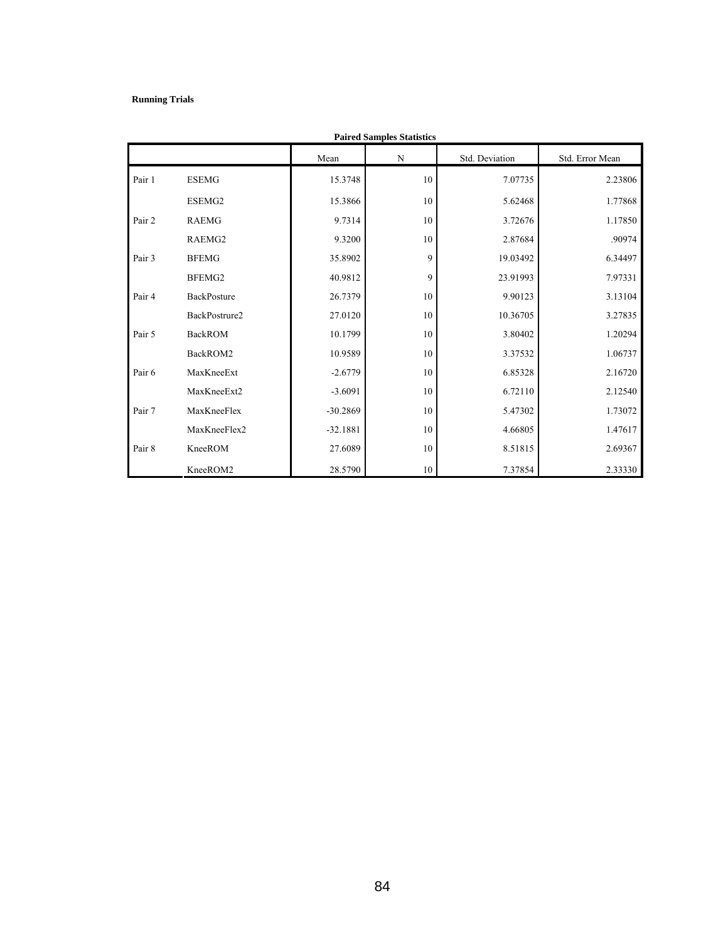#### **Running Trials**

| <b>Paired Samples Statistics</b> |                |            |    |                |                 |  |  |  |  |
|----------------------------------|----------------|------------|----|----------------|-----------------|--|--|--|--|
|                                  |                | Mean       | N  | Std. Deviation | Std. Error Mean |  |  |  |  |
| Pair 1                           | <b>ESEMG</b>   | 15.3748    | 10 | 7.07735        | 2.23806         |  |  |  |  |
|                                  | ESEMG2         | 15.3866    | 10 | 5.62468        | 1.77868         |  |  |  |  |
| Pair 2                           | <b>RAEMG</b>   | 9.7314     | 10 | 3.72676        | 1.17850         |  |  |  |  |
|                                  | RAEMG2         | 9.3200     | 10 | 2.87684        | .90974          |  |  |  |  |
| Pair 3                           | <b>BFEMG</b>   | 35.8902    | 9  | 19.03492       | 6.34497         |  |  |  |  |
|                                  | BFEMG2         | 40.9812    | 9  | 23.91993       | 7.97331         |  |  |  |  |
| Pair 4                           | BackPosture    | 26.7379    | 10 | 9.90123        | 3.13104         |  |  |  |  |
|                                  | BackPostrure2  | 27.0120    | 10 | 10.36705       | 3.27835         |  |  |  |  |
| Pair 5                           | <b>BackROM</b> | 10.1799    | 10 | 3.80402        | 1.20294         |  |  |  |  |
|                                  | BackROM2       | 10.9589    | 10 | 3.37532        | 1.06737         |  |  |  |  |
| Pair 6                           | MaxKneeExt     | $-2.6779$  | 10 | 6.85328        | 2.16720         |  |  |  |  |
|                                  | MaxKneeExt2    | $-3.6091$  | 10 | 6.72110        | 2.12540         |  |  |  |  |
| Pair 7                           | MaxKneeFlex    | $-30.2869$ | 10 | 5.47302        | 1.73072         |  |  |  |  |
|                                  | MaxKneeFlex2   | $-32.1881$ | 10 | 4.66805        | 1.47617         |  |  |  |  |
| Pair 8                           | KneeROM        | 27.6089    | 10 | 8.51815        | 2.69367         |  |  |  |  |
|                                  | KneeROM2       | 28.5790    | 10 | 7.37854        | 2.33330         |  |  |  |  |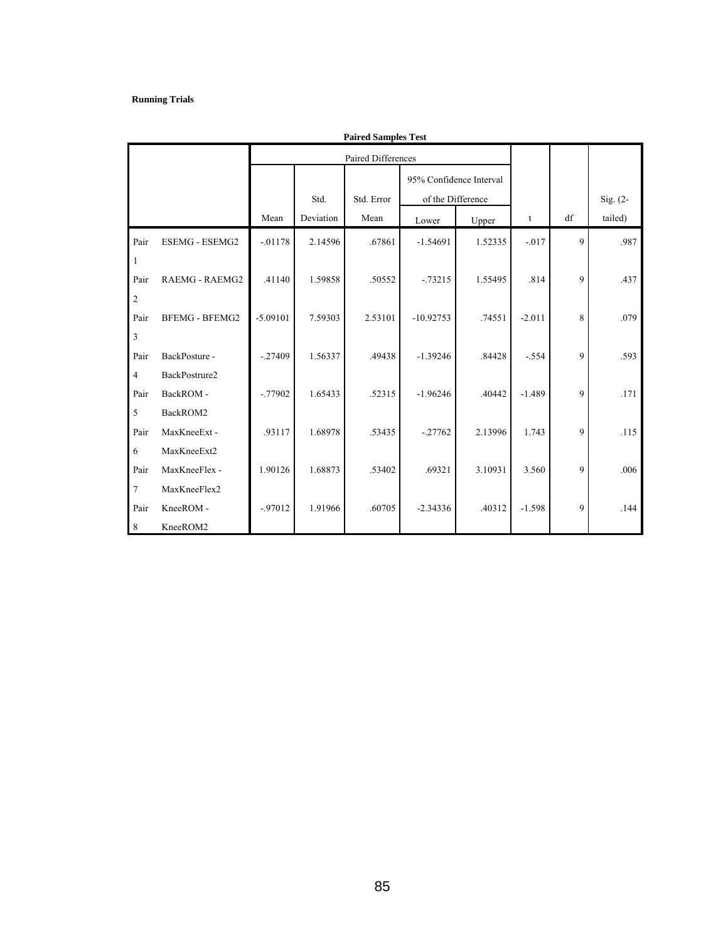#### **Running Trials**

|                  | <b>Paired Samples Test</b> |            |           |                    |                         |         |          |              |            |  |
|------------------|----------------------------|------------|-----------|--------------------|-------------------------|---------|----------|--------------|------------|--|
|                  |                            |            |           | Paired Differences |                         |         |          |              |            |  |
|                  |                            |            |           |                    | 95% Confidence Interval |         |          |              |            |  |
|                  |                            |            | Std.      | Std. Error         | of the Difference       |         |          |              | $Sig. (2-$ |  |
|                  |                            | Mean       | Deviation | Mean               | Lower                   | Upper   | t        | df           | tailed)    |  |
| Pair             | <b>ESEMG - ESEMG2</b>      | $-.01178$  | 2.14596   | .67861             | $-1.54691$              | 1.52335 | $-.017$  | $\mathbf{Q}$ | .987       |  |
| 1                |                            |            |           |                    |                         |         |          |              |            |  |
| Pair             | RAEMG - RAEMG2             | .41140     | 1.59858   | .50552             | $-0.73215$              | 1.55495 | .814     | 9            | .437       |  |
| $\sqrt{2}$       |                            |            |           |                    |                         |         |          |              |            |  |
| Pair             | <b>BFEMG - BFEMG2</b>      | $-5.09101$ | 7.59303   | 2.53101            | $-10.92753$             | .74551  | $-2.011$ | 8            | .079       |  |
| $\mathfrak z$    |                            |            |           |                    |                         |         |          |              |            |  |
| Pair             | BackPosture -              | $-27409$   | 1.56337   | .49438             | $-1.39246$              | .84428  | $-.554$  | 9            | .593       |  |
| $\overline{4}$   | BackPostrure2              |            |           |                    |                         |         |          |              |            |  |
| Pair             | BackROM-                   | $-0.77902$ | 1.65433   | .52315             | $-1.96246$              | .40442  | $-1.489$ | 9            | .171       |  |
| $\sqrt{5}$       | BackROM2                   |            |           |                    |                         |         |          |              |            |  |
| Pair             | MaxKneeExt-                | .93117     | 1.68978   | .53435             | $-.27762$               | 2.13996 | 1.743    | 9            | .115       |  |
| 6                | MaxKneeExt2                |            |           |                    |                         |         |          |              |            |  |
| Pair             | MaxKneeFlex -              | 1.90126    | 1.68873   | .53402             | .69321                  | 3.10931 | 3.560    | 9            | .006       |  |
| $\boldsymbol{7}$ | MaxKneeFlex2               |            |           |                    |                         |         |          |              |            |  |
| Pair             | KneeROM -                  | $-97012$   | 1.91966   | .60705             | $-2.34336$              | .40312  | $-1.598$ | 9            | .144       |  |
| $\,8\,$          | KneeROM2                   |            |           |                    |                         |         |          |              |            |  |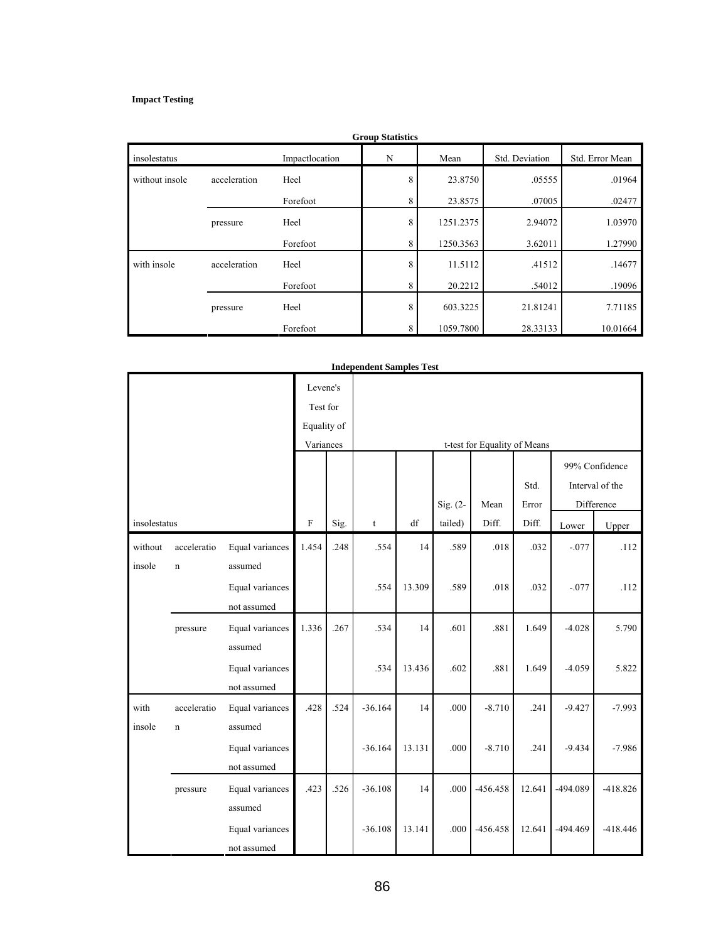#### **Impact Testing**

| <b>Group Statistics</b> |              |                |   |           |                |                 |  |
|-------------------------|--------------|----------------|---|-----------|----------------|-----------------|--|
| insolestatus            |              | Impactlocation | N | Mean      | Std. Deviation | Std. Error Mean |  |
| without insole          | acceleration | Heel           | 8 | 23.8750   | .05555         | .01964          |  |
|                         |              | Forefoot       | 8 | 23.8575   | .07005         | .02477          |  |
|                         | pressure     | Heel           | 8 | 1251.2375 | 2.94072        | 1.03970         |  |
|                         |              | Forefoot       | 8 | 1250.3563 | 3.62011        | 1.27990         |  |
| with insole             | acceleration | Heel           | 8 | 11.5112   | .41512         | .14677          |  |
|                         |              | Forefoot       | 8 | 20.2212   | .54012         | .19096          |  |
|                         | pressure     | Heel           | 8 | 603.3225  | 21.81241       | 7.71185         |  |
|                         |              | Forefoot       | 8 | 1059.7800 | 28.33133       | 10.01664        |  |

|              |             |                 | Levene's<br>Test for<br>Equality of |      |                              |        |            |            |               |            |                                   |  |  |
|--------------|-------------|-----------------|-------------------------------------|------|------------------------------|--------|------------|------------|---------------|------------|-----------------------------------|--|--|
|              |             |                 | Variances                           |      | t-test for Equality of Means |        |            |            |               |            |                                   |  |  |
|              |             |                 |                                     |      |                              |        |            | Mean       | Std.<br>Error |            | 99% Confidence<br>Interval of the |  |  |
|              |             |                 | $\rm F$                             |      |                              | df     | $Sig. (2-$ | Diff.      |               |            | Difference                        |  |  |
| insolestatus |             |                 |                                     | Sig. | t                            |        | tailed)    |            | Diff.         | Lower      | Upper                             |  |  |
| without      | acceleratio | Equal variances | 1.454                               | .248 | .554                         | 14     | .589       | .018       | .032          | $-.077$    | .112                              |  |  |
| insole       | $\mathbf n$ | assumed         |                                     |      |                              |        |            |            |               |            |                                   |  |  |
|              |             | Equal variances |                                     |      | .554                         | 13.309 | .589       | .018       | .032          | $-.077$    | .112                              |  |  |
|              |             | not assumed     |                                     |      |                              |        |            |            |               |            |                                   |  |  |
|              | pressure    | Equal variances | 1.336                               | .267 | .534                         | 14     | .601       | .881       | 1.649         | $-4.028$   | 5.790                             |  |  |
|              |             | assumed         |                                     |      |                              |        |            |            |               |            |                                   |  |  |
|              |             | Equal variances |                                     |      | .534                         | 13.436 | .602       | .881       | 1.649         | $-4.059$   | 5.822                             |  |  |
|              |             | not assumed     |                                     |      |                              |        |            |            |               |            |                                   |  |  |
| with         | acceleratio | Equal variances | .428                                | .524 | $-36.164$                    | 14     | .000       | $-8.710$   | .241          | $-9.427$   | $-7.993$                          |  |  |
| insole       | $\mathbf n$ | assumed         |                                     |      |                              |        |            |            |               |            |                                   |  |  |
|              |             | Equal variances |                                     |      | $-36.164$                    | 13.131 | .000       | $-8.710$   | .241          | $-9.434$   | $-7.986$                          |  |  |
|              |             | not assumed     |                                     |      |                              |        |            |            |               |            |                                   |  |  |
|              | pressure    | Equal variances | .423                                | .526 | $-36.108$                    | 14     | .000       | $-456.458$ | 12.641        | -494.089   | $-418.826$                        |  |  |
|              |             | assumed         |                                     |      |                              |        |            |            |               |            |                                   |  |  |
|              |             | Equal variances |                                     |      | $-36.108$                    | 13.141 | .000       | $-456.458$ | 12.641        | $-494.469$ | $-418.446$                        |  |  |
|              |             | not assumed     |                                     |      |                              |        |            |            |               |            |                                   |  |  |

#### **Independent Samples Test**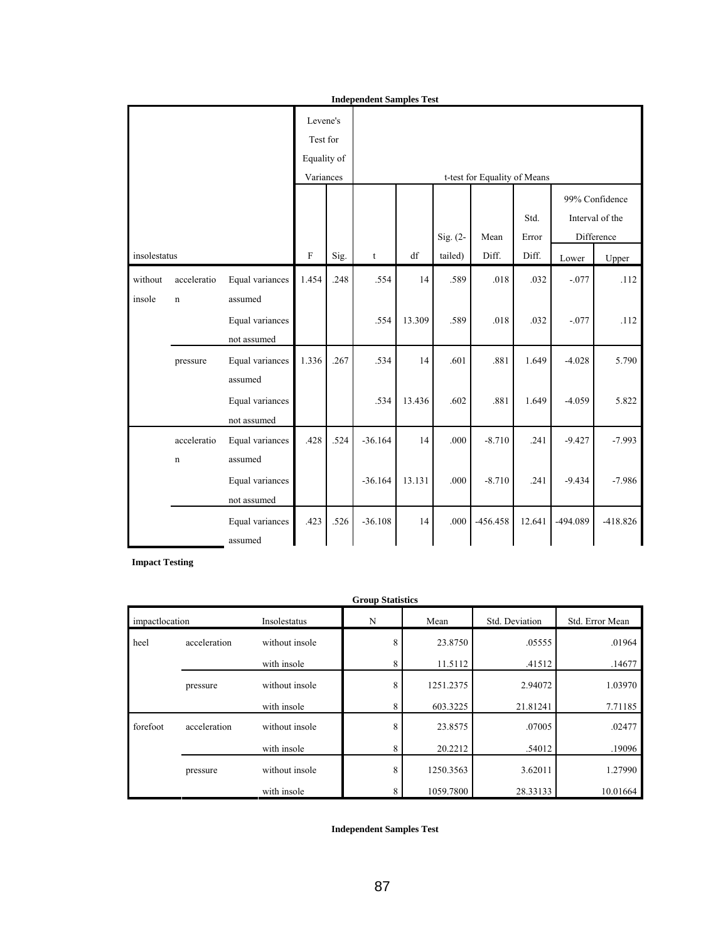| <b>Independent Samples Test</b> |                                     |                                |                           |      |                              |                        |          |            |        |          |                 |  |  |
|---------------------------------|-------------------------------------|--------------------------------|---------------------------|------|------------------------------|------------------------|----------|------------|--------|----------|-----------------|--|--|
|                                 | Levene's<br>Test for<br>Equality of |                                |                           |      |                              |                        |          |            |        |          |                 |  |  |
|                                 |                                     |                                | Variances                 |      | t-test for Equality of Means |                        |          |            |        |          |                 |  |  |
|                                 |                                     |                                |                           |      |                              |                        |          |            |        |          | 99% Confidence  |  |  |
|                                 |                                     |                                |                           |      |                              |                        |          |            | Std.   |          | Interval of the |  |  |
|                                 |                                     |                                |                           |      |                              |                        | Sig. (2- | Mean       | Error  |          | Difference      |  |  |
| insolestatus                    |                                     |                                | $\boldsymbol{\mathrm{F}}$ | Sig. | $\mathsf{t}$                 | $\mathrm{d}\mathrm{f}$ | tailed)  | Diff.      | Diff.  | Lower    | Upper           |  |  |
| without<br>insole               | acceleratio<br>$\mathbf n$          | Equal variances<br>assumed     | 1.454                     | .248 | .554                         | 14                     | .589     | .018       | .032   | $-.077$  | .112            |  |  |
|                                 |                                     | Equal variances<br>not assumed |                           |      | .554                         | 13.309                 | .589     | .018       | .032   | $-.077$  | .112            |  |  |
|                                 | pressure                            | Equal variances<br>assumed     | 1.336                     | .267 | .534                         | 14                     | .601     | .881       | 1.649  | $-4.028$ | 5.790           |  |  |
|                                 |                                     | Equal variances<br>not assumed |                           |      | .534                         | 13.436                 | .602     | .881       | 1.649  | $-4.059$ | 5.822           |  |  |
|                                 | acceleratio<br>$\mathbf n$          | Equal variances<br>assumed     | .428                      | .524 | $-36.164$                    | 14                     | .000     | $-8.710$   | .241   | $-9.427$ | $-7.993$        |  |  |
|                                 |                                     | Equal variances<br>not assumed |                           |      | $-36.164$                    | 13.131                 | .000     | $-8.710$   | .241   | $-9.434$ | $-7.986$        |  |  |
|                                 |                                     | Equal variances<br>assumed     | .423                      | .526 | $-36.108$                    | 14                     | .000     | $-456.458$ | 12.641 | -494.089 | $-418.826$      |  |  |

**Impact Testing** 

| <b>Group Statistics</b> |                                |                |   |           |                |                 |  |  |
|-------------------------|--------------------------------|----------------|---|-----------|----------------|-----------------|--|--|
| impactoocation          |                                | Insolestatus   | N |           | Std. Deviation | Std. Error Mean |  |  |
| heel                    | without insole<br>acceleration |                | 8 | 23.8750   | .05555         | .01964          |  |  |
|                         |                                | with insole    | 8 | 11.5112   | .41512         | .14677          |  |  |
|                         | pressure                       | without insole | 8 | 1251.2375 | 2.94072        | 1.03970         |  |  |
|                         |                                | with insole    | 8 | 603.3225  | 21.81241       | 7.71185         |  |  |
| forefoot                | acceleration                   | without insole | 8 | 23.8575   | .07005         | .02477          |  |  |
|                         |                                | with insole    | 8 | 20.2212   | .54012         | .19096          |  |  |
|                         | pressure                       | without insole | 8 | 1250.3563 | 3.62011        | 1.27990         |  |  |
|                         |                                | with insole    |   | 1059.7800 | 28.33133       | 10.01664        |  |  |

**Independent Samples Test**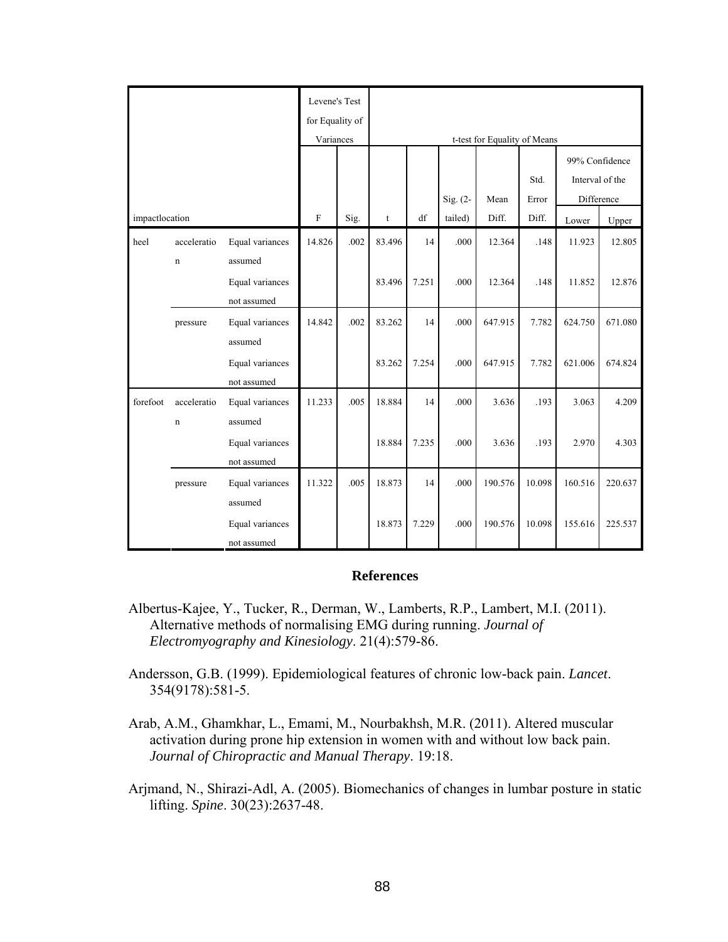|                | Levene's Test<br>for Equality of<br>Variances |                                | t-test for Equality of Means<br>99% Confidence |      |             |                       |          |                               |        |         |         |
|----------------|-----------------------------------------------|--------------------------------|------------------------------------------------|------|-------------|-----------------------|----------|-------------------------------|--------|---------|---------|
|                |                                               |                                |                                                |      | Sig. (2-    | Std.<br>Mean<br>Error |          | Interval of the<br>Difference |        |         |         |
| impactlocation |                                               |                                | $\mathbf F$                                    | Sig. | $\mathsf t$ | df                    | tailed)  | Diff.                         | Diff.  | Lower   | Upper   |
| heel           | acceleratio<br>$\mathbf n$                    | Equal variances<br>assumed     | 14.826                                         | .002 | 83.496      | 14                    | .000     | 12.364                        | .148   | 11.923  | 12.805  |
|                |                                               | Equal variances<br>not assumed |                                                |      | 83.496      | 7.251                 | .000     | 12.364                        | .148   | 11.852  | 12.876  |
|                | pressure                                      | Equal variances<br>assumed     | 14.842                                         | .002 | 83.262      | 14                    | $.000\,$ | 647.915                       | 7.782  | 624.750 | 671.080 |
|                |                                               | Equal variances<br>not assumed |                                                |      | 83.262      | 7.254                 | .000     | 647.915                       | 7.782  | 621.006 | 674.824 |
| forefoot       | acceleratio<br>$\mathbf n$                    | Equal variances<br>assumed     | 11.233                                         | .005 | 18.884      | 14                    | .000     | 3.636                         | .193   | 3.063   | 4.209   |
|                |                                               | Equal variances<br>not assumed |                                                |      | 18.884      | 7.235                 | .000     | 3.636                         | .193   | 2.970   | 4.303   |
|                | pressure                                      | Equal variances<br>assumed     | 11.322                                         | .005 | 18.873      | 14                    | .000     | 190.576                       | 10.098 | 160.516 | 220.637 |
|                |                                               | Equal variances<br>not assumed |                                                |      | 18.873      | 7.229                 | .000     | 190.576                       | 10.098 | 155.616 | 225.537 |

### **References**

- Albertus-Kajee, Y., Tucker, R., Derman, W., Lamberts, R.P., Lambert, M.I. (2011). Alternative methods of normalising EMG during running. *Journal of Electromyography and Kinesiology*. 21(4):579-86.
- Andersson, G.B. (1999). Epidemiological features of chronic low-back pain. *Lancet*. 354(9178):581-5.
- Arab, A.M., Ghamkhar, L., Emami, M., Nourbakhsh, M.R. (2011). Altered muscular activation during prone hip extension in women with and without low back pain. *Journal of Chiropractic and Manual Therapy*. 19:18.
- Arjmand, N., Shirazi-Adl, A. (2005). Biomechanics of changes in lumbar posture in static lifting. *Spine*. 30(23):2637-48.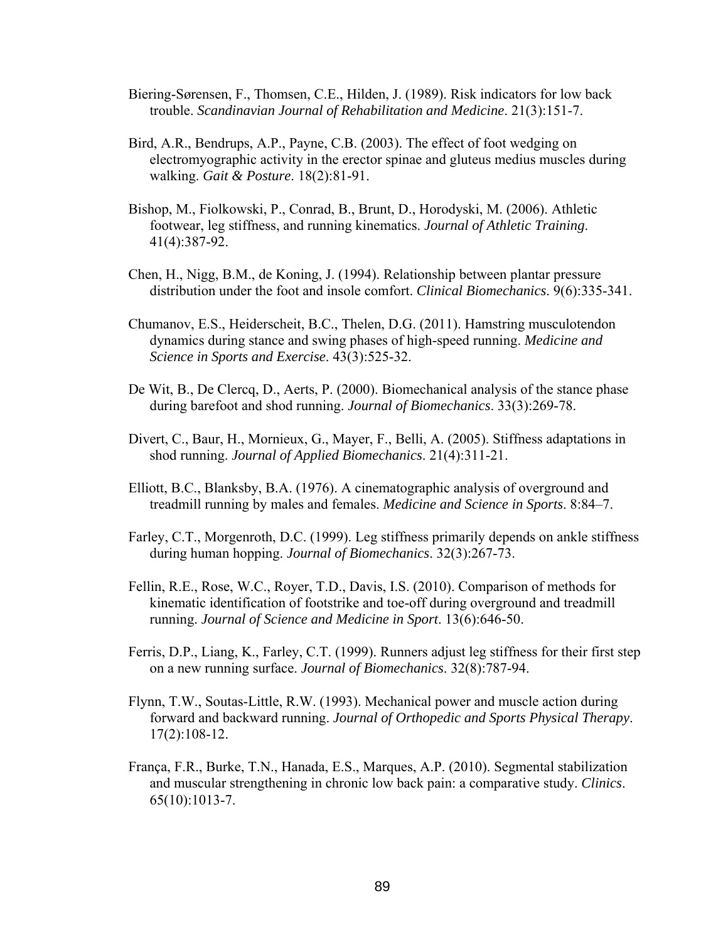- Biering-Sørensen, F., Thomsen, C.E., Hilden, J. (1989). Risk indicators for low back trouble. *Scandinavian Journal of Rehabilitation and Medicine*. 21(3):151-7.
- Bird, A.R., Bendrups, A.P., Payne, C.B. (2003). The effect of foot wedging on electromyographic activity in the erector spinae and gluteus medius muscles during walking. *Gait & Posture*. 18(2):81-91.
- Bishop, M., Fiolkowski, P., Conrad, B., Brunt, D., Horodyski, M. (2006). Athletic footwear, leg stiffness, and running kinematics. *Journal of Athletic Training*. 41(4):387-92.
- Chen, H., Nigg, B.M., de Koning, J. (1994). Relationship between plantar pressure distribution under the foot and insole comfort. *Clinical Biomechanics*. 9(6):335-341.
- Chumanov, E.S., Heiderscheit, B.C., Thelen, D.G. (2011). Hamstring musculotendon dynamics during stance and swing phases of high-speed running. *Medicine and Science in Sports and Exercise*. 43(3):525-32.
- De Wit, B., De Clercq, D., Aerts, P. (2000). Biomechanical analysis of the stance phase during barefoot and shod running. *Journal of Biomechanics*. 33(3):269-78.
- Divert, C., Baur, H., Mornieux, G., Mayer, F., Belli, A. (2005). Stiffness adaptations in shod running. *Journal of Applied Biomechanics*. 21(4):311-21.
- Elliott, B.C., Blanksby, B.A. (1976). A cinematographic analysis of overground and treadmill running by males and females. *Medicine and Science in Sports*. 8:84–7.
- Farley, C.T., Morgenroth, D.C. (1999). Leg stiffness primarily depends on ankle stiffness during human hopping. *Journal of Biomechanics*. 32(3):267-73.
- Fellin, R.E., Rose, W.C., Royer, T.D., Davis, I.S. (2010). Comparison of methods for kinematic identification of footstrike and toe-off during overground and treadmill running. *Journal of Science and Medicine in Sport*. 13(6):646-50.
- Ferris, D.P., Liang, K., Farley, C.T. (1999). Runners adjust leg stiffness for their first step on a new running surface. *Journal of Biomechanics*. 32(8):787-94.
- Flynn, T.W., Soutas-Little, R.W. (1993). Mechanical power and muscle action during forward and backward running. *Journal of Orthopedic and Sports Physical Therapy*. 17(2):108-12.
- França, F.R., Burke, T.N., Hanada, E.S., Marques, A.P. (2010). Segmental stabilization and muscular strengthening in chronic low back pain: a comparative study. *Clinics*. 65(10):1013-7.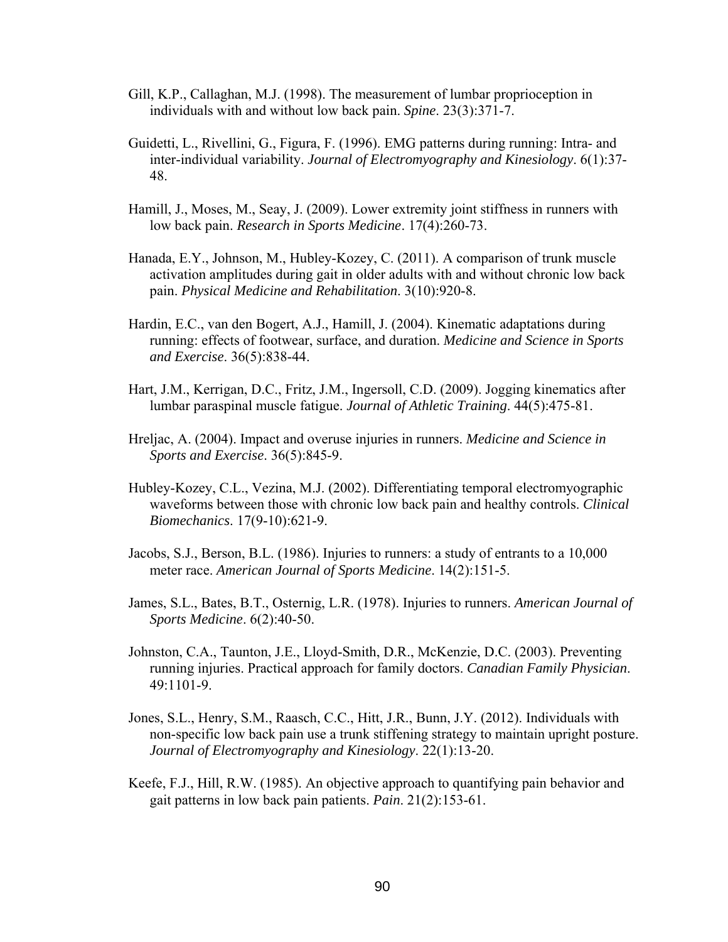- Gill, K.P., Callaghan, M.J. (1998). The measurement of lumbar proprioception in individuals with and without low back pain. *Spine*. 23(3):371-7.
- Guidetti, L., Rivellini, G., Figura, F. (1996). EMG patterns during running: Intra- and inter-individual variability. *Journal of Electromyography and Kinesiology*. 6(1):37- 48.
- Hamill, J., Moses, M., Seay, J. (2009). Lower extremity joint stiffness in runners with low back pain. *Research in Sports Medicine*. 17(4):260-73.
- Hanada, E.Y., Johnson, M., Hubley-Kozey, C. (2011). A comparison of trunk muscle activation amplitudes during gait in older adults with and without chronic low back pain. *Physical Medicine and Rehabilitation*. 3(10):920-8.
- Hardin, E.C., van den Bogert, A.J., Hamill, J. (2004). Kinematic adaptations during running: effects of footwear, surface, and duration. *Medicine and Science in Sports and Exercise*. 36(5):838-44.
- Hart, J.M., Kerrigan, D.C., Fritz, J.M., Ingersoll, C.D. (2009). Jogging kinematics after lumbar paraspinal muscle fatigue. *Journal of Athletic Training*. 44(5):475-81.
- Hreljac, A. (2004). Impact and overuse injuries in runners. *Medicine and Science in Sports and Exercise*. 36(5):845-9.
- Hubley-Kozey, C.L., Vezina, M.J. (2002). Differentiating temporal electromyographic waveforms between those with chronic low back pain and healthy controls. *Clinical Biomechanics*. 17(9-10):621-9.
- Jacobs, S.J., Berson, B.L. (1986). Injuries to runners: a study of entrants to a 10,000 meter race. *American Journal of Sports Medicine*. 14(2):151-5.
- James, S.L., Bates, B.T., Osternig, L.R. (1978). Injuries to runners. *American Journal of Sports Medicine*. 6(2):40-50.
- Johnston, C.A., Taunton, J.E., Lloyd-Smith, D.R., McKenzie, D.C. (2003). Preventing running injuries. Practical approach for family doctors. *Canadian Family Physician*. 49:1101-9.
- Jones, S.L., Henry, S.M., Raasch, C.C., Hitt, J.R., Bunn, J.Y. (2012). Individuals with non-specific low back pain use a trunk stiffening strategy to maintain upright posture. *Journal of Electromyography and Kinesiology*. 22(1):13-20.
- Keefe, F.J., Hill, R.W. (1985). An objective approach to quantifying pain behavior and gait patterns in low back pain patients. *Pain*. 21(2):153-61.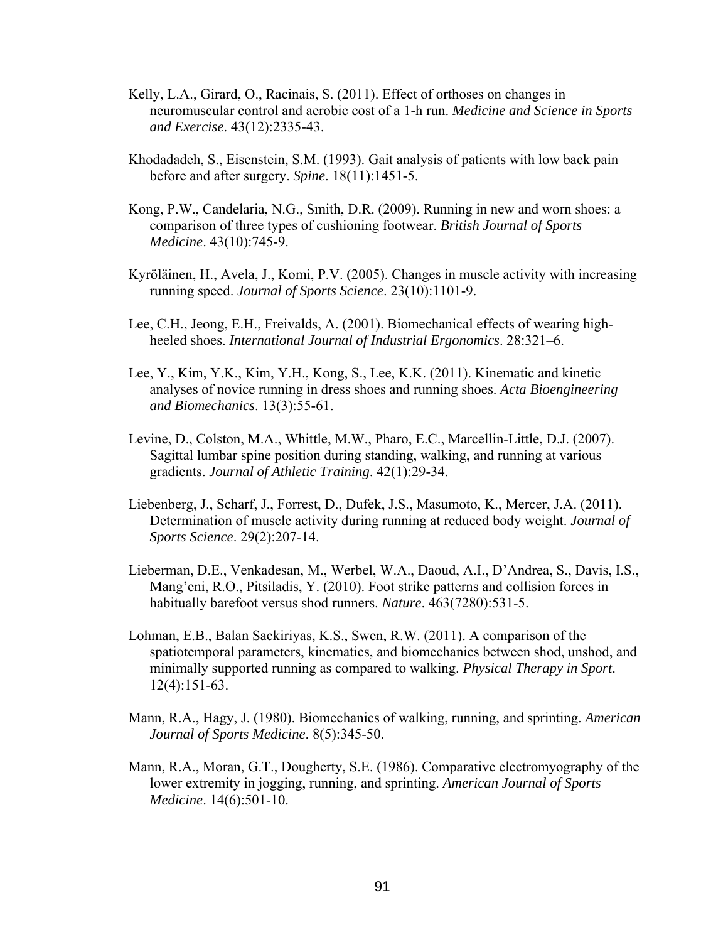- Kelly, L.A., Girard, O., Racinais, S. (2011). Effect of orthoses on changes in neuromuscular control and aerobic cost of a 1-h run. *Medicine and Science in Sports and Exercise*. 43(12):2335-43.
- Khodadadeh, S., Eisenstein, S.M. (1993). Gait analysis of patients with low back pain before and after surgery. *Spine*. 18(11):1451-5.
- Kong, P.W., Candelaria, N.G., Smith, D.R. (2009). Running in new and worn shoes: a comparison of three types of cushioning footwear. *British Journal of Sports Medicine*. 43(10):745-9.
- Kyröläinen, H., Avela, J., Komi, P.V. (2005). Changes in muscle activity with increasing running speed. *Journal of Sports Science*. 23(10):1101-9.
- Lee, C.H., Jeong, E.H., Freivalds, A. (2001). Biomechanical effects of wearing highheeled shoes. *International Journal of Industrial Ergonomics*. 28:321–6.
- Lee, Y., Kim, Y.K., Kim, Y.H., Kong, S., Lee, K.K. (2011). Kinematic and kinetic analyses of novice running in dress shoes and running shoes. *Acta Bioengineering and Biomechanics*. 13(3):55-61.
- Levine, D., Colston, M.A., Whittle, M.W., Pharo, E.C., Marcellin-Little, D.J. (2007). Sagittal lumbar spine position during standing, walking, and running at various gradients. *Journal of Athletic Training*. 42(1):29-34.
- Liebenberg, J., Scharf, J., Forrest, D., Dufek, J.S., Masumoto, K., Mercer, J.A. (2011). Determination of muscle activity during running at reduced body weight. *Journal of Sports Science*. 29(2):207-14.
- Lieberman, D.E., Venkadesan, M., Werbel, W.A., Daoud, A.I., D'Andrea, S., Davis, I.S., Mang'eni, R.O., Pitsiladis, Y. (2010). Foot strike patterns and collision forces in habitually barefoot versus shod runners. *Nature*. 463(7280):531-5.
- Lohman, E.B., Balan Sackiriyas, K.S., Swen, R.W. (2011). A comparison of the spatiotemporal parameters, kinematics, and biomechanics between shod, unshod, and minimally supported running as compared to walking. *Physical Therapy in Sport*. 12(4):151-63.
- Mann, R.A., Hagy, J. (1980). Biomechanics of walking, running, and sprinting. *American Journal of Sports Medicine*. 8(5):345-50.
- Mann, R.A., Moran, G.T., Dougherty, S.E. (1986). Comparative electromyography of the lower extremity in jogging, running, and sprinting. *American Journal of Sports Medicine*. 14(6):501-10.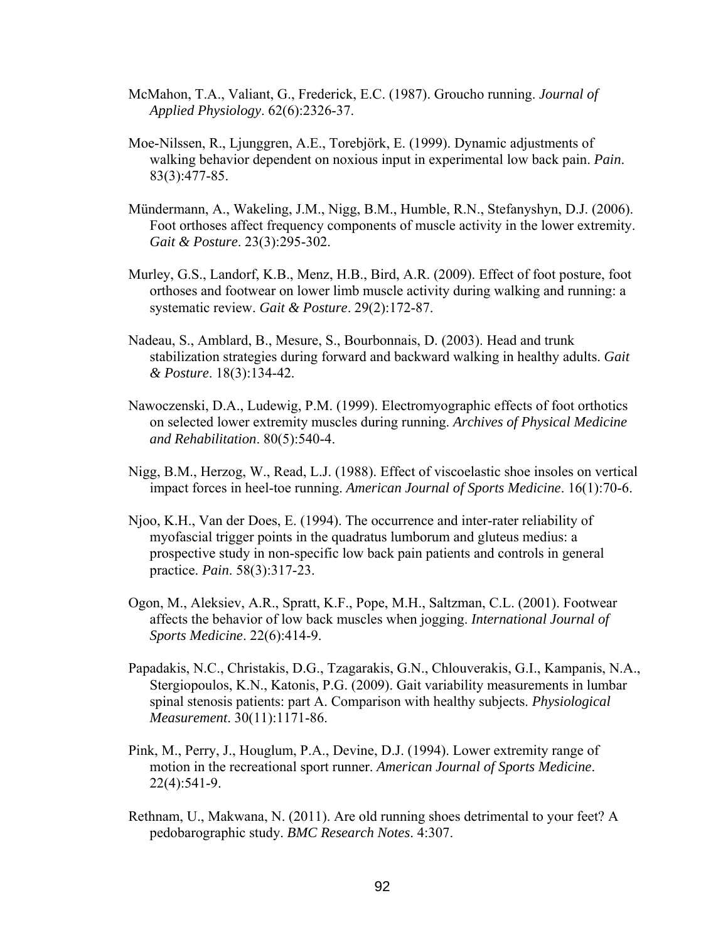- McMahon, T.A., Valiant, G., Frederick, E.C. (1987). Groucho running. *Journal of Applied Physiology*. 62(6):2326-37.
- Moe-Nilssen, R., Ljunggren, A.E., Torebjörk, E. (1999). Dynamic adjustments of walking behavior dependent on noxious input in experimental low back pain. *Pain*. 83(3):477-85.
- Mündermann, A., Wakeling, J.M., Nigg, B.M., Humble, R.N., Stefanyshyn, D.J. (2006). Foot orthoses affect frequency components of muscle activity in the lower extremity. *Gait & Posture*. 23(3):295-302.
- Murley, G.S., Landorf, K.B., Menz, H.B., Bird, A.R. (2009). Effect of foot posture, foot orthoses and footwear on lower limb muscle activity during walking and running: a systematic review. *Gait & Posture*. 29(2):172-87.
- Nadeau, S., Amblard, B., Mesure, S., Bourbonnais, D. (2003). Head and trunk stabilization strategies during forward and backward walking in healthy adults. *Gait & Posture*. 18(3):134-42.
- Nawoczenski, D.A., Ludewig, P.M. (1999). Electromyographic effects of foot orthotics on selected lower extremity muscles during running. *Archives of Physical Medicine and Rehabilitation*. 80(5):540-4.
- Nigg, B.M., Herzog, W., Read, L.J. (1988). Effect of viscoelastic shoe insoles on vertical impact forces in heel-toe running. *American Journal of Sports Medicine*. 16(1):70-6.
- Njoo, K.H., Van der Does, E. (1994). The occurrence and inter-rater reliability of myofascial trigger points in the quadratus lumborum and gluteus medius: a prospective study in non-specific low back pain patients and controls in general practice. *Pain*. 58(3):317-23.
- Ogon, M., Aleksiev, A.R., Spratt, K.F., Pope, M.H., Saltzman, C.L. (2001). Footwear affects the behavior of low back muscles when jogging. *International Journal of Sports Medicine*. 22(6):414-9.
- Papadakis, N.C., Christakis, D.G., Tzagarakis, G.N., Chlouverakis, G.I., Kampanis, N.A., Stergiopoulos, K.N., Katonis, P.G. (2009). Gait variability measurements in lumbar spinal stenosis patients: part A. Comparison with healthy subjects. *Physiological Measurement*. 30(11):1171-86.
- Pink, M., Perry, J., Houglum, P.A., Devine, D.J. (1994). Lower extremity range of motion in the recreational sport runner. *American Journal of Sports Medicine*. 22(4):541-9.
- Rethnam, U., Makwana, N. (2011). Are old running shoes detrimental to your feet? A pedobarographic study. *BMC Research Notes*. 4:307.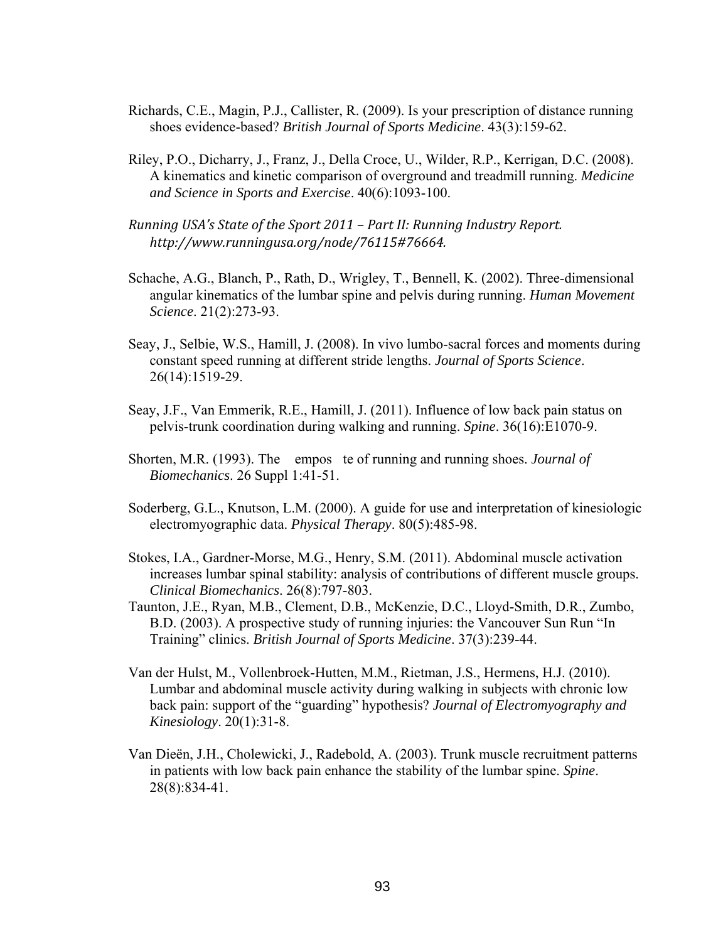- Richards, C.E., Magin, P.J., Callister, R. (2009). Is your prescription of distance running shoes evidence-based? *British Journal of Sports Medicine*. 43(3):159-62.
- Riley, P.O., Dicharry, J., Franz, J., Della Croce, U., Wilder, R.P., Kerrigan, D.C. (2008). A kinematics and kinetic comparison of overground and treadmill running. *Medicine and Science in Sports and Exercise*. 40(6):1093-100.
- *Running USA's State of the Sport 2011 – Part II: Running Industry Report. <http://www.runningusa.org/node/76115#76664>.*
- Schache, A.G., Blanch, P., Rath, D., Wrigley, T., Bennell, K. (2002). Three-dimensional angular kinematics of the lumbar spine and pelvis during running. *Human Movement Science*. 21(2):273-93.
- Seay, J., Selbie, W.S., Hamill, J. (2008). In vivo lumbo-sacral forces and moments during constant speed running at different stride lengths. *Journal of Sports Science*. 26(14):1519-29.
- Seay, J.F., Van Emmerik, R.E., Hamill, J. (2011). Influence of low back pain status on pelvis-trunk coordination during walking and running. *Spine*. 36(16):E1070-9.
- Shorten, M.R. (1993). The empos te of running and running shoes. *Journal of Biomechanics*. 26 Suppl 1:41-51.
- Soderberg, G.L., Knutson, L.M. (2000). A guide for use and interpretation of kinesiologic electromyographic data. *Physical Therapy*. 80(5):485-98.
- Stokes, I.A., Gardner-Morse, M.G., Henry, S.M. (2011). Abdominal muscle activation increases lumbar spinal stability: analysis of contributions of different muscle groups. *Clinical Biomechanics*. 26(8):797-803.
- Taunton, J.E., Ryan, M.B., Clement, D.B., McKenzie, D.C., Lloyd-Smith, D.R., Zumbo, B.D. (2003). A prospective study of running injuries: the Vancouver Sun Run "In Training" clinics. *British Journal of Sports Medicine*. 37(3):239-44.
- Van der Hulst, M., Vollenbroek-Hutten, M.M., Rietman, J.S., Hermens, H.J. (2010). Lumbar and abdominal muscle activity during walking in subjects with chronic low back pain: support of the "guarding" hypothesis? *Journal of Electromyography and Kinesiology*. 20(1):31-8.
- Van Dieën, J.H., Cholewicki, J., Radebold, A. (2003). Trunk muscle recruitment patterns in patients with low back pain enhance the stability of the lumbar spine. *Spine*. 28(8):834-41.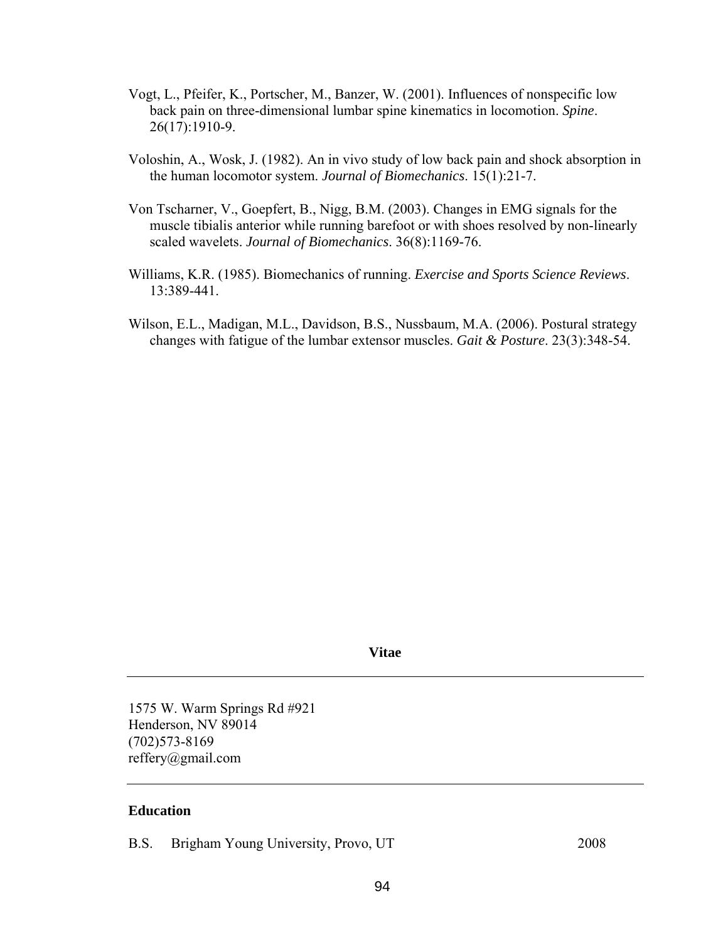- Vogt, L., Pfeifer, K., Portscher, M., Banzer, W. (2001). Influences of nonspecific low back pain on three-dimensional lumbar spine kinematics in locomotion. *Spine*. 26(17):1910-9.
- Voloshin, A., Wosk, J. (1982). An in vivo study of low back pain and shock absorption in the human locomotor system. *Journal of Biomechanics*. 15(1):21-7.
- Von Tscharner, V., Goepfert, B., Nigg, B.M. (2003). Changes in EMG signals for the muscle tibialis anterior while running barefoot or with shoes resolved by non-linearly scaled wavelets. *Journal of Biomechanics*. 36(8):1169-76.
- Williams, K.R. (1985). Biomechanics of running. *Exercise and Sports Science Reviews*. 13:389-441.
- Wilson, E.L., Madigan, M.L., Davidson, B.S., Nussbaum, M.A. (2006). Postural strategy changes with fatigue of the lumbar extensor muscles. *Gait & Posture*. 23(3):348-54.

**Vitae** 

1575 W. Warm Springs Rd #921 Henderson, NV 89014 (702)573-8169 [reffery@gmail.com](mailto:reffery@gmail.com) 

#### **Education**

B.S. Brigham Young University, Provo, UT 2008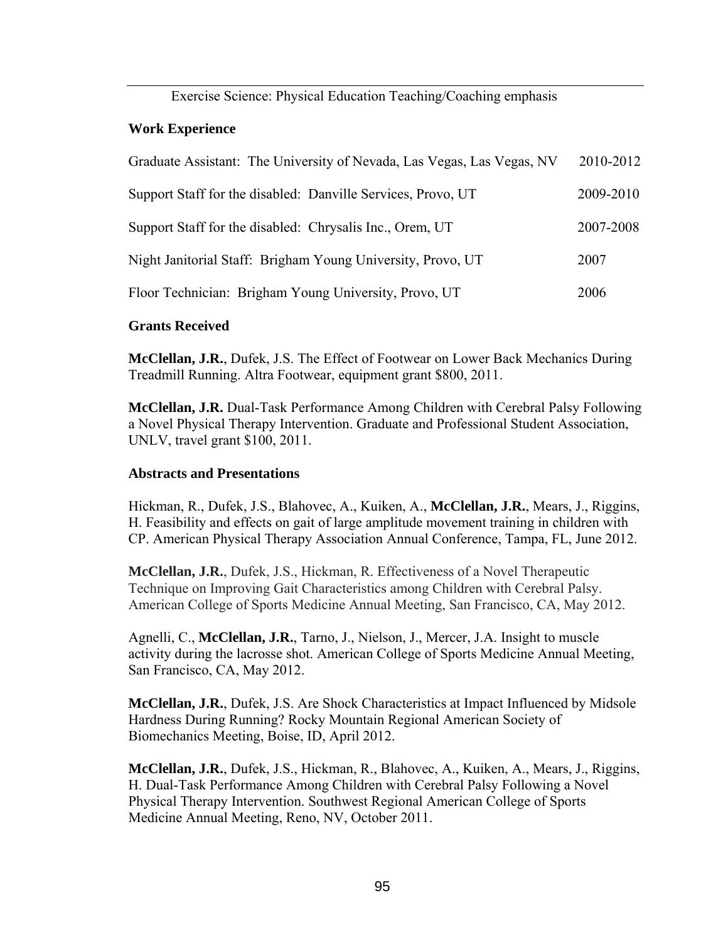Exercise Science: Physical Education Teaching/Coaching emphasis

## **Work Experience**

| Graduate Assistant: The University of Nevada, Las Vegas, Las Vegas, NV | 2010-2012 |
|------------------------------------------------------------------------|-----------|
| Support Staff for the disabled: Danville Services, Provo, UT           | 2009-2010 |
| Support Staff for the disabled: Chrysalis Inc., Orem, UT               | 2007-2008 |
| Night Janitorial Staff: Brigham Young University, Provo, UT            | 2007      |
| Floor Technician: Brigham Young University, Provo, UT                  | 2006      |
|                                                                        |           |

### **Grants Received**

**McClellan, J.R.**, Dufek, J.S. The Effect of Footwear on Lower Back Mechanics During Treadmill Running. Altra Footwear, equipment grant \$800, 2011.

**McClellan, J.R.** Dual-Task Performance Among Children with Cerebral Palsy Following a Novel Physical Therapy Intervention. Graduate and Professional Student Association, UNLV, travel grant \$100, 2011.

## **Abstracts and Presentations**

Hickman, R., Dufek, J.S., Blahovec, A., Kuiken, A., **McClellan, J.R.**, Mears, J., Riggins, H. Feasibility and effects on gait of large amplitude movement training in children with CP. American Physical Therapy Association Annual Conference, Tampa, FL, June 2012.

**McClellan, J.R.**, Dufek, J.S., Hickman, R. Effectiveness of a Novel Therapeutic Technique on Improving Gait Characteristics among Children with Cerebral Palsy. American College of Sports Medicine Annual Meeting, San Francisco, CA, May 2012.

Agnelli, C., **McClellan, J.R.**, Tarno, J., Nielson, J., Mercer, J.A. Insight to muscle activity during the lacrosse shot. American College of Sports Medicine Annual Meeting, San Francisco, CA, May 2012.

**McClellan, J.R.**, Dufek, J.S. Are Shock Characteristics at Impact Influenced by Midsole Hardness During Running? Rocky Mountain Regional American Society of Biomechanics Meeting, Boise, ID, April 2012.

**McClellan, J.R.**, Dufek, J.S., Hickman, R., Blahovec, A., Kuiken, A., Mears, J., Riggins, H. Dual-Task Performance Among Children with Cerebral Palsy Following a Novel Physical Therapy Intervention. Southwest Regional American College of Sports Medicine Annual Meeting, Reno, NV, October 2011.